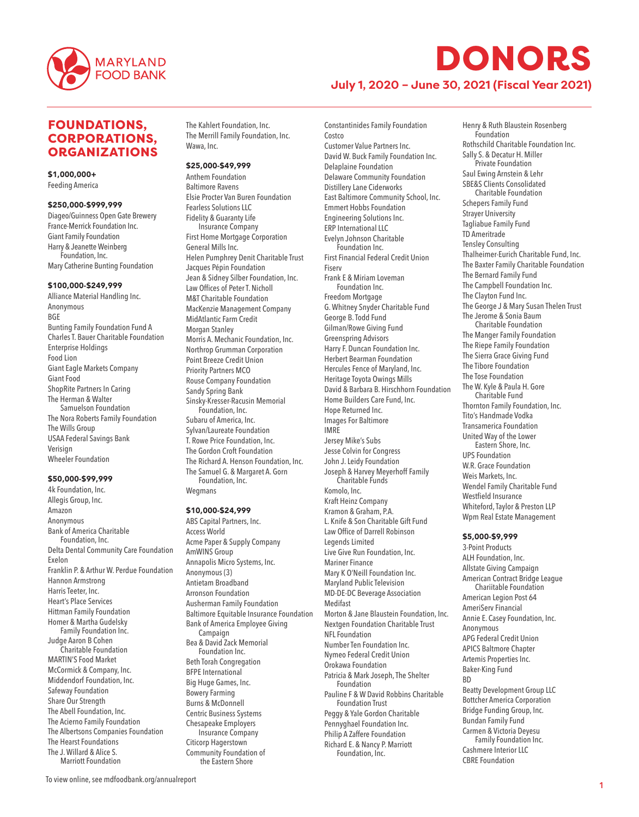

**July 1, 2020 – June 30, 2021 (Fiscal Year 2021)**

## FOUNDATIONS, CORPORATIONS, ORGANIZATIONS

\$1,000,000+ Feeding America

#### \$250,000-\$999,999

Diageo/Guinness Open Gate Brewery France-Merrick Foundation Inc. Giant Family Foundation Harry & Jeanette Weinberg Foundation, Inc. Mary Catherine Bunting Foundation

#### \$100,000-\$249,999

Alliance Material Handling Inc. Anonymous BGE Bunting Family Foundation Fund A Charles T. Bauer Charitable Foundation Enterprise Holdings Food Lion Giant Eagle Markets Company Giant Food ShopRite Partners In Caring The Herman & Walter Samuelson Foundation The Nora Roberts Family Foundation The Wills Group USAA Federal Savings Bank Verisign Wheeler Foundation

#### \$50,000-\$99,999

4k Foundation, Inc. Allegis Group, Inc. Amazon Anonymous Bank of America Charitable Foundation, Inc. Delta Dental Community Care Foundation Exelon Franklin P. & Arthur W. Perdue Foundation Hannon Armstrong Harris Teeter, Inc. Heart's Place Services Hittman Family Foundation Homer & Martha Gudelsky Family Foundation Inc. Judge Aaron B Cohen Charitable Foundation MARTIN'S Food Market McCormick & Company, Inc. Middendorf Foundation, Inc. Safeway Foundation Share Our Strength The Abell Foundation, Inc. The Acierno Family Foundation The Albertsons Companies Foundation The Hearst Foundations The J. Willard & Alice S. Marriott Foundation

The Kahlert Foundation, Inc. The Merrill Family Foundation, Inc. Wawa, Inc.

#### \$25,000-\$49,999

Anthem Foundation Baltimore Ravens Elsie Procter Van Buren Foundation Fearless Solutions LLC Fidelity & Guaranty Life Insurance Company First Home Mortgage Corporation General Mills Inc. Helen Pumphrey Denit Charitable Trust Jacques Pépin Foundation Jean & Sidney Silber Foundation, Inc. Law Offices of Peter T. Nicholl M&T Charitable Foundation MacKenzie Management Company MidAtlantic Farm Credit Morgan Stanley Morris A. Mechanic Foundation, Inc. Northrop Grumman Corporation Point Breeze Credit Union Priority Partners MCO Rouse Company Foundation Sandy Spring Bank Sinsky-Kresser-Racusin Memorial Foundation, Inc. Subaru of America, Inc. Sylvan/Laureate Foundation T. Rowe Price Foundation, Inc. The Gordon Croft Foundation The Richard A. Henson Foundation, Inc. The Samuel G. & Margaret A. Gorn Foundation, Inc. Wegmans

## \$10,000-\$24,999

ABS Capital Partners, Inc. Access World Acme Paper & Supply Company AmWINS Group Annapolis Micro Systems, Inc. Anonymous (3) Antietam Broadband Arronson Foundation Ausherman Family Foundation Baltimore Equitable Insurance Foundation Bank of America Employee Giving Campaign Bea & David Zack Memorial Foundation Inc. Beth Torah Congregation BFPE International Big Huge Games, Inc. Bowery Farming Burns & McDonnell Centric Business Systems Chesapeake Employers Insurance Company Citicorp Hagerstown Community Foundation of the Eastern Shore

Costco Customer Value Partners Inc. David W. Buck Family Foundation Inc. Delaplaine Foundation Delaware Community Foundation Distillery Lane Ciderworks East Baltimore Community School, Inc. Emmert Hobbs Foundation Engineering Solutions Inc. ERP International LLC Evelyn Johnson Charitable Foundation Inc. First Financial Federal Credit Union Fiserv Frank E & Miriam Loveman Foundation Inc. Freedom Mortgage G. Whitney Snyder Charitable Fund George B. Todd Fund Gilman/Rowe Giving Fund Greenspring Advisors Harry F. Duncan Foundation Inc. Herbert Bearman Foundation Hercules Fence of Maryland, Inc. Heritage Toyota Owings Mills David & Barbara B. Hirschhorn Foundation Home Builders Care Fund, Inc. Hope Returned Inc. Images For Baltimore IMRE Jersey Mike's Subs Jesse Colvin for Congress John J. Leidy Foundation Joseph & Harvey Meyerhoff Family Charitable Funds Komolo, Inc. Kraft Heinz Company Kramon & Graham, P.A. L. Knife & Son Charitable Gift Fund Law Office of Darrell Robinson Legends Limited Live Give Run Foundation, Inc. Mariner Finance Mary K O'Neill Foundation Inc. Maryland Public Television MD-DE-DC Beverage Association Medifast Morton & Jane Blaustein Foundation, Inc. Nextgen Foundation Charitable Trust NFL Foundation Number Ten Foundation Inc. Nymeo Federal Credit Union Orokawa Foundation Patricia & Mark Joseph, The Shelter Foundation Pauline F & W David Robbins Charitable Foundation Trust Peggy & Yale Gordon Charitable Pennyghael Foundation Inc. Philip A Zaffere Foundation Richard E. & Nancy P. Marriott Foundation, Inc.

Constantinides Family Foundation

Henry & Ruth Blaustein Rosenberg Foundation Rothschild Charitable Foundation Inc. Sally S. & Decatur H. Miller Private Foundation Saul Ewing Arnstein & Lehr SBE&S Clients Consolidated Charitable Foundation Schepers Family Fund Strayer University Tagliabue Family Fund TD Ameritrade Tensley Consulting Thalheimer-Eurich Charitable Fund, Inc. The Baxter Family Charitable Foundation The Bernard Family Fund The Campbell Foundation Inc. The Clayton Fund Inc. The George J & Mary Susan Thelen Trust The Jerome & Sonia Baum Charitable Foundation The Manger Family Foundation The Riepe Family Foundation The Sierra Grace Giving Fund The Tibore Foundation The Tose Foundation The W. Kyle & Paula H. Gore Charitable Fund Thornton Family Foundation, Inc. Tito's Handmade Vodka Transamerica Foundation United Way of the Lower Eastern Shore, Inc. UPS Foundation W.R. Grace Foundation Weis Markets, Inc. Wendel Family Charitable Fund Westfield Insurance Whiteford, Taylor & Preston LLP Wpm Real Estate Management

#### \$5,000-\$9,999

3-Point Products ALH Foundation, Inc. Allstate Giving Campaign American Contract Bridge League Chariitable Foundation American Legion Post 64 AmeriServ Financial Annie E. Casey Foundation, Inc. Anonymous APG Federal Credit Union APICS Baltmore Chapter Artemis Properties Inc. Baker-King Fund **RD** Beatty Development Group LLC Bottcher America Corporation Bridge Funding Group, Inc. Bundan Family Fund Carmen & Victoria Deyesu Family Foundation Inc. Cashmere Interior LLC CBRE Foundation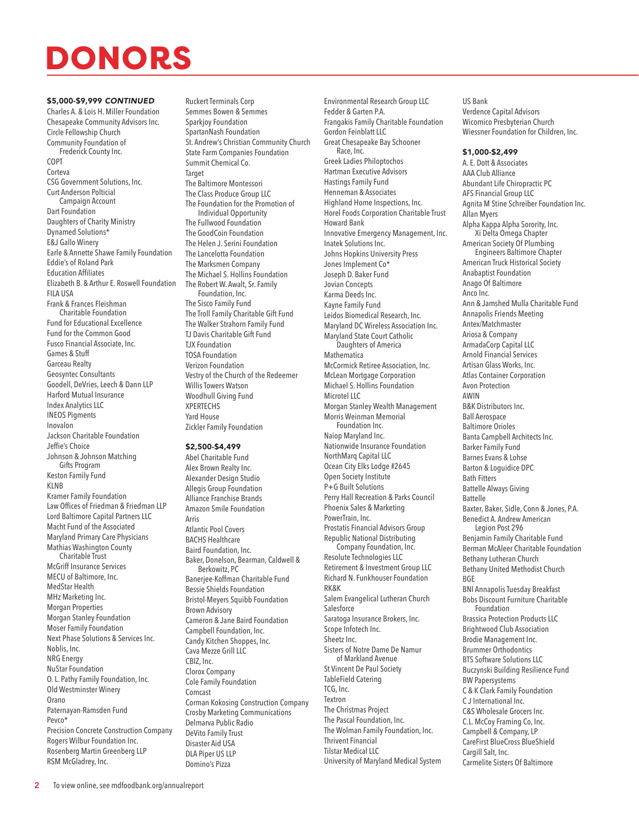### \$5,000-\$9,999 *CONTINUED*

Charles A. & Lois H. Miller Foundation Chesapeake Community Advisors Inc. Circle Fellowship Church Community Foundation of Frederick County Inc. COPT Corteva CSG Government Solutions, Inc. Curt Anderson Polticial Campaign Account Dart Foundation Daughters of Charity Ministry Dynamed Solutions\* E&J Gallo Winery Earle & Annette Shawe Family Foundation Eddie's of Roland Park Education Affiliates Elizabeth B. & Arthur E. Roswell Foundation FILA USA Frank & Frances Fleishman Charitable Foundation Fund for Educational Excellence Fund for the Common Good Fusco Financial Associate, Inc. Games & Stuff Garceau Realty Geosyntec Consultants Goodell, DeVries, Leech & Dann LLP Harford Mutual Insurance Index Analytics LLC INEOS Pigments Inovalon Jackson Charitable Foundation Jeffie's Choice Johnson & Johnson Matching Gifts Program Keston Family Fund KLNB Kramer Family Foundation Law Offices of Friedman & Friedman LLP Lord Baltimore Capital Partners LLC Macht Fund of the Associated Maryland Primary Care Physicians Mathias Washington County Charitable Trust McGriff Insurance Services MECU of Baltimore, Inc. MedStar Health MHz Marketing Inc. Morgan Properties Morgan Stanley Foundation Moser Family Foundation Next Phase Solutions & Services Inc. Noblis, Inc. NRG Energy NuStar Foundation O. L. Pathy Family Foundation, Inc. Old Westminster Winery Orano Paternayan-Ramsden Fund Pevco\* Precision Concrete Construction Company Rogers Wilbur Foundation Inc.

Ruckert Terminals Corp Semmes Bowen & Semmes Sparkjoy Foundation SpartanNash Foundation St. Andrew's Christian Community Church State Farm Companies Foundation Summit Chemical Co. Target The Baltimore Montessori The Class Produce Group LLC The Foundation for the Promotion of Individual Opportunity The Fullwood Foundation The GoodCoin Foundation The Helen J. Serini Foundation The Lancelotta Foundation The Marksmen Company The Michael S. Hollins Foundation The Robert W. Awalt, Sr. Family Foundation, Inc. The Sisco Family Fund The Troll Family Charitable Gift Fund The Walker Strahorn Family Fund TJ Davis Charitable Gift Fund TJX Foundation TOSA Foundation Verizon Foundation Vestry of the Church of the Redeemer Willis Towers Watson Woodhull Giving Fund XPERTECHS Yard House Zickler Family Foundation

### \$2,500-\$4,499

Abel Charitable Fund Alex Brown Realty Inc. Alexander Design Studio Allegis Group Foundation Alliance Franchise Brands Amazon Smile Foundation Arris Atlantic Pool Covers BACHS Healthcare Baird Foundation, Inc. Baker, Donelson, Bearman, Caldwell & Berkowitz, PC Banerjee-Koffman Charitable Fund Bessie Shields Foundation Bristol-Meyers Squibb Foundation Brown Advisory Cameron & Jane Baird Foundation Campbell Foundation, Inc. Candy Kitchen Shoppes, Inc. Cava Mezze Grill LLC CBIZ, Inc. Clorox Company Cole Family Foundation Comcast Corman Kokosing Construction Company Crosby Marketing Communications Delmarva Public Radio DeVito Family Trust Disaster Aid USA DLA Piper US LLP Domino's Pizza

Environmental Research Group LLC Fedder & Garten P.A. Frangakis Family Charitable Foundation Gordon Feinblatt LLC Great Chesapeake Bay Schooner Race, Inc. Greek Ladies Philoptochos Hartman Executive Advisors Hastings Family Fund Henneman & Associates Highland Home Inspections, Inc. Horel Foods Corporation Charitable Trust Howard Bank Innovative Emergency Management, Inc. Inatek Solutions Inc. Johns Hopkins University Press Jones Implement Co\* Joseph D. Baker Fund Jovian Concepts Karma Deeds Inc. Kayne Family Fund Leidos Biomedical Research, Inc. Maryland DC Wireless Association Inc. Maryland State Court Catholic Daughters of America Mathematica McCormick Retiree Association, Inc. McLean Mortgage Corporation Michael S. Hollins Foundation Microtel LLC Morgan Stanley Wealth Management Morris Weinman Memorial Foundation Inc. Naiop Maryland Inc. Nationwide Insurance Foundation NorthMarq Capital LLC Ocean City Elks Lodge #2645 Open Society Institute P+G Built Solutions Perry Hall Recreation & Parks Council Phoenix Sales & Marketing PowerTrain, Inc. Prostatis Financial Advisors Group Republic National Distributing Company Foundation, Inc. Resolute Technologies LLC Retirement & Investment Group LLC Richard N. Funkhouser Foundation RK&K Salem Evangelical Lutheran Church **Salesforce** Saratoga Insurance Brokers, Inc. Scope Infotech Inc. Sheetz Inc. Sisters of Notre Dame De Namur of Markland Avenue St Vincent De Paul Society TableField Catering TCG, Inc. Textron The Christmas Project The Pascal Foundation, Inc. The Wolman Family Foundation, Inc. Thrivent Financial Tilstar Medical LLC University of Maryland Medical System

US Bank Verdence Capital Advisors Wicomico Presbyterian Church Wiessner Foundation for Children, Inc.

#### \$1,000-\$2,499

A. E. Dott & Associates AAA Club Alliance Abundant Life Chiropractic PC AFS Financial Group LLC Agnita M Stine Schreiber Foundation Inc. Allan Myers Alpha Kappa Alpha Sorority, Inc. Xi Delta Omega Chapter American Society Of Plumbing Engineers Baltimore Chapter American Truck Historical Society Anabaptist Foundation Anago Of Baltimore Anco Inc. Ann & Jamshed Mulla Charitable Fund Annapolis Friends Meeting Antex/Matchmaster Ariosa & Company ArmadaCorp Capital LLC Arnold Financial Services Artisan Glass Works, Inc. Atlas Container Corporation Avon Protection AWIN B&K Distributors Inc. Ball Aerospace Baltimore Orioles Banta Campbell Architects Inc. Barker Family Fund Barnes Evans & Lohse Barton & Loguidice DPC Bath Fitters Battelle Always Giving Battelle Baxter, Baker, Sidle, Conn & Jones, P.A. Benedict A. Andrew American Legion Post 296 Benjamin Family Charitable Fund Berman McAleer Charitable Foundation Bethany Lutheran Church Bethany United Methodist Church BGE BNI Annapolis Tuesday Breakfast Bobs Discount Furniture Charitable Foundation Brassica Protection Products LLC Brightwood Club Association Brodie Management Inc. Brummer Orthodontics BTS Software Solutions LLC Buczynski Building Resilience Fund BW Papersystems C & K Clark Family Foundation C J International Inc. C&S Wholesale Grocers Inc. C.L. McCoy Framing Co, Inc. Campbell & Company, LP CareFirst BlueCross BlueShield Cargill Salt, Inc. Carmelite Sisters Of Baltimore

Rosenberg Martin Greenberg LLP

RSM McGladrey, Inc.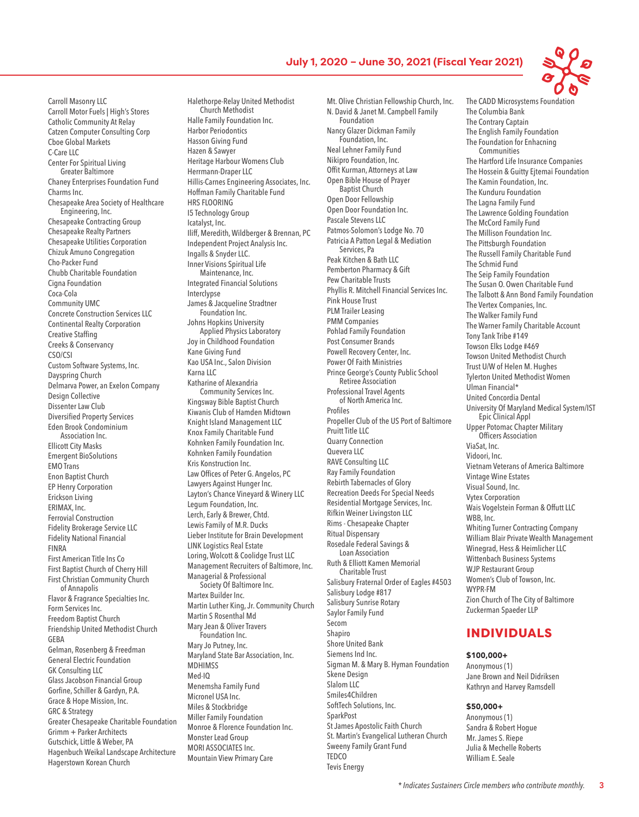

Carroll Masonry LLC Carroll Motor Fuels | High's Stores Catholic Community At Relay Catzen Computer Consulting Corp Cboe Global Markets C-Care LLC Center For Spiritual Living Greater Baltimore Chaney Enterprises Foundation Fund Charms Inc. Chesapeake Area Society of Healthcare Engineering, Inc. Chesapeake Contracting Group Chesapeake Realty Partners Chesapeake Utilities Corporation Chizuk Amuno Congregation Cho-Packer Fund Chubb Charitable Foundation Cigna Foundation Coca-Cola Community UMC Concrete Construction Services LLC Continental Realty Corporation Creative Staffing Creeks & Conservancy CSO/CSI Custom Software Systems, Inc. Dayspring Church Delmarva Power, an Exelon Company Design Collective Dissenter Law Club Diversified Property Services Eden Brook Condominium Association Inc. Ellicott City Masks Emergent BioSolutions EMO Trans Enon Baptist Church EP Henry Corporation Erickson Living ERIMAX, Inc. Ferrovial Construction Fidelity Brokerage Service LLC Fidelity National Financial FINRA First American Title Ins Co First Baptist Church of Cherry Hill First Christian Community Church of Annapolis Flavor & Fragrance Specialties Inc. Form Services Inc. Freedom Baptist Church Friendship United Methodist Church GEBA Gelman, Rosenberg & Freedman General Electric Foundation GK Consulting LLC Glass Jacobson Financial Group Gorfine, Schiller & Gardyn, P.A. Grace & Hope Mission, Inc. GRC & Strategy Greater Chesapeake Charitable Foundation Grimm + Parker Architects Gutschick, Little & Weber, PA Hagenbuch Weikal Landscape Architecture Hagerstown Korean Church

Halethorpe-Relay United Methodist Church Methodist Halle Family Foundation Inc. Harbor Periodontics Hasson Giving Fund Hazen & Sawyer Heritage Harbour Womens Club Herrmann-Draper LLC Hillis-Carnes Engineering Associates, Inc. Hoffman Family Charitable Fund HRS FLOORING I5 Technology Group Icatalyst, Inc. Iliff, Meredith, Wildberger & Brennan, PC Independent Project Analysis Inc. Ingalls & Snyder LLC. Inner Visions Spiritual Life Maintenance, Inc. Integrated Financial Solutions Interclypse James & Jacqueline Stradtner Foundation Inc. Johns Hopkins University Applied Physics Laboratory Joy in Childhood Foundation Kane Giving Fund Kao USA Inc., Salon Division Karna LLC Katharine of Alexandria Community Services Inc. Kingsway Bible Baptist Church Kiwanis Club of Hamden Midtown Knight Island Management LLC Knox Family Charitable Fund Kohnken Family Foundation Inc. Kohnken Family Foundation Kris Konstruction Inc. Law Offices of Peter G. Angelos, PC Lawyers Against Hunger Inc. Layton's Chance Vineyard & Winery LLC Legum Foundation, Inc. Lerch, Early & Brewer, Chtd. Lewis Family of M.R. Ducks Lieber Institute for Brain Development LINK Logistics Real Estate Loring, Wolcott & Coolidge Trust LLC Management Recruiters of Baltimore, Inc. Managerial & Professional Society Of Baltimore Inc. Martex Builder Inc. Martin Luther King, Jr. Community Church Martin S Rosenthal Md Mary Jean & Oliver Travers Foundation Inc. Mary Jo Putney, Inc. Maryland State Bar Association, Inc. MDHIMSS Med-IQ Menemsha Family Fund Micronel USA Inc. Miles & Stockbridge Miller Family Foundation Monroe & Florence Foundation Inc. Monster Lead Group MORI ASSOCIATES Inc. Mountain View Primary Care

Mt. Olive Christian Fellowship Church, Inc. N. David & Janet M. Campbell Family Foundation Nancy Glazer Dickman Family Foundation, Inc. Neal Lehner Family Fund Nikipro Foundation, Inc. Offit Kurman, Attorneys at Law Open Bible House of Prayer Baptist Church Open Door Fellowship Open Door Foundation Inc. Pascale Stevens LLC Patmos-Solomon's Lodge No. 70 Patricia A Patton Legal & Mediation Services, Pa Peak Kitchen & Bath LLC Pemberton Pharmacy & Gift Pew Charitable Trusts Phyllis R. Mitchell Financial Services Inc. Pink House Trust PLM Trailer Leasing PMM Companies Pohlad Family Foundation Post Consumer Brands Powell Recovery Center, Inc. Power Of Faith Ministries Prince George's County Public School Retiree Association Professional Travel Agents of North America Inc. Profiles Propeller Club of the US Port of Baltimore Pruitt Title LLC Quarry Connection Quevera LLC RAVE Consulting LLC Ray Family Foundation Rebirth Tabernacles of Glory Recreation Deeds For Special Needs Residential Mortgage Services, Inc. Rifkin Weiner Livingston LLC Rims - Chesapeake Chapter Ritual Dispensary Rosedale Federal Savings & Loan Association Ruth & Elliott Kamen Memorial Charitable Trust Salisbury Fraternal Order of Eagles #4503 Salisbury Lodge #817 Salisbury Sunrise Rotary Saylor Family Fund Secom Shapiro Shore United Bank Siemens Ind Inc. Sigman M. & Mary B. Hyman Foundation Skene Design Slalom LLC Smiles4Children SoftTech Solutions, Inc. **SparkPost** St James Apostolic Faith Church St. Martin's Evangelical Lutheran Church Sweeny Family Grant Fund TEDCO

Tevis Energy

The Columbia Bank The Contrary Captain The English Family Foundation The Foundation for Enhacning Communities The Hartford Life Insurance Companies The Hossein & Guitty Ejtemai Foundation The Kamin Foundation, Inc. The Kunduru Foundation The Lagna Family Fund The Lawrence Golding Foundation The McCord Family Fund The Millison Foundation Inc. The Pittsburgh Foundation The Russell Family Charitable Fund The Schmid Fund The Seip Family Foundation The Susan O. Owen Charitable Fund The Talbott & Ann Bond Family Foundation The Vertex Companies, Inc. The Walker Family Fund The Warner Family Charitable Account Tony Tank Tribe #149 Towson Elks Lodge #469 Towson United Methodist Church Trust U/W of Helen M. Hughes Tylerton United Methodist Women Ulman Financial\* United Concordia Dental University Of Maryland Medical System/IST Epic Clinical Appl Upper Potomac Chapter Military Officers Association ViaSat, Inc. Vidoori, Inc. Vietnam Veterans of America Baltimore Vintage Wine Estates Visual Sound, Inc. Vytex Corporation Wais Vogelstein Forman & Offutt LLC WBB, Inc. Whiting Turner Contracting Company William Blair Private Wealth Management Winegrad, Hess & Heimlicher LLC Wittenbach Business Systems WJP Restaurant Group Women's Club of Towson, Inc. WYPR-FM Zion Church of The City of Baltimore Zuckerman Spaeder LLP

## INDIVIDUALS

\$100,000+

Anonymous (1) Jane Brown and Neil Didriksen Kathryn and Harvey Ramsdell

#### \$50,000+

Anonymous (1) Sandra & Robert Hogue Mr. James S. Riepe Julia & Mechelle Roberts William E. Seale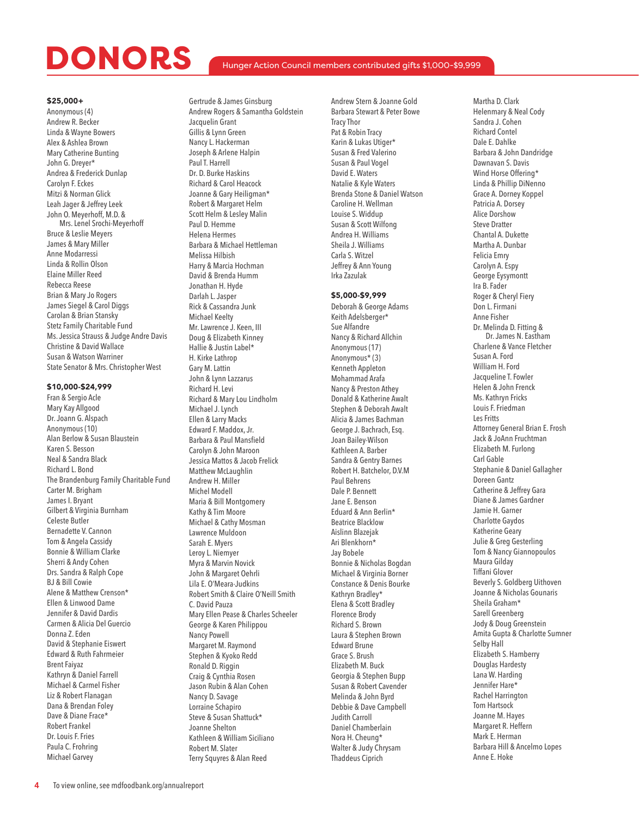### Hunger Action Council members contributed gifts \$1,000-\$9,999

#### \$25,000+

Anonymous (4) Andrew R. Becker Linda & Wayne Bowers Alex & Ashlea Brown Mary Catherine Bunting John G. Dreyer\* Andrea & Frederick Dunlap Carolyn F. Eckes Mitzi & Norman Glick Leah Jager & Jeffrey Leek John O. Meyerhoff, M.D. & Mrs. Lenel Srochi-Meyerhoff Bruce & Leslie Meyers James & Mary Miller Anne Modarressi Linda & Rollin Olson Elaine Miller Reed Rebecca Reese Brian & Mary Jo Rogers James Siegel & Carol Diggs Carolan & Brian Stansky Stetz Family Charitable Fund Ms. Jessica Strauss & Judge Andre Davis Christine & David Wallace Susan & Watson Warriner State Senator & Mrs. Christopher West

### \$10,000-\$24,999

Fran & Sergio Acle Mary Kay Allgood Dr. Joann G. Alspach Anonymous (10) Alan Berlow & Susan Blaustein Karen S. Besson Neal & Sandra Black Richard L. Bond The Brandenburg Family Charitable Fund Carter M. Brigham James I. Bryant Gilbert & Virginia Burnham Celeste Butler Bernadette V. Cannon Tom & Angela Cassidy Bonnie & William Clarke Sherri & Andy Cohen Drs. Sandra & Ralph Cope BJ & Bill Cowie Alene & Matthew Crenson\* Ellen & Linwood Dame Jennifer & David Dardis Carmen & Alicia Del Guercio Donna Z. Eden David & Stephanie Eiswert Edward & Ruth Fahrmeier Brent Faiyaz Kathryn & Daniel Farrell Michael & Carmel Fisher Liz & Robert Flanagan Dana & Brendan Foley Dave & Diane Frace\* Robert Frankel Dr. Louis F. Fries Paula C. Frohring Michael Garvey

Gertrude & James Ginsburg Andrew Rogers & Samantha Goldstein Jacquelin Grant Gillis & Lynn Green Nancy L. Hackerman Joseph & Arlene Halpin Paul T. Harrell Dr. D. Burke Haskins Richard & Carol Heacock Joanne & Gary Heiligman\* Robert & Margaret Helm Scott Helm & Lesley Malin Paul D. Hemme Helena Hermes Barbara & Michael Hettleman Melissa Hilbish Harry & Marcia Hochman David & Brenda Humm Jonathan H. Hyde Darlah L. Jasper Rick & Cassandra Junk Michael Keelty Mr. Lawrence J. Keen, III Doug & Elizabeth Kinney Hallie & Justin Label\* H. Kirke Lathrop Gary M. Lattin John & Lynn Lazzarus Richard H. Levi Richard & Mary Lou Lindholm Michael J. Lynch Ellen & Larry Macks Edward F. Maddox, Jr. Barbara & Paul Mansfield Carolyn & John Maroon Jessica Mattos & Jacob Frelick Matthew McLaughlin Andrew H. Miller Michel Modell Maria & Bill Montgomery Kathy & Tim Moore Michael & Cathy Mosman Lawrence Muldoon Sarah E. Myers Leroy L. Niemyer Myra & Marvin Novick John & Margaret Oehrli Lila E. O'Meara-Judkins Robert Smith & Claire O'Neill Smith C. David Pauza Mary Ellen Pease & Charles Scheeler George & Karen Philippou Nancy Powell Margaret M. Raymond Stephen & Kyoko Redd Ronald D. Riggin Craig & Cynthia Rosen Jason Rubin & Alan Cohen Nancy D. Savage Lorraine Schapiro Steve & Susan Shattuck\* Joanne Shelton Kathleen & William Siciliano Robert M. Slater Terry Squyres & Alan Reed

Andrew Stern & Joanne Gold Barbara Stewart & Peter Bowe Tracy Thor Pat & Robin Tracy Karin & Lukas Utiger\* Susan & Fred Valerino Susan & Paul Vogel David E. Waters Natalie & Kyle Waters Brenda Stone & Daniel Watson Caroline H. Wellman Louise S. Widdup Susan & Scott Wilfong Andrea H. Williams Sheila J. Williams Carla S. Witzel Jeffrey & Ann Young Irka Zazulak

### \$5,000-\$9,999

Deborah & George Adams Keith Adelsberger\* Sue Alfandre Nancy & Richard Allchin Anonymous (17) Anonymous\* (3) Kenneth Appleton Mohammad Arafa Nancy & Preston Athey Donald & Katherine Awalt Stephen & Deborah Awalt Alicia & James Bachman George J. Bachrach, Esq. Joan Bailey-Wilson Kathleen A. Barber Sandra & Gentry Barnes Robert H. Batchelor, D.V.M Paul Behrens Dale P. Bennett Jane E. Benson Eduard & Ann Berlin\* Beatrice Blacklow Aislinn Blazejak Ari Blenkhorn\* Jay Bobele Bonnie & Nicholas Bogdan Michael & Virginia Borner Constance & Denis Bourke Kathryn Bradley\* Elena & Scott Bradley Florence Brody Richard S. Brown Laura & Stephen Brown Edward Brune Grace S. Brush Elizabeth M. Buck Georgia & Stephen Bupp Susan & Robert Cavender Melinda & John Byrd Debbie & Dave Campbell Judith Carroll Daniel Chamberlain Nora H. Cheung\* Walter & Judy Chrysam Thaddeus Ciprich

Martha D. Clark Helenmary & Neal Cody Sandra J. Cohen Richard Contel Dale E. Dahlke Barbara & John Dandridge Dawnavan S. Davis Wind Horse Offering\* Linda & Phillip DiNenno Grace A. Dorney Koppel Patricia A. Dorsey Alice Dorshow Steve Dratter Chantal A. Dukette Martha A. Dunbar Felicia Emry Carolyn A. Espy George Eysymontt Ira B. Fader Roger & Cheryl Fiery Don L. Firmani Anne Fisher Dr. Melinda D. Fitting & Dr. James N. Eastham Charlene & Vance Fletcher Susan A. Ford William H. Ford Jacqueline T. Fowler Helen & John Frenck Ms. Kathryn Fricks Louis F. Friedman Les Fritts Attorney General Brian E. Frosh Jack & JoAnn Fruchtman Elizabeth M. Furlong Carl Gable Stephanie & Daniel Gallagher Doreen Gantz Catherine & Jeffrey Gara Diane & James Gardner Jamie H. Garner Charlotte Gaydos Katherine Geary Julie & Greg Gesterling Tom & Nancy Giannopoulos Maura Gilday Tiffani Glover Beverly S. Goldberg Uithoven Joanne & Nicholas Gounaris Sheila Graham\* Sarell Greenberg Jody & Doug Greenstein Amita Gupta & Charlotte Sumner Selby Hall Elizabeth S. Hamberry Douglas Hardesty Lana W. Harding Jennifer Hare\* Rachel Harrington Tom Hartsock Joanne M. Hayes Margaret R. Heffern Mark E. Herman Barbara Hill & Ancelmo Lopes Anne E. Hoke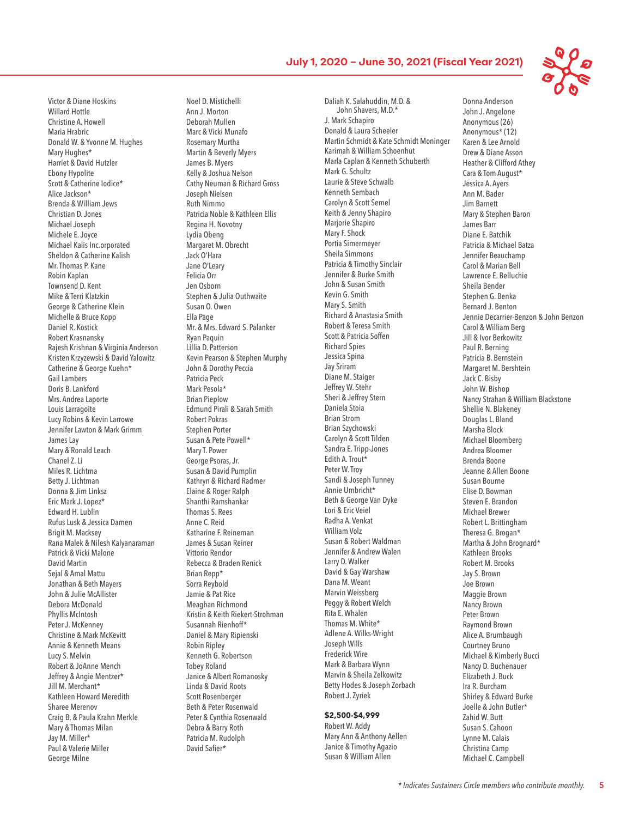Victor & Diane Hoskins Willard Hottle Christine A. Howell Maria Hrabric Donald W. & Yvonne M. Hughes Mary Hughes\* Harriet & David Hutzler Ebony Hypolite Scott & Catherine Iodice\* Alice Jackson\* Brenda & William Jews Christian D. Jones Michael Joseph Michele E. Joyce Michael Kalis Inc.orporated Sheldon & Catherine Kalish Mr. Thomas P. Kane Robin Kaplan Townsend D. Kent Mike & Terri Klatzkin George & Catherine Klein Michelle & Bruce Kopp Daniel R. Kostick Robert Krasnansky Rajesh Krishnan & Virginia Anderson Kristen Krzyzewski & David Yalowitz Catherine & George Kuehn\* Gail Lambers Doris B. Lankford Mrs. Andrea Laporte Louis Larragoite Lucy Robins & Kevin Larrowe Jennifer Lawton & Mark Grimm James Lay Mary & Ronald Leach Chanel Z. Li Miles R. Lichtma Betty J. Lichtman Donna & Jim Linksz Eric Mark J. Lopez\* Edward H. Lublin Rufus Lusk & Jessica Damen Brigit M. Macksey Rana Malek & Nilesh Kalyanaraman Patrick & Vicki Malone David Martin Seial & Amal Mattu Jonathan & Beth Mayers John & Julie McAllister Debora McDonald Phyllis McIntosh Peter J. McKenney Christine & Mark McKevitt Annie & Kenneth Means Lucy S. Melvin Robert & JoAnne Mench Jeffrey & Angie Mentzer\* Jill M. Merchant\* Kathleen Howard Meredith Sharee Merenov Craig B. & Paula Krahn Merkle Mary & Thomas Milan Jay M. Miller\* Paul & Valerie Miller George Milne

Noel D. Mistichelli Ann J. Morton Deborah Mullen Marc & Vicki Munafo Rosemary Murtha Martin & Beverly Myers James B. Myers Kelly & Joshua Nelson Cathy Neuman & Richard Gross Joseph Nielsen Ruth Nimmo Patricia Noble & Kathleen Ellis Regina H. Novotny Lydia Obeng Margaret M. Obrecht Jack O'Hara Jane O'Leary Felicia Orr Jen Osborn Stephen & Julia Outhwaite Susan O. Owen Ella Page Mr. & Mrs. Edward S. Palanker Ryan Paquin Lillia D. Patterson Kevin Pearson & Stephen Murphy John & Dorothy Peccia Patricia Peck Mark Pesola\* Brian Pieplow Edmund Pirali & Sarah Smith Robert Pokras Stephen Porter Susan & Pete Powell\* Mary T. Power George Psoras, Jr. Susan & David Pumplin Kathryn & Richard Radmer Elaine & Roger Ralph Shanthi Ramshankar Thomas S. Rees Anne C. Reid Katharine F. Reineman James & Susan Reiner Vittorio Rendor Rebecca & Braden Renick Brian Repp\* Sorra Reybold Jamie & Pat Rice Meaghan Richmond Kristin & Keith Riekert-Strohman Susannah Rienhoff\* Daniel & Mary Ripienski Robin Ripley Kenneth G. Robertson Tobey Roland Janice & Albert Romanosky Linda & David Roots Scott Rosenberger Beth & Peter Rosenwald Peter & Cynthia Rosenwald Debra & Barry Roth Patricia M. Rudolph David Safier\*

Daliah K. Salahuddin, M.D. & John Shavers, M.D.\* J. Mark Schapiro Donald & Laura Scheeler Martin Schmidt & Kate Schmidt Moninger Karimah & William Schoenhut Marla Caplan & Kenneth Schuberth Mark G. Schultz Laurie & Steve Schwalb Kenneth Sembach Carolyn & Scott Semel Keith & Jenny Shapiro Marjorie Shapiro Mary F. Shock Portia Simermeyer Sheila Simmons Patricia & Timothy Sinclair Jennifer & Burke Smith John & Susan Smith Kevin G. Smith Mary S. Smith Richard & Anastasia Smith Robert & Teresa Smith Scott & Patricia Soffen Richard Spies Jessica Spina Jay Sriram Diane M. Staiger Jeffrey W. Stehr Sheri & Jeffrey Stern Daniela Stoia Brian Strom Brian Szychowski Carolyn & Scott Tilden Sandra E. Tripp-Jones Edith A. Trout\* Peter W. Troy Sandi & Joseph Tunney Annie Umbricht\* Beth & George Van Dyke Lori & Eric Veiel Radha A. Venkat William Volz Susan & Robert Waldman Jennifer & Andrew Walen Larry D. Walker David & Gay Warshaw Dana M. Weant Marvin Weissberg Peggy & Robert Welch Rita E. Whalen Thomas M. White\* Adlene A. Wilks-Wright Joseph Wills Frederick Wire Mark & Barbara Wynn Marvin & Sheila Zelkowitz Betty Hodes & Joseph Zorbach Robert J. Zyriek

## \$2,500-\$4,999

Robert W. Addy Mary Ann & Anthony Aellen Janice & Timothy Agazio Susan & William Allen

Donna Anderson John J. Angelone Anonymous (26) Anonymous\* (12) Karen & Lee Arnold Drew & Diane Asson Heather & Clifford Athey Cara & Tom August\* Jessica A. Ayers Ann M. Bader Jim Barnett Mary & Stephen Baron James Barr Diane E. Batchik Patricia & Michael Batza Jennifer Beauchamp Carol & Marian Bell Lawrence E. Belluchie Sheila Bender Stephen G. Benka Bernard J. Benton Jennie Decarrier-Benzon & John Benzon Carol & William Berg Jill & Ivor Berkowitz Paul R. Berning Patricia B. Bernstein Margaret M. Bershtein Jack C. Bisby John W. Bishop Nancy Strahan & William Blackstone Shellie N. Blakeney Douglas L. Bland Marsha Block Michael Bloomberg Andrea Bloomer Brenda Boone Jeanne & Allen Boone Susan Bourne Elise D. Bowman Steven E. Brandon Michael Brewer Robert L. Brittingham Theresa G. Brogan\* Martha & John Brognard\* Kathleen Brooks Robert M. Brooks Jay S. Brown Joe Brown Maggie Brown Nancy Brown Peter Brown Raymond Brown Alice A. Brumbaugh Courtney Bruno Michael & Kimberly Bucci Nancy D. Buchenauer Elizabeth J. Buck Ira R. Burcham Shirley & Edward Burke Joelle & John Butler\* Zahid W. Butt Susan S. Cahoon Lynne M. Calais Christina Camp Michael C. Campbell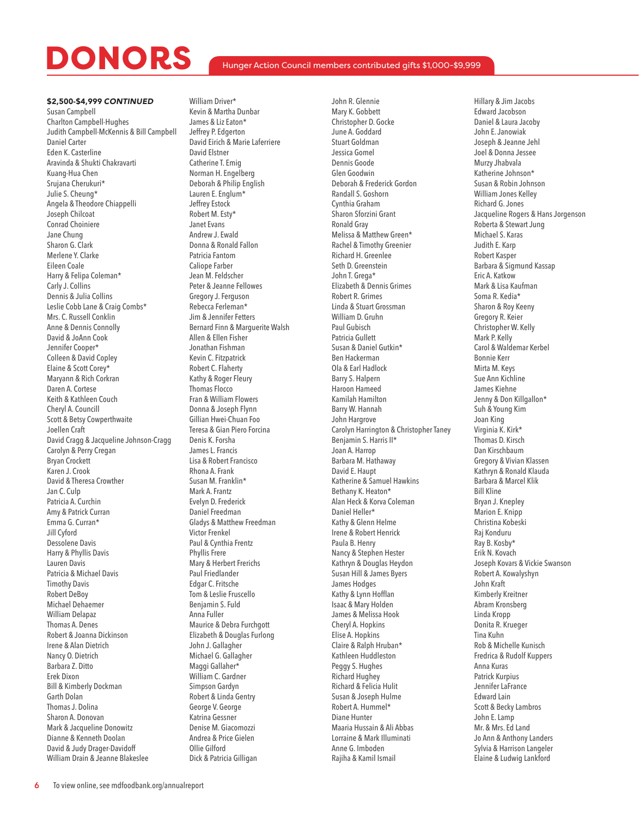### Hunger Action Council members contributed gifts \$1,000-\$9,999

#### \$2,500-\$4,999 *CONTINUED*

Susan Campbell Charlton Campbell-Hughes Judith Campbell-McKennis & Bill Campbell Daniel Carter Eden K. Casterline Aravinda & Shukti Chakravarti Kuang-Hua Chen Srujana Cherukuri\* Julie S. Cheung\* Angela & Theodore Chiappelli Joseph Chilcoat Conrad Choiniere Jane Chung Sharon G. Clark Merlene Y. Clarke Eileen Coale Harry & Felipa Coleman\* Carly J. Collins Dennis & Julia Collins Leslie Cobb Lane & Craig Combs\* Mrs. C. Russell Conklin Anne & Dennis Connolly David & JoAnn Cook Jennifer Cooper\* Colleen & David Copley Elaine & Scott Corey\* Maryann & Rich Corkran Daren A. Cortese Keith & Kathleen Couch Cheryl A. Councill Scott & Betsy Cowperthwaite Joellen Craft David Cragg & Jacqueline Johnson-Cragg Carolyn & Perry Cregan Bryan Crockett Karen J. Crook David & Theresa Crowther Jan C. Culp Patricia A. Curchin Amy & Patrick Curran Emma G. Curran\* Jill Cyford Dessolene Davis Harry & Phyllis Davis Lauren Davis Patricia & Michael Davis Timothy Davis Robert DeBoy Michael Dehaemer William Delapaz Thomas A. Denes Robert & Joanna Dickinson Irene & Alan Dietrich Nancy O. Dietrich Barbara Z. Ditto Erek Dixon Bill & Kimberly Dockman Garth Dolan Thomas J. Dolina Sharon A. Donovan Mark & Jacqueline Donowitz Dianne & Kenneth Doolan David & Judy Drager-Davidoff William Drain & Jeanne Blakeslee

William Driver\* Kevin & Martha Dunbar James & Liz Eaton\* Jeffrey P. Edgerton David Eirich & Marie Laferriere David Elstner Catherine T. Emig Norman H. Engelberg Deborah & Philip English Lauren E. Englum\* Jeffrey Estock Robert M. Esty\* Janet Evans Andrew J. Ewald Donna & Ronald Fallon Patricia Fantom Caliope Farber Jean M. Feldscher Peter & Jeanne Fellowes Gregory J. Ferguson Rebecca Ferleman\* Jim & Jennifer Fetters Bernard Finn & Marguerite Walsh Allen & Ellen Fisher Jonathan Fishman Kevin C. Fitzpatrick Robert C. Flaherty Kathy & Roger Fleury Thomas Flocco Fran & William Flowers Donna & Joseph Flynn Gillian Hwei-Chuan Foo Teresa & Gian Piero Forcina Denis K. Forsha James L. Francis Lisa & Robert Francisco Rhona A. Frank Susan M. Franklin\* Mark A. Frantz Evelyn D. Frederick Daniel Freedman Gladys & Matthew Freedman Victor Frenkel Paul & Cynthia Frentz Phyllis Frere Mary & Herbert Frerichs Paul Friedlander Edgar C. Fritsche Tom & Leslie Fruscello Benjamin S. Fuld Anna Fuller Maurice & Debra Furchgott Elizabeth & Douglas Furlong John J. Gallagher Michael G. Gallagher Maggi Gallaher\* William C. Gardner Simpson Gardyn Robert & Linda Gentry George V. George Katrina Gessner Denise M. Giacomozzi Andrea & Price Gielen Ollie Gilford Dick & Patricia Gilligan

John R. Glennie Mary K. Gobbett Christopher D. Gocke June A. Goddard Stuart Goldman Jessica Gomel Dennis Goode Glen Goodwin Deborah & Frederick Gordon Randall S. Goshorn Cynthia Graham Sharon Sforzini Grant Ronald Gray Melissa & Matthew Green\* Rachel & Timothy Greenier Richard H. Greenlee Seth D. Greenstein John T. Grega\* Elizabeth & Dennis Grimes Robert R. Grimes Linda & Stuart Grossman William D. Gruhn Paul Gubisch Patricia Gullett Susan & Daniel Gutkin\* Ben Hackerman Ola & Earl Hadlock Barry S. Halpern Haroon Hameed Kamilah Hamilton Barry W. Hannah John Hargrove Carolyn Harrington & Christopher Taney Benjamin S. Harris II\* Joan A. Harrop Barbara M. Hathaway David E. Haupt Katherine & Samuel Hawkins Bethany K. Heaton\* Alan Heck & Korva Coleman Daniel Heller\* Kathy & Glenn Helme Irene & Robert Henrick Paula B. Henry Nancy & Stephen Hester Kathryn & Douglas Heydon Susan Hill & James Byers James Hodges Kathy & Lynn Hofflan Isaac & Mary Holden James & Melissa Hook Cheryl A. Hopkins Elise A. Hopkins Claire & Ralph Hruban\* Kathleen Huddleston Peggy S. Hughes Richard Hughey Richard & Felicia Hulit Susan & Joseph Hulme Robert A. Hummel\* Diane Hunter Maaria Hussain & Ali Abbas Lorraine & Mark Illuminati Anne G. Imboden Rajiha & Kamil Ismail

Hillary & Jim Jacobs Edward Jacobson Daniel & Laura Jacoby John E. Janowiak Joseph & Jeanne Jehl Joel & Donna Jessee Murzy Jhabvala Katherine Johnson\* Susan & Robin Johnson William Jones Kelley Richard G. Jones Jacqueline Rogers & Hans Jorgenson Roberta & Stewart Jung Michael S. Karas Judith E. Karp Robert Kasper Barbara & Sigmund Kassap Eric A. Katkow Mark & Lisa Kaufman Soma R. Kedia\* Sharon & Roy Keeny Gregory R. Keier Christopher W. Kelly Mark P. Kelly Carol & Waldemar Kerbel Bonnie Kerr Mirta M. Keys Sue Ann Kichline James Kiehne Jenny & Don Killgallon\* Suh & Young Kim Joan King Virginia K. Kirk\* Thomas D. Kirsch Dan Kirschbaum Gregory & Vivian Klassen Kathryn & Ronald Klauda Barbara & Marcel Klik Bill Kline Bryan J. Knepley Marion E. Knipp Christina Kobeski Raj Konduru Ray B. Kosby\* Erik N. Kovach Joseph Kovars & Vickie Swanson Robert A. Kowalyshyn John Kraft Kimberly Kreitner Abram Kronsberg Linda Kropp Donita R. Krueger Tina Kuhn Rob & Michelle Kunisch Fredrica & Rudolf Kuppers Anna Kuras Patrick Kurpius Jennifer LaFrance Edward Lain Scott & Becky Lambros John E. Lamp Mr. & Mrs. Ed Land Jo Ann & Anthony Landers Sylvia & Harrison Langeler Elaine & Ludwig Lankford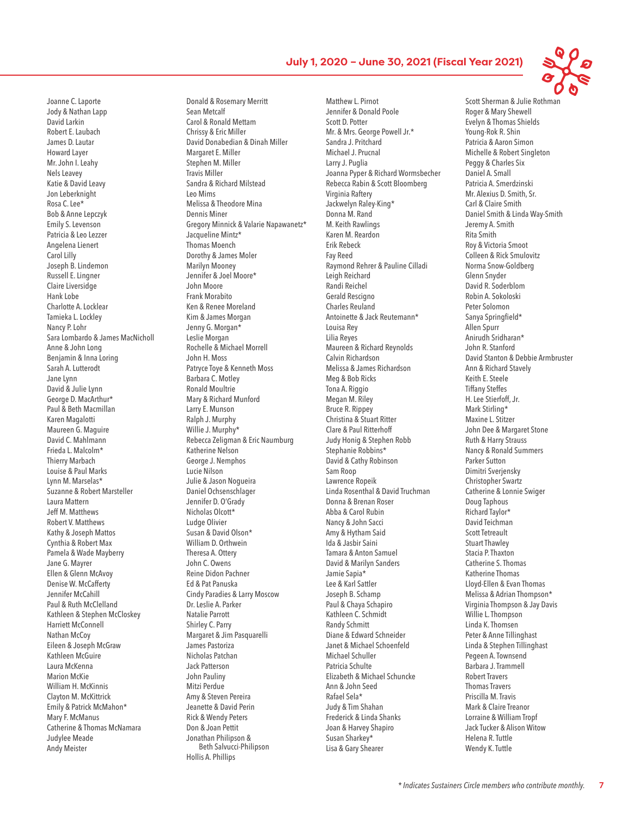Joanne C. Laporte Jody & Nathan Lapp David Larkin Robert E. Laubach James D. Lautar Howard Layer Mr. John I. Leahy Nels Leavey Katie & David Leavy Jon Leberknight Rosa C. Lee\* Bob & Anne Lepczyk Emily S. Levenson Patricia & Leo Lezzer Angelena Lienert Carol Lilly Joseph B. Lindemon Russell E. Lingner Claire Liversidge Hank Lobe Charlotte A. Locklear Tamieka L. Lockley Nancy P. Lohr Sara Lombardo & James MacNicholl Anne & John Long Benjamin & Inna Loring Sarah A. Lutterodt Jane Lynn David & Julie Lynn George D. MacArthur\* Paul & Beth Macmillan Karen Magalotti Maureen G. Maguire David C. Mahlmann Frieda L. Malcolm\* Thierry Marbach Louise & Paul Marks Lynn M. Marselas\* Suzanne & Robert Marsteller Laura Mattern Jeff M. Matthews Robert V. Matthews Kathy & Joseph Mattos Cynthia & Robert Max Pamela & Wade Mayberry Jane G. Mayrer Ellen & Glenn McAvoy Denise W. McCafferty Jennifer McCahill Paul & Ruth McClelland Kathleen & Stephen McCloskey Harriett McConnell Nathan McCoy Eileen & Joseph McGraw Kathleen McGuire Laura McKenna Marion McKie William H. McKinnis Clayton M. McKittrick Emily & Patrick McMahon\* Mary F. McManus Catherine & Thomas McNamara Judylee Meade Andy Meister

Donald & Rosemary Merritt Sean Metcalf Carol & Ronald Mettam Chrissy & Eric Miller David Donabedian & Dinah Miller Margaret E. Miller Stephen M. Miller Travis Miller Sandra & Richard Milstead Leo Mims Melissa & Theodore Mina Dennis Miner Gregory Minnick & Valarie Napawanetz\* Jacqueline Mintz\* Thomas Moench Dorothy & James Moler Marilyn Mooney Jennifer & Joel Moore\* John Moore Frank Morabito Ken & Renee Moreland Kim & James Morgan Jenny G. Morgan\* Leslie Morgan Rochelle & Michael Morrell John H. Moss Patryce Toye & Kenneth Moss Barbara C. Motley Ronald Moultrie Mary & Richard Munford Larry E. Munson Ralph J. Murphy Willie J. Murphy\* Rebecca Zeligman & Eric Naumburg Katherine Nelson George J. Nemphos Lucie Nilson Julie & Jason Nogueira Daniel Ochsenschlager Jennifer D. O'Grady Nicholas Olcott\* Ludge Olivier Susan & David Olson\* William D. Orthwein Theresa A. Ottery John C. Owens Reine Didon Pachner Ed & Pat Panuska Cindy Paradies & Larry Moscow Dr. Leslie A. Parker Natalie Parrott Shirley C. Parry Margaret & Jim Pasquarelli James Pastoriza Nicholas Patchan Jack Patterson John Pauliny Mitzi Perdue Amy & Steven Pereira Jeanette & David Perin Rick & Wendy Peters Don & Joan Pettit Jonathan Philipson & Beth Salvucci-Philipson Hollis A. Phillips

Matthew L. Pirnot Jennifer & Donald Poole Scott D. Potter Mr. & Mrs. George Powell Jr.\* Sandra J. Pritchard Michael J. Prucnal Larry J. Puglia Joanna Pyper & Richard Wormsbecher Rebecca Rabin & Scott Bloomberg Virginia Raftery Jackwelyn Raley-King\* Donna M. Rand M. Keith Rawlings Karen M. Reardon Erik Rebeck Fay Reed Raymond Rehrer & Pauline Cilladi Leigh Reichard Randi Reichel Gerald Rescigno Charles Reuland Antoinette & Jack Reutemann\* Louisa Rey Lilia Reyes Maureen & Richard Reynolds Calvin Richardson Melissa & James Richardson Meg & Bob Ricks Tona A. Riggio Megan M. Riley Bruce R. Rippey Christina & Stuart Ritter Clare & Paul Ritterhoff Judy Honig & Stephen Robb Stephanie Robbins\* David & Cathy Robinson Sam Roop Lawrence Ropeik Linda Rosenthal & David Truchman Donna & Brenan Roser Abba & Carol Rubin Nancy & John Sacci Amy & Hytham Said Ida & Jasbir Saini Tamara & Anton Samuel David & Marilyn Sanders Jamie Sapia\* Lee & Karl Sattler Joseph B. Schamp Paul & Chaya Schapiro Kathleen C. Schmidt Randy Schmitt Diane & Edward Schneider Janet & Michael Schoenfeld Michael Schuller Patricia Schulte Elizabeth & Michael Schuncke Ann & John Seed Rafael Sela\* Judy & Tim Shahan Frederick & Linda Shanks Joan & Harvey Shapiro Susan Sharkey\* Lisa & Gary Shearer

Scott Sherman & Julie Rothman Roger & Mary Shewell Evelyn & Thomas Shields Young-Rok R. Shin Patricia & Aaron Simon Michelle & Robert Singleton Peggy & Charles Six Daniel A. Small Patricia A. Smerdzinski Mr. Alexius D. Smith, Sr. Carl & Claire Smith Daniel Smith & Linda Way-Smith Jeremy A. Smith Rita Smith Roy & Victoria Smoot Colleen & Rick Smulovitz Norma Snow-Goldberg Glenn Snyder David R. Soderblom Robin A. Sokoloski Peter Solomon Sanya Springfield\* Allen Spurr Anirudh Sridharan\* John R. Stanford David Stanton & Debbie Armbruster Ann & Richard Stavely Keith E. Steele Tiffany Steffes H. Lee Stierfoff, Jr. Mark Stirling\* Maxine L. Stitzer John Dee & Margaret Stone Ruth & Harry Strauss Nancy & Ronald Summers Parker Sutton Dimitri Sverjensky Christopher Swartz Catherine & Lonnie Swiger Doug Taphous Richard Taylor\* David Teichman Scott Tetreault Stuart Thawley Stacia P. Thaxton Catherine S. Thomas Katherine Thomas Lloyd-Ellen & Evan Thomas Melissa & Adrian Thompson\* Virginia Thompson & Jay Davis Willie L. Thompson Linda K. Thomsen Peter & Anne Tillinghast Linda & Stephen Tillinghast Pegeen A. Townsend Barbara J. Trammell Robert Travers Thomas Travers Priscilla M. Travis Mark & Claire Treanor Lorraine & William Tropf Jack Tucker & Alison Witow Helena R. Tuttle Wendy K. Tuttle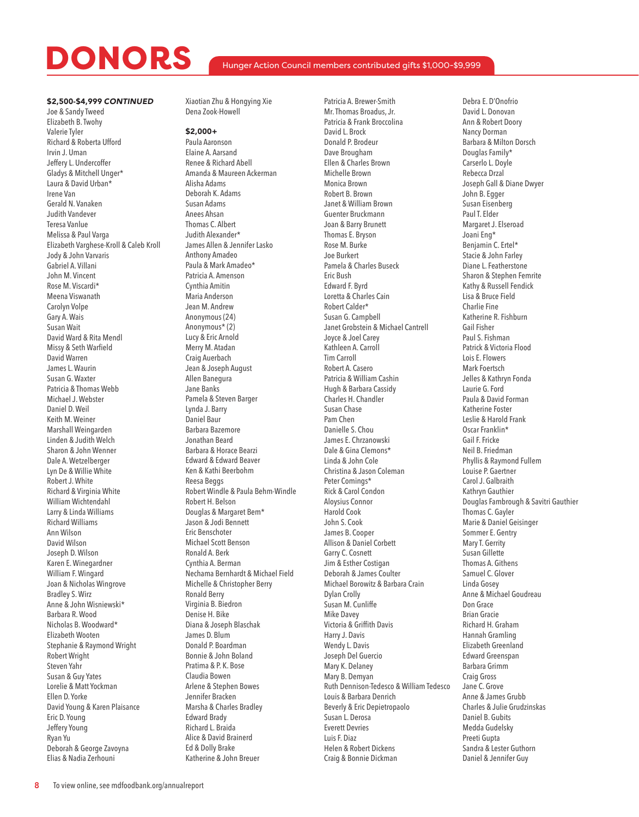### \$2,500-\$4,999 *CONTINUED*

Joe & Sandy Tweed Elizabeth B. Twohy Valerie Tyler Richard & Roberta Ufford Irvin J. Uman Jeffery L. Undercoffer Gladys & Mitchell Unger\* Laura & David Urban\* Irene Van Gerald N. Vanaken Judith Vandever Teresa Vanlue Melissa & Paul Varga Elizabeth Varghese-Kroll & Caleb Kroll Jody & John Varvaris Gabriel A. Villani John M. Vincent Rose M. Viscardi\* Meena Viswanath Carolyn Volpe Gary A. Wais Susan Wait David Ward & Rita Mendl Missy & Seth Warfield David Warren James L. Waurin Susan G. Waxter Patricia & Thomas Webb Michael J. Webster Daniel D. Weil Keith M. Weiner Marshall Weingarden Linden & Judith Welch Sharon & John Wenner Dale A. Wetzelberger Lyn De & Willie White Robert J. White Richard & Virginia White William Wichtendahl Larry & Linda Williams Richard Williams Ann Wilson David Wilson Joseph D. Wilson Karen E. Winegardner William F. Wingard Joan & Nicholas Wingrove Bradley S. Wirz Anne & John Wisniewski\* Barbara R. Wood Nicholas B. Woodward\* Elizabeth Wooten Stephanie & Raymond Wright Robert Wright Steven Yahr Susan & Guy Yates Lorelie & Matt Yockman Ellen D. Yorke David Young & Karen Plaisance Eric D. Young Jeffery Young Ryan Yu Deborah & George Zavoyna Elias & Nadia Zerhouni

Xiaotian Zhu & Hongying Xie Dena Zook-Howell

### \$2,000+

Paula Aaronson Elaine A. Aarsand Renee & Richard Abell Amanda & Maureen Ackerman Alisha Adams Deborah K. Adams Susan Adams Anees Ahsan Thomas C. Albert Judith Alexander\* James Allen & Jennifer Lasko Anthony Amadeo Paula & Mark Amadeo\* Patricia A. Amenson Cynthia Amitin Maria Anderson Jean M. Andrew Anonymous (24) Anonymous\* (2) Lucy & Eric Arnold Merry M. Atadan Craig Auerbach Jean & Joseph August Allen Banegura Jane Banks Pamela & Steven Barger Lynda J. Barry Daniel Baur Barbara Bazemore Jonathan Beard Barbara & Horace Bearzi Edward & Edward Beaver Ken & Kathi Beerbohm Reesa Beggs Robert Windle & Paula Behm-Windle Robert H. Belson Douglas & Margaret Bem\* Jason & Jodi Bennett Eric Benschoter Michael Scott Benson Ronald A. Berk Cynthia A. Berman Nechama Bernhardt & Michael Field Michelle & Christopher Berry Ronald Berry Virginia B. Biedron Denise H. Bike Diana & Joseph Blaschak James D. Blum Donald P. Boardman Bonnie & John Boland Pratima & P. K. Bose Claudia Bowen Arlene & Stephen Bowes Jennifer Bracken Marsha & Charles Bradley Edward Brady Richard L. Braida Alice & David Brainerd Ed & Dolly Brake Katherine & John Breuer

Patricia A. Brewer-Smith Mr. Thomas Broadus, Jr. Patricia & Frank Broccolina David L. Brock Donald P. Brodeur Dave Brougham Ellen & Charles Brown Michelle Brown Monica Brown Robert B. Brown Janet & William Brown Guenter Bruckmann Joan & Barry Brunett Thomas E. Bryson Rose M. Burke Joe Burkert Pamela & Charles Buseck Eric Bush Edward F. Byrd Loretta & Charles Cain Robert Calder\* Susan G. Campbell Janet Grobstein & Michael Cantrell Joyce & Joel Carey Kathleen A. Carroll Tim Carroll Robert A. Casero Patricia & William Cashin Hugh & Barbara Cassidy Charles H. Chandler Susan Chase Pam Chen Danielle S. Chou James E. Chrzanowski Dale & Gina Clemons\* Linda & John Cole Christina & Jason Coleman Peter Comings\* Rick & Carol Condon Aloysius Connor Harold Cook John S. Cook James B. Cooper Allison & Daniel Corbett Garry C. Cosnett Jim & Esther Costigan Deborah & James Coulter Michael Borowitz & Barbara Crain Dylan Crolly Susan M. Cunliffe Mike Davey Victoria & Griffith Davis Harry J. Davis Wendy L. Davis Joseph Del Guercio Mary K. Delaney Mary B. Demyan Ruth Dennison-Tedesco & William Tedesco Louis & Barbara Denrich Beverly & Eric Depietropaolo Susan L. Derosa Everett Devries Luis F. Diaz Helen & Robert Dickens Craig & Bonnie Dickman

Debra E. D'Onofrio David L. Donovan Ann & Robert Doory Nancy Dorman Barbara & Milton Dorsch Douglas Family\* Carserlo L. Doyle Rebecca Drzal Joseph Gall & Diane Dwyer John B. Egger Susan Eisenberg Paul T. Elder Margaret J. Elseroad Joani Eng\* Benjamin C. Ertel\* Stacie & John Farley Diane L. Featherstone Sharon & Stephen Femrite Kathy & Russell Fendick Lisa & Bruce Field Charlie Fine Katherine R. Fishburn Gail Fisher Paul S. Fishman Patrick & Victoria Flood Lois E. Flowers Mark Foertsch Jelles & Kathryn Fonda Laurie G. Ford Paula & David Forman Katherine Foster Leslie & Harold Frank Oscar Franklin\* Gail F. Fricke Neil B. Friedman Phyllis & Raymond Fullem Louise P. Gaertner Carol J. Galbraith Kathryn Gauthier Douglas Fambrough & Savitri Gauthier Thomas C. Gayler Marie & Daniel Geisinger Sommer E. Gentry Mary T. Gerrity Susan Gillette Thomas A. Githens Samuel C. Glover Linda Gosey Anne & Michael Goudreau Don Grace Brian Gracie Richard H. Graham Hannah Gramling Elizabeth Greenland Edward Greenspan Barbara Grimm Craig Gross Jane C. Grove Anne & James Grubb Charles & Julie Grudzinskas Daniel B. Gubits Medda Gudelsky Preeti Gupta Sandra & Lester Guthorn Daniel & Jennifer Guy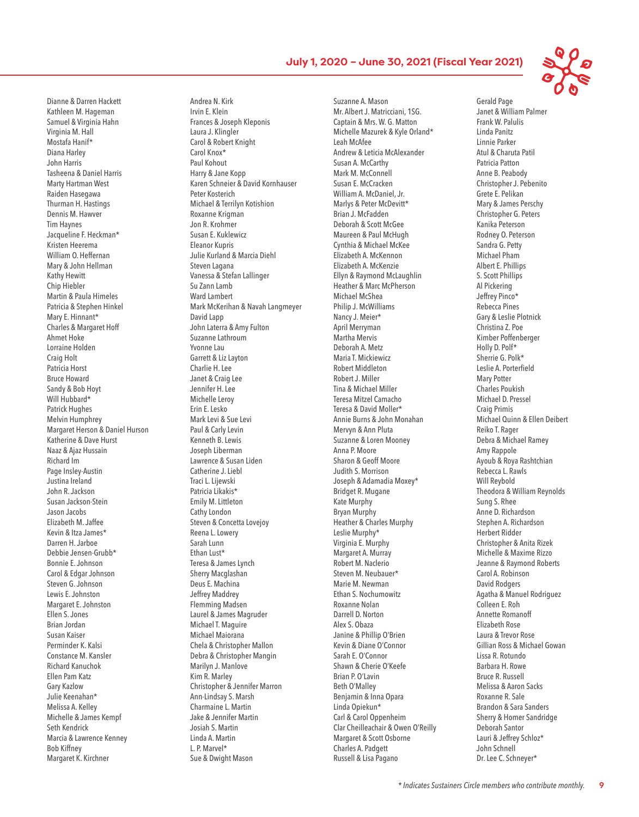Dianne & Darren Hackett Kathleen M. Hageman Samuel & Virginia Hahn Virginia M. Hall Mostafa Hanif\* Diana Harley John Harris Tasheena & Daniel Harris Marty Hartman West Raiden Hasegawa Thurman H. Hastings Dennis M. Hawver Tim Haynes Jacqueline F. Heckman\* Kristen Heerema William O. Heffernan Mary & John Hellman Kathy Hewitt Chip Hiebler Martin & Paula Himeles Patricia & Stephen Hinkel Mary E. Hinnant\* Charles & Margaret Hoff Ahmet Hoke Lorraine Holden Craig Holt Patricia Horst Bruce Howard Sandy & Bob Hoyt Will Hubbard\* Patrick Hughes Melvin Humphrey Margaret Herson & Daniel Hurson Katherine & Dave Hurst Naaz & Ajaz Hussain Richard Im Page Insley-Austin Justina Ireland John R. Jackson Susan Jackson-Stein Jason Jacobs Elizabeth M. Jaffee Kevin & Itza James\* Darren H. Jarboe Debbie Jensen-Grubb\* Bonnie E. Johnson Carol & Edgar Johnson Steven G. Johnson Lewis E. Johnston Margaret E. Johnston Ellen S. Jones Brian Jordan Susan Kaiser Perminder K. Kalsi Constance M. Kansler Richard Kanuchok Ellen Pam Katz Gary Kazlow Julie Keenahan\* Melissa A. Kelley Michelle & James Kempf Seth Kendrick Marcia & Lawrence Kenney Bob Kiffney Margaret K. Kirchner

Andrea N. Kirk Irvin E. Klein Frances & Joseph Kleponis Laura J. Klingler Carol & Robert Knight Carol Knox\* Paul Kohout Harry & Jane Kopp Karen Schneier & David Kornhauser Peter Kosterich Michael & Terrilyn Kotishion Roxanne Krigman Jon R. Krohmer Susan E. Kuklewicz Eleanor Kupris Julie Kurland & Marcia Diehl Steven Lagana Vanessa & Stefan Lallinger Su Zann Lamb Ward Lambert Mark McKerihan & Navah Langmeyer David Lapp John Laterra & Amy Fulton Suzanne Lathroum Yvonne Lau Garrett & Liz Layton Charlie H. Lee Janet & Craig Lee Jennifer H. Lee Michelle Leroy Erin E. Lesko Mark Levi & Sue Levi Paul & Carly Levin Kenneth B. Lewis Joseph Liberman Lawrence & Susan Liden Catherine J. Liebl Traci L. Lijewski Patricia Likakis\* Emily M. Littleton Cathy London Steven & Concetta Lovejoy Reena L. Lowery Sarah Lunn Ethan Lust\* Teresa & James Lynch Sherry Macglashan Deus E. Machina Jeffrey Maddrey Flemming Madsen Laurel & James Magruder Michael T. Maguire Michael Maiorana Chela & Christopher Mallon Debra & Christopher Mangin Marilyn J. Manlove Kim R. Marley Christopher & Jennifer Marron Ann-Lindsay S. Marsh Charmaine L. Martin Jake & Jennifer Martin Josiah S. Martin Linda A. Martin L. P. Marvel\* Sue & Dwight Mason

Suzanne A. Mason Mr. Albert J. Matricciani, 1SG. Captain & Mrs. W. G. Matton Michelle Mazurek & Kyle Orland\* Leah McAfee Andrew & Leticia McAlexander Susan A. McCarthy Mark M. McConnell Susan E. McCracken William A. McDaniel, Jr. Marlys & Peter McDevitt\* Brian J. McFadden Deborah & Scott McGee Maureen & Paul McHugh Cynthia & Michael McKee Elizabeth A. McKennon Elizabeth A. McKenzie Ellyn & Raymond McLaughlin Heather & Marc McPherson Michael McShea Philip J. McWilliams Nancy J. Meier\* April Merryman Martha Mervis Deborah A. Metz Maria T. Mickiewicz Robert Middleton Robert J. Miller Tina & Michael Miller Teresa Mitzel Camacho Teresa & David Moller\* Annie Burns & John Monahan Mervyn & Ann Pluta Suzanne & Loren Mooney Anna P. Moore Sharon & Geoff Moore Judith S. Morrison Joseph & Adamadia Moxey\* Bridget R. Mugane Kate Murphy Bryan Murphy Heather & Charles Murphy Leslie Murphy\* Virginia E. Murphy Margaret A. Murray Robert M. Naclerio Steven M. Neubauer\* Marie M. Newman Ethan S. Nochumowitz Roxanne Nolan Darrell D. Norton Alex S. Obaza Janine & Phillip O'Brien Kevin & Diane O'Connor Sarah E. O'Connor Shawn & Cherie O'Keefe Brian P. O'Lavin Beth O'Malley Benjamin & Inna Opara Linda Opiekun\* Carl & Carol Oppenheim Clar Cheilleachair & Owen O'Reilly Margaret & Scott Osborne Charles A. Padgett Russell & Lisa Pagano



Gerald Page Janet & William Palmer Frank W. Palulis Linda Panitz Linnie Parker Atul & Charuta Patil Patricia Patton Anne B. Peabody Christopher J. Pebenito Grete E. Pelikan Mary & James Perschy Christopher G. Peters Kanika Peterson Rodney O. Peterson Sandra G. Petty Michael Pham Albert E. Phillips S. Scott Phillips Al Pickering Jeffrey Pinco\* Rebecca Pines Gary & Leslie Plotnick Christina Z. Poe Kimber Poffenberger Holly D. Polf\* Sherrie G. Polk\* Leslie A. Porterfield Mary Potter Charles Poukish Michael D. Pressel Craig Primis Michael Quinn & Ellen Deibert Reiko T. Rager Debra & Michael Ramey Amy Rappole Ayoub & Roya Rashtchian Rebecca L. Rawls Will Reybold Theodora & William Reynolds Sung S. Rhee Anne D. Richardson Stephen A. Richardson Herbert Ridder Christopher & Anita Rizek Michelle & Maxime Rizzo Jeanne & Raymond Roberts Carol A. Robinson David Rodgers Agatha & Manuel Rodriguez Colleen E. Roh Annette Romanoff Elizabeth Rose Laura & Trevor Rose Gillian Ross & Michael Gowan Lissa R. Rotundo Barbara H. Rowe Bruce R. Russell Melissa & Aaron Sacks Roxanne R. Sale Brandon & Sara Sanders Sherry & Homer Sandridge Deborah Santor Lauri & Jeffrey Schloz\* John Schnell Dr. Lee C. Schneyer\*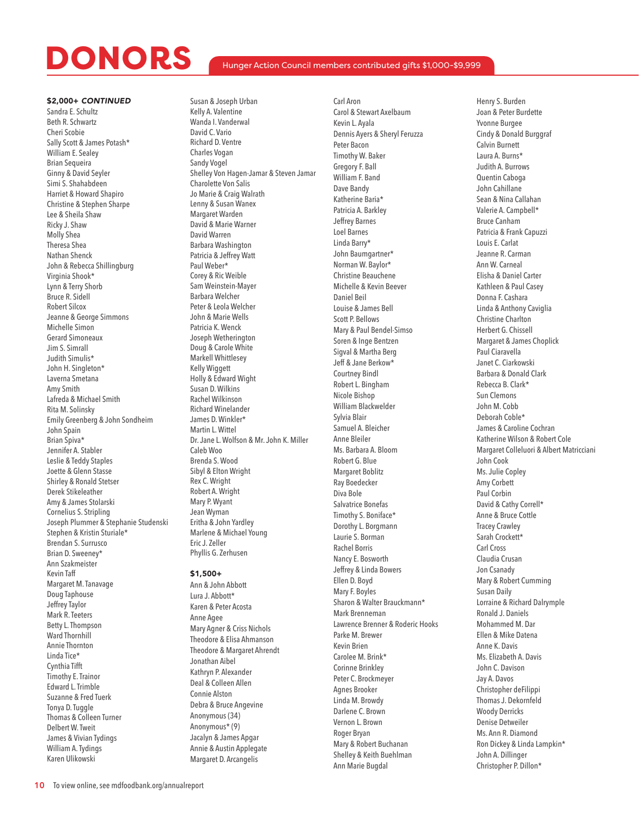### Hunger Action Council members contributed gifts \$1,000-\$9,999

\$2,000+ *CONTINUED* Sandra E. Schultz Beth R. Schwartz Cheri Scobie Sally Scott & James Potash\* William E. Sealey Brian Sequeira Ginny & David Seyler Simi S. Shahabdeen Harriet & Howard Shapiro Christine & Stephen Sharpe Lee & Sheila Shaw Ricky J. Shaw Molly Shea Theresa Shea Nathan Shenck John & Rebecca Shillingburg Virginia Shook\* Lynn & Terry Shorb Bruce R. Sidell Robert Silcox Jeanne & George Simmons Michelle Simon Gerard Simoneaux Jim S. Simrall Judith Simulis\* John H. Singleton\* Laverna Smetana Amy Smith Lafreda & Michael Smith Rita M. Solinsky Emily Greenberg & John Sondheim John Spain Brian Spiva\* Jennifer A. Stabler Leslie & Teddy Staples Joette & Glenn Stasse Shirley & Ronald Stetser Derek Stikeleather Amy & James Stolarski Cornelius S. Stripling Joseph Plummer & Stephanie Studenski Stephen & Kristin Sturiale\* Brendan S. Surrusco Brian D. Sweeney\* Ann Szakmeister Kevin Taff Margaret M. Tanavage Doug Taphouse Jeffrey Taylor Mark R. Teeters Betty L. Thompson Ward Thornhill Annie Thornton Linda Tice\* Cynthia Tifft Timothy E. Trainor Edward L. Trimble Suzanne & Fred Tuerk Tonya D. Tuggle Thomas & Colleen Turner Delbert W. Tweit James & Vivian Tydings William A. Tydings Karen Ulikowski

Susan & Joseph Urban Kelly A. Valentine Wanda I. Vanderwal David C. Vario Richard D. Ventre Charles Vogan Sandy Vogel Shelley Von Hagen-Jamar & Steven Jamar Charolette Von Salis Jo Marie & Craig Walrath Lenny & Susan Wanex Margaret Warden David & Marie Warner David Warren Barbara Washington Patricia & Jeffrey Watt Paul Weber\* Corey & Ric Weible Sam Weinstein-Mayer Barbara Welcher Peter & Leola Welcher John & Marie Wells Patricia K. Wenck Joseph Wetherington Doug & Carole White Markell Whittlesey Kelly Wiggett Holly & Edward Wight Susan D. Wilkins Rachel Wilkinson Richard Winelander James D. Winkler\* Martin L. Wittel Dr. Jane L. Wolfson & Mr. John K. Miller Caleb Woo Brenda S. Wood Sibyl & Elton Wright Rex C. Wright Robert A. Wright Mary P. Wyant Jean Wyman Eritha & John Yardley Marlene & Michael Young Eric J. Zeller Phyllis G. Zerhusen

#### \$1,500+

Ann & John Abbott Lura J. Abbott\* Karen & Peter Acosta Anne Agee Mary Agner & Criss Nichols Theodore & Elisa Ahmanson Theodore & Margaret Ahrendt Jonathan Aibel Kathryn P. Alexander Deal & Colleen Allen Connie Alston Debra & Bruce Angevine Anonymous (34) Anonymous\* (9) Jacalyn & James Apgar Annie & Austin Applegate Margaret D. Arcangelis

Carl Aron Carol & Stewart Axelbaum Kevin L. Ayala Dennis Ayers & Sheryl Feruzza Peter Bacon Timothy W. Baker Gregory F. Ball William F. Band Dave Bandy Katherine Baria\* Patricia A. Barkley Jeffrey Barnes Loel Barnes Linda Barry\* John Baumgartner\* Norman W. Baylor\* Christine Beauchene Michelle & Kevin Beever Daniel Beil Louise & James Bell Scott P. Bellows Mary & Paul Bendel-Simso Soren & Inge Bentzen Sigval & Martha Berg Jeff & Jane Berkow\* Courtney Bindl Robert L. Bingham Nicole Bishop William Blackwelder Sylvia Blair Samuel A. Bleicher Anne Bleiler Ms. Barbara A. Bloom Robert G. Blue Margaret Boblitz Ray Boedecker Diva Bole Salvatrice Bonefas Timothy S. Boniface\* Dorothy L. Borgmann Laurie S. Borman Rachel Borris Nancy E. Bosworth Jeffrey & Linda Bowers Ellen D. Boyd Mary F. Boyles Sharon & Walter Brauckmann\* Mark Brenneman Lawrence Brenner & Roderic Hooks Parke M. Brewer Kevin Brien Carolee M. Brink\* Corinne Brinkley Peter C. Brockmeyer Agnes Brooker Linda M. Browdy Darlene C. Brown Vernon L. Brown Roger Bryan Mary & Robert Buchanan Shelley & Keith Buehlman Ann Marie Bugdal

Henry S. Burden Joan & Peter Burdette Yvonne Burgee Cindy & Donald Burggraf Calvin Burnett Laura A. Burns\* Judith A. Burrows Quentin Caboga John Cahillane Sean & Nina Callahan Valerie A. Campbell\* Bruce Canham Patricia & Frank Capuzzi Louis E. Carlat Jeanne R. Carman Ann W. Carneal Elisha & Daniel Carter Kathleen & Paul Casey Donna F. Cashara Linda & Anthony Caviglia Christine Charlton Herbert G. Chissell Margaret & James Choplick Paul Ciaravella Janet C. Ciarkowski Barbara & Donald Clark Rebecca B. Clark\* Sun Clemons John M. Cobb Deborah Coble\* James & Caroline Cochran Katherine Wilson & Robert Cole Margaret Colleluori & Albert Matricciani John Cook Ms. Julie Copley Amy Corbett Paul Corbin David & Cathy Correll\* Anne & Bruce Cottle Tracey Crawley Sarah Crockett\* Carl Cross Claudia Crusan Jon Csanady Mary & Robert Cumming Susan Daily Lorraine & Richard Dalrymple Ronald J. Daniels Mohammed M. Dar Ellen & Mike Datena Anne K. Davis Ms. Elizabeth A. Davis John C. Davison Jay A. Davos Christopher deFilippi Thomas J. Dekornfeld Woody Derricks Denise Detweiler Ms. Ann R. Diamond Ron Dickey & Linda Lampkin\* John A. Dillinger Christopher P. Dillon\*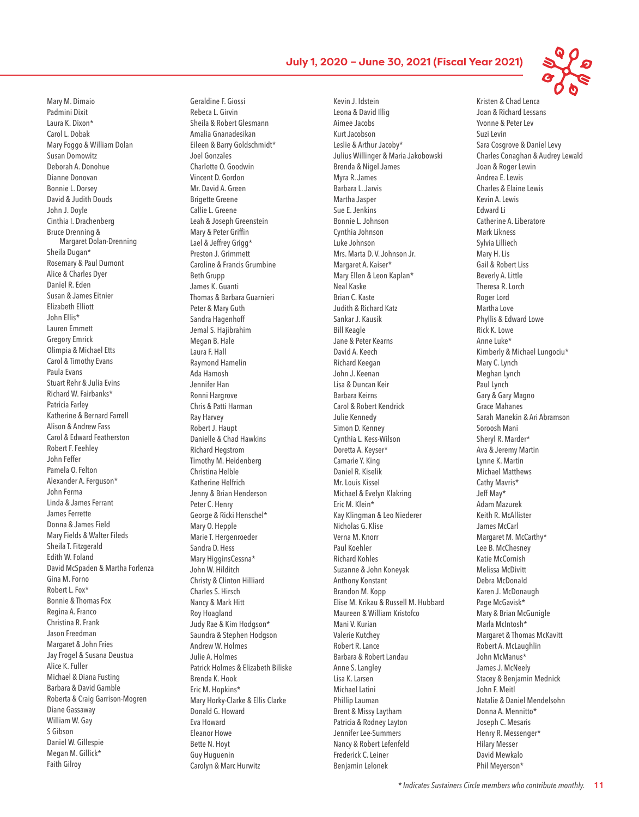Mary M. Dimaio Padmini Dixit Laura K. Dixon\* Carol L. Dobak Mary Foggo & William Dolan Susan Domowitz Deborah A. Donohue Dianne Donovan Bonnie L. Dorsey David & Judith Douds John J. Doyle Cinthia I. Drachenberg Bruce Drenning & Margaret Dolan-Drenning Sheila Dugan\* Rosemary & Paul Dumont Alice & Charles Dyer Daniel R. Eden Susan & James Eitnier Elizabeth Elliott John Ellis\* Lauren Emmett Gregory Emrick Olimpia & Michael Etts Carol & Timothy Evans Paula Evans Stuart Rehr & Julia Evins Richard W. Fairbanks\* Patricia Farley Katherine & Bernard Farrell Alison & Andrew Fass Carol & Edward Featherston Robert F. Feehley John Feffer Pamela O. Felton Alexander A. Ferguson\* John Ferma Linda & James Ferrant James Ferrette Donna & James Field Mary Fields & Walter Fileds Sheila T. Fitzgerald Edith W. Foland David McSpaden & Martha Forlenza Gina M. Forno Robert L. Fox\* Bonnie & Thomas Fox Regina A. Franco Christina R. Frank Jason Freedman Margaret & John Fries Jay Frogel & Susana Deustua Alice K. Fuller Michael & Diana Fusting Barbara & David Gamble Roberta & Craig Garrison-Mogren Diane Gassaway William W. Gay S Gibson Daniel W. Gillespie Megan M. Gillick\* Faith Gilroy

Geraldine F. Giossi Rebeca L. Girvin Sheila & Robert Glesmann Amalia Gnanadesikan Eileen & Barry Goldschmidt\* Joel Gonzales Charlotte O. Goodwin Vincent D. Gordon Mr. David A. Green Brigette Greene Callie L. Greene Leah & Joseph Greenstein Mary & Peter Griffin Lael & Jeffrey Grigg\* Preston J. Grimmett Caroline & Francis Grumbine Beth Grupp James K. Guanti Thomas & Barbara Guarnieri Peter & Mary Guth Sandra Hagenhoff Jemal S. Hajibrahim Megan B. Hale Laura F. Hall Raymond Hamelin Ada Hamosh Jennifer Han Ronni Hargrove Chris & Patti Harman Ray Harvey Robert J. Haupt Danielle & Chad Hawkins Richard Hegstrom Timothy M. Heidenberg Christina Helble Katherine Helfrich Jenny & Brian Henderson Peter C. Henry George & Ricki Henschel\* Mary O. Hepple Marie T. Hergenroeder Sandra D. Hess Mary HigginsCessna\* John W. Hilditch Christy & Clinton Hilliard Charles S. Hirsch Nancy & Mark Hitt Roy Hoagland Judy Rae & Kim Hodgson\* Saundra & Stephen Hodgson Andrew W. Holmes Julie A. Holmes Patrick Holmes & Elizabeth Biliske Brenda K. Hook Eric M. Hopkins\* Mary Horky-Clarke & Ellis Clarke Donald G. Howard Eva Howard Eleanor Howe Bette N. Hoyt Guy Huguenin Carolyn & Marc Hurwitz

Kevin J. Idstein Leona & David Illig Aimee Jacobs Kurt Jacobson Leslie & Arthur Jacoby\* Julius Willinger & Maria Jakobowski Brenda & Nigel James Myra R. James Barbara L. Jarvis Martha Jasper Sue E. Jenkins Bonnie L. Johnson Cynthia Johnson Luke Johnson Mrs. Marta D. V. Johnson Jr. Margaret A. Kaiser\* Mary Ellen & Leon Kaplan\* Neal Kaske Brian C. Kaste Judith & Richard Katz Sankar J. Kausik Bill Keagle Jane & Peter Kearns David A. Keech Richard Keegan John J. Keenan Lisa & Duncan Keir Barbara Keirns Carol & Robert Kendrick Julie Kennedy Simon D. Kenney Cynthia L. Kess-Wilson Doretta A. Keyser\* Camarie Y. King Daniel R. Kiselik Mr. Louis Kissel Michael & Evelyn Klakring Eric M. Klein\* Kay Klingman & Leo Niederer Nicholas G. Klise Verna M. Knorr Paul Koehler Richard Kohles Suzanne & John Koneyak Anthony Konstant Brandon M. Kopp Elise M. Krikau & Russell M. Hubbard Maureen & William Kristofco Mani V. Kurian Valerie Kutchey Robert R. Lance Barbara & Robert Landau Anne S. Langley Lisa K. Larsen Michael Latini Phillip Lauman Brent & Missy Laytham Patricia & Rodney Layton Jennifer Lee-Summers Nancy & Robert Lefenfeld Frederick C. Leiner Benjamin Lelonek

Kristen & Chad Lenca Joan & Richard Lessans Yvonne & Peter Lev Suzi Levin Sara Cosgrove & Daniel Levy Charles Conaghan & Audrey Lewald Joan & Roger Lewin Andrea E. Lewis Charles & Elaine Lewis Kevin A. Lewis Edward Li Catherine A. Liberatore Mark Likness Sylvia Lilliech Mary H. Lis Gail & Robert Liss Beverly A. Little Theresa R. Lorch Roger Lord Martha Love Phyllis & Edward Lowe Rick K. Lowe Anne Luke\* Kimberly & Michael Lungociu\* Mary C. Lynch Meghan Lynch Paul Lynch Gary & Gary Magno Grace Mahanes Sarah Manekin & Ari Abramson Soroosh Mani Sheryl R. Marder\* Ava & Jeremy Martin Lynne K. Martin Michael Matthews Cathy Mavris\* Jeff May\* Adam Mazurek Keith R. McAllister James McCarl Margaret M. McCarthy\* Lee B. McChesney Katie McCornish Melissa McDivitt Debra McDonald Karen J. McDonaugh Page McGavisk\* Mary & Brian McGunigle Marla McIntosh\* Margaret & Thomas McKavitt Robert A. McLaughlin John McManus\* James J. McNeely Stacey & Benjamin Mednick John F. Meitl Natalie & Daniel Mendelsohn Donna A. Mennitto\* Joseph C. Mesaris Henry R. Messenger\* Hilary Messer David Mewkalo Phil Meyerson\*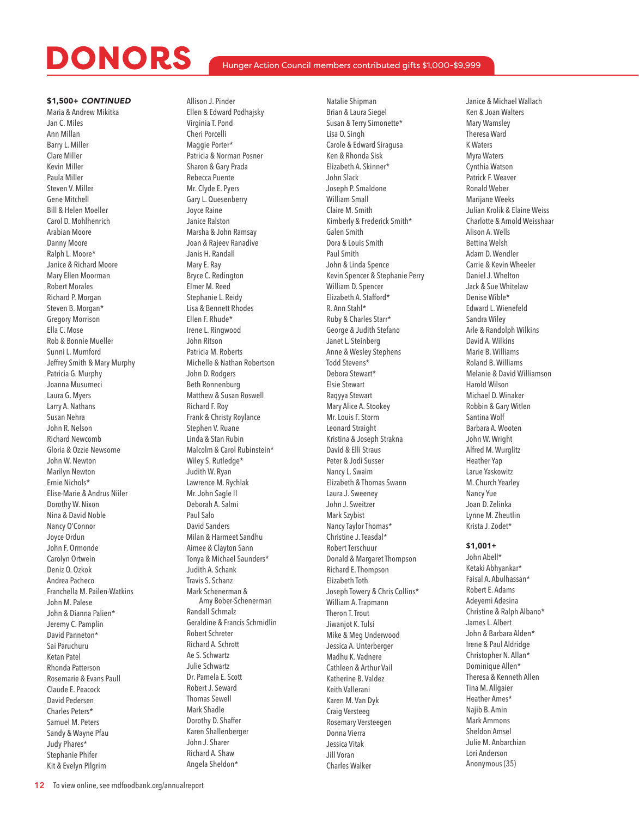### Hunger Action Council members contributed gifts \$1,000-\$9,999

### \$1,500+ *CONTINUED*

Maria & Andrew Mikitka Jan C. Miles Ann Millan Barry L. Miller Clare Miller Kevin Miller Paula Miller Steven V. Miller Gene Mitchell Bill & Helen Moeller Carol D. Mohlhenrich Arabian Moore Danny Moore Ralph L. Moore\* Janice & Richard Moore Mary Ellen Moorman Robert Morales Richard P. Morgan Steven B. Morgan\* Gregory Morrison Ella C. Mose Rob & Bonnie Mueller Sunni L. Mumford Jeffrey Smith & Mary Murphy Patricia G. Murphy Joanna Musumeci Laura G. Myers Larry A. Nathans Susan Nehra John R. Nelson Richard Newcomb Gloria & Ozzie Newsome John W. Newton Marilyn Newton Ernie Nichols\* Elise-Marie & Andrus Niiler Dorothy W. Nixon Nina & David Noble Nancy O'Connor Joyce Ordun John F. Ormonde Carolyn Ortwein Deniz O. Ozkok Andrea Pacheco Franchella M. Pailen-Watkins John M. Palese John & Dianna Palien\* Jeremy C. Pamplin David Panneton\* Sai Paruchuru Ketan Patel Rhonda Patterson Rosemarie & Evans Paull Claude E. Peacock David Pedersen Charles Peters\* Samuel M. Peters Sandy & Wayne Pfau Judy Phares\* Stephanie Phifer Kit & Evelyn Pilgrim

Allison J. Pinder Ellen & Edward Podhajsky Virginia T. Pond Cheri Porcelli Maggie Porter\* Patricia & Norman Posner Sharon & Gary Prada Rebecca Puente Mr. Clyde E. Pyers Gary L. Quesenberry Joyce Raine Janice Ralston Marsha & John Ramsay Joan & Rajeev Ranadive Janis H. Randall Mary E. Ray Bryce C. Redington Elmer M. Reed Stephanie L. Reidy Lisa & Bennett Rhodes Ellen F. Rhude\* Irene L. Ringwood John Ritson Patricia M. Roberts Michelle & Nathan Robertson John D. Rodgers Beth Ronnenburg Matthew & Susan Roswell Richard F. Roy Frank & Christy Roylance Stephen V. Ruane Linda & Stan Rubin Malcolm & Carol Rubinstein\* Wiley S. Rutledge\* Judith W. Ryan Lawrence M. Rychlak Mr. John Sagle II Deborah A. Salmi Paul Salo David Sanders Milan & Harmeet Sandhu Aimee & Clayton Sann Tonya & Michael Saunders\* Judith A. Schank Travis S. Schanz Mark Schenerman & Amy Bober-Schenerman Randall Schmalz Geraldine & Francis Schmidlin Robert Schreter Richard A. Schrott Ae S. Schwartz Julie Schwartz Dr. Pamela E. Scott Robert J. Seward Thomas Sewell Mark Shadle Dorothy D. Shaffer Karen Shallenberger John J. Sharer Richard A. Shaw Angela Sheldon\*

Natalie Shipman Brian & Laura Siegel Susan & Terry Simonette\* Lisa O. Singh Carole & Edward Siragusa Ken & Rhonda Sisk Elizabeth A. Skinner\* John Slack Joseph P. Smaldone William Small Claire M. Smith Kimberly & Frederick Smith\* Galen Smith Dora & Louis Smith Paul Smith John & Linda Spence Kevin Spencer & Stephanie Perry William D. Spencer Elizabeth A. Stafford\* R. Ann Stahl\* Ruby & Charles Starr\* George & Judith Stefano Janet L. Steinberg Anne & Wesley Stephens Todd Stevens\* Debora Stewart\* Elsie Stewart Raqyya Stewart Mary Alice A. Stookey Mr. Louis F. Storm Leonard Straight Kristina & Joseph Strakna David & Elli Straus Peter & Jodi Susser Nancy L. Swaim Elizabeth & Thomas Swann Laura J. Sweeney John J. Sweitzer Mark Szybist Nancy Taylor Thomas\* Christine J. Teasdal\* Robert Terschuur Donald & Margaret Thompson Richard E. Thompson Elizabeth Toth Joseph Towery & Chris Collins\* William A. Trapmann Theron T. Trout Jiwanjot K. Tulsi Mike & Meg Underwood Jessica A. Unterberger Madhu K. Vadnere Cathleen & Arthur Vail Katherine B. Valdez Keith Vallerani Karen M. Van Dyk Craig Versteeg Rosemary Versteegen Donna Vierra Jessica Vitak Jill Voran Charles Walker

Janice & Michael Wallach Ken & Joan Walters Mary Wamsley Theresa Ward K Waters Myra Waters Cynthia Watson Patrick F. Weaver Ronald Weber Marijane Weeks Julian Krolik & Elaine Weiss Charlotte & Arnold Weisshaar Alison A. Wells Bettina Welsh Adam D. Wendler Carrie & Kevin Wheeler Daniel J. Whelton Jack & Sue Whitelaw Denise Wible\* Edward L. Wienefeld Sandra Wiley Arle & Randolph Wilkins David A. Wilkins Marie B. Williams Roland B. Williams Melanie & David Williamson Harold Wilson Michael D. Winaker Robbin & Gary Witlen Santina Wolf Barbara A. Wooten John W. Wright Alfred M. Wurglitz Heather Yap Larue Yaskowitz M. Church Yearley Nancy Yue Joan D. Zelinka Lynne M. Zheutlin Krista J. Zodet\*

### **\$1,001+**

John Abell\* Ketaki Abhyankar\* Faisal A. Abulhassan\* Robert E. Adams Adeyemi Adesina Christine & Ralph Albano\* James L. Albert John & Barbara Alden\* Irene & Paul Aldridge Christopher N. Allan\* Dominique Allen\* Theresa & Kenneth Allen Tina M. Allgaier Heather Ames\* Najib B. Amin Mark Ammons Sheldon Amsel Julie M. Anbarchian Lori Anderson Anonymous (35)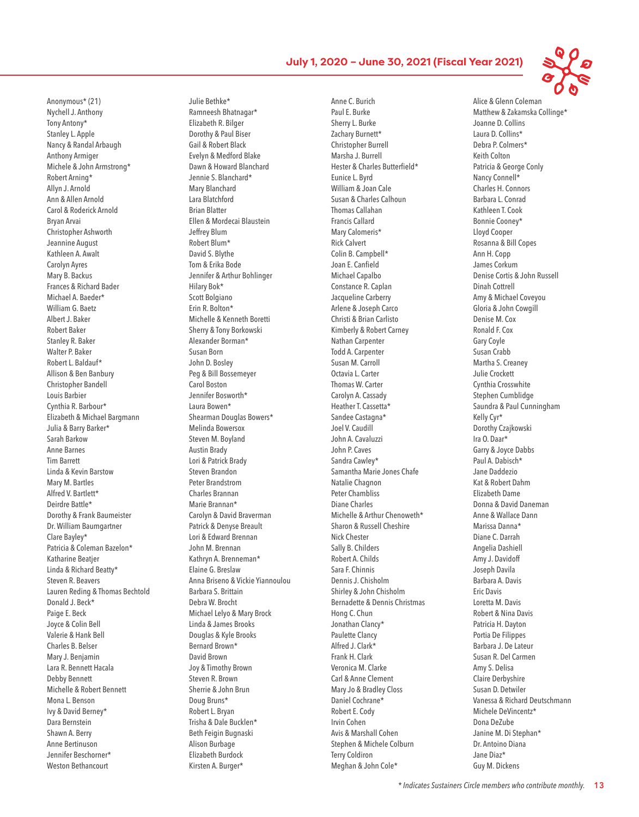Anonymous\* (21) Nychell J. Anthony Tony Antony\* Stanley L. Apple Nancy & Randal Arbaugh Anthony Armiger Michele & John Armstrong\* Robert Arning\* Allyn J. Arnold Ann & Allen Arnold Carol & Roderick Arnold Bryan Arvai Christopher Ashworth Jeannine August Kathleen A. Awalt Carolyn Ayres Mary B. Backus Frances & Richard Bader Michael A. Baeder\* William G. Baetz Albert J. Baker Robert Baker Stanley R. Baker Walter P. Baker Robert L. Baldauf\* Allison & Ben Banbury Christopher Bandell Louis Barbier Cynthia R. Barbour\* Elizabeth & Michael Bargmann Julia & Barry Barker\* Sarah Barkow Anne Barnes Tim Barrett Linda & Kevin Barstow Mary M. Bartles Alfred V. Bartlett\* Deirdre Battle\* Dorothy & Frank Baumeister Dr. William Baumgartner Clare Bayley\* Patricia & Coleman Bazelon\* Katharine Beatjer Linda & Richard Beatty\* Steven R. Beavers Lauren Reding & Thomas Bechtold Donald J. Beck\* Paige E. Beck Joyce & Colin Bell Valerie & Hank Bell Charles B. Belser Mary J. Benjamin Lara R. Bennett Hacala Debby Bennett Michelle & Robert Bennett Mona L. Benson Ivy & David Berney\* Dara Bernstein Shawn A. Berry Anne Bertinuson Jennifer Beschorner\* Weston Bethancourt

Julie Bethke\* Ramneesh Bhatnagar\* Elizabeth R. Bilger Dorothy & Paul Biser Gail & Robert Black Evelyn & Medford Blake Dawn & Howard Blanchard Jennie S. Blanchard\* Mary Blanchard Lara Blatchford Brian Blatter Ellen & Mordecai Blaustein Jeffrey Blum Robert Blum\* David S. Blythe Tom & Erika Bode Jennifer & Arthur Bohlinger Hilary Bok\* Scott Bolgiano Erin R. Bolton\* Michelle & Kenneth Boretti Sherry & Tony Borkowski Alexander Borman\* Susan Born John D. Bosley Peg & Bill Bossemeyer Carol Boston Jennifer Bosworth\* Laura Bowen\* Shearman Douglas Bowers\* Melinda Bowersox Steven M. Boyland Austin Brady Lori & Patrick Brady Steven Brandon Peter Brandstrom Charles Brannan Marie Brannan\* Carolyn & David Braverman Patrick & Denyse Breault Lori & Edward Brennan John M. Brennan Kathryn A. Brenneman\* Elaine G. Breslaw Anna Briseno & Vickie Yiannoulou Barbara S. Brittain Debra W. Brocht Michael Lelyo & Mary Brock Linda & James Brooks Douglas & Kyle Brooks Bernard Brown\* David Brown Joy & Timothy Brown Steven R. Brown Sherrie & John Brun Doug Bruns\* Robert L. Bryan Trisha & Dale Bucklen\* Beth Feigin Bugnaski Alison Burbage Elizabeth Burdock Kirsten A. Burger\*

Anne C. Burich Paul E. Burke Sherry L. Burke Zachary Burnett\* Christopher Burrell Marsha J. Burrell Hester & Charles Butterfield\* Eunice L. Byrd William & Joan Cale Susan & Charles Calhoun Thomas Callahan Francis Callard Mary Calomeris\* Rick Calvert Colin B. Campbell\* Joan E. Canfield Michael Capalbo Constance R. Caplan Jacqueline Carberry Arlene & Joseph Carco Christi & Brian Carlisto Kimberly & Robert Carney Nathan Carpenter Todd A. Carpenter Susan M. Carroll Octavia L. Carter Thomas W. Carter Carolyn A. Cassady Heather T. Cassetta\* Sandee Castagna\* Joel V. Caudill John A. Cavaluzzi John P. Caves Sandra Cawley\* Samantha Marie Jones Chafe Natalie Chagnon Peter Chambliss Diane Charles Michelle & Arthur Chenoweth\* Sharon & Russell Cheshire Nick Chester Sally B. Childers Robert A. Childs Sara F. Chinnis Dennis J. Chisholm Shirley & John Chisholm Bernadette & Dennis Christmas Hong C. Chun Jonathan Clancy\* Paulette Clancy Alfred J. Clark\* Frank H. Clark Veronica M. Clarke Carl & Anne Clement Mary Jo & Bradley Closs Daniel Cochrane\* Robert E. Cody Irvin Cohen Avis & Marshall Cohen Stephen & Michele Colburn Terry Coldiron Meghan & John Cole\*

Alice & Glenn Coleman Matthew & Zakamska Collinge\* Joanne D. Collins Laura D. Collins\* Debra P. Colmers\* Keith Colton Patricia & George Conly Nancy Connell\* Charles H. Connors Barbara L. Conrad Kathleen T. Cook Bonnie Cooney\* Lloyd Cooper Rosanna & Bill Copes Ann H. Copp James Corkum Denise Cortis & John Russell Dinah Cottrell Amy & Michael Coveyou Gloria & John Cowgill Denise M. Cox Ronald F. Cox Gary Coyle Susan Crabb Martha S. Creaney Julie Crockett Cynthia Crosswhite Stephen Cumblidge Saundra & Paul Cunningham Kelly Cyr\* Dorothy Czajkowski Ira O. Daar\* Garry & Joyce Dabbs Paul A. Dabisch\* Jane Daddezio Kat & Robert Dahm Elizabeth Dame Donna & David Daneman Anne & Wallace Dann Marissa Danna\* Diane C. Darrah Angelia Dashiell Amy J. Davidoff Joseph Davila Barbara A. Davis Eric Davis Loretta M. Davis Robert & Nina Davis Patricia H. Dayton Portia De Filippes Barbara J. De Lateur Susan R. Del Carmen Amy S. Delisa Claire Derbyshire Susan D. Detwiler Vanessa & Richard Deutschmann Michele DeVincentz\* Dona DeZube Janine M. Di Stephan\* Dr. Antoino Diana Jane Diaz\* Guy M. Dickens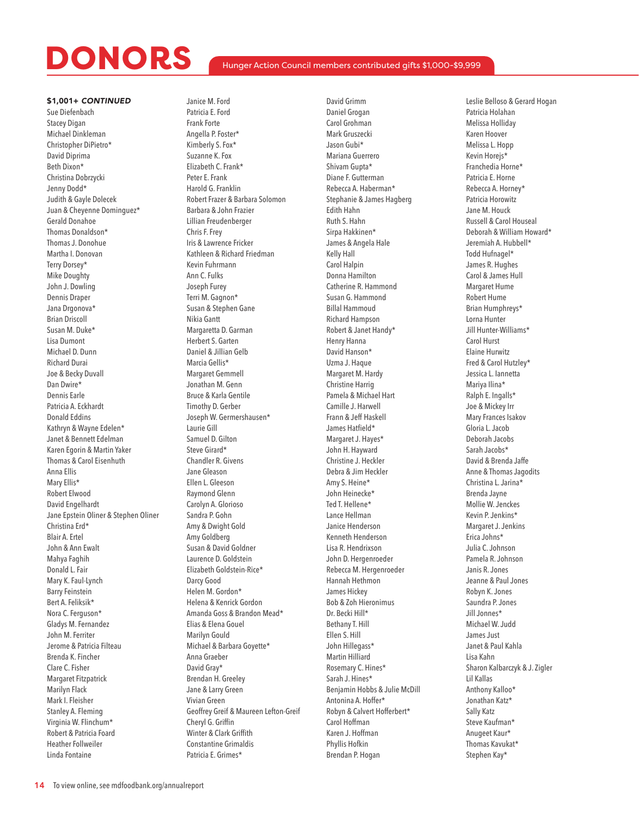### Hunger Action Council members contributed gifts \$1,000-\$9,999

### \$1,001+ *CONTINUED*

Sue Diefenbach Stacey Digan Michael Dinkleman Christopher DiPietro\* David Diprima Beth Dixon\* Christina Dobrzycki Jenny Dodd\* Judith & Gayle Dolecek Juan & Cheyenne Dominguez\* Gerald Donahoe Thomas Donaldson\* Thomas J. Donohue Martha I. Donovan Terry Dorsey\* Mike Doughty John J. Dowling Dennis Draper Jana Drgonova\* Brian Driscoll Susan M. Duke\* Lisa Dumont Michael D. Dunn Richard Durai Joe & Becky Duvall Dan Dwire\* Dennis Earle Patricia A. Eckhardt Donald Eddins Kathryn & Wayne Edelen\* Janet & Bennett Edelman Karen Egorin & Martin Yaker Thomas & Carol Eisenhuth Anna Ellis Mary Ellis\* Robert Elwood David Engelhardt Jane Epstein Oliner & Stephen Oliner Christina Erd\* Blair A. Ertel John & Ann Ewalt Mahya Faghih Donald L. Fair Mary K. Faul-Lynch Barry Feinstein Bert A. Feliksik\* Nora C. Ferguson\* Gladys M. Fernandez John M. Ferriter Jerome & Patricia Filteau Brenda K. Fincher Clare C. Fisher Margaret Fitzpatrick Marilyn Flack Mark I. Fleisher Stanley A. Fleming Virginia W. Flinchum\* Robert & Patricia Foard Heather Follweiler Linda Fontaine

Janice M. Ford Patricia E. Ford Frank Forte Angella P. Foster\* Kimberly S. Fox\* Suzanne K. Fox Elizabeth C. Frank\* Peter E. Frank Harold G. Franklin Robert Frazer & Barbara Solomon Barbara & John Frazier Lillian Freudenberger Chris F. Frey Iris & Lawrence Fricker Kathleen & Richard Friedman Kevin Fuhrmann Ann C. Fulks Joseph Furey Terri M. Gagnon\* Susan & Stephen Gane Nikia Gantt Margaretta D. Garman Herbert S. Garten Daniel & Jillian Gelb Marcia Gellis\* Margaret Gemmell Jonathan M. Genn Bruce & Karla Gentile Timothy D. Gerber Joseph W. Germershausen\* Laurie Gill Samuel D. Gilton Steve Girard\* Chandler R. Givens Jane Gleason Ellen L. Gleeson Raymond Glenn Carolyn A. Glorioso Sandra P. Gohn Amy & Dwight Gold Amy Goldberg Susan & David Goldner Laurence D. Goldstein Elizabeth Goldstein-Rice\* Darcy Good Helen M. Gordon\* Helena & Kenrick Gordon Amanda Goss & Brandon Mead\* Elias & Elena Gouel Marilyn Gould Michael & Barbara Goyette\* Anna Graeber David Gray\* Brendan H. Greeley Jane & Larry Green Vivian Green Geoffrey Greif & Maureen Lefton-Greif Cheryl G. Griffin Winter & Clark Griffith Constantine Grimaldis

Patricia E. Grimes\*

David Grimm Daniel Grogan Carol Grohman Mark Gruszecki Jason Gubi\* Mariana Guerrero Shivam Gupta\* Diane F. Gutterman Rebecca A. Haberman\* Stephanie & James Hagberg Edith Hahn Ruth S. Hahn Sirpa Hakkinen\* James & Angela Hale Kelly Hall Carol Halpin Donna Hamilton Catherine R. Hammond Susan G. Hammond Billal Hammoud Richard Hampson Robert & Janet Handy\* Henry Hanna David Hanson\* Uzma J. Haque Margaret M. Hardy Christine Harrig Pamela & Michael Hart Camille J. Harwell Frann & Jeff Haskell James Hatfield\* Margaret J. Hayes\* John H. Hayward Christine J. Heckler Debra & Jim Heckler Amy S. Heine\* John Heinecke\* Ted T. Hellene\* Lance Hellman Janice Henderson Kenneth Henderson Lisa R. Hendrixson John D. Hergenroeder Rebecca M. Hergenroeder Hannah Hethmon James Hickey Bob & Zoh Hieronimus Dr. Becki Hill\* Bethany T. Hill Ellen S. Hill John Hillegass\* Martin Hilliard Rosemary C. Hines\* Sarah J. Hines\* Benjamin Hobbs & Julie McDill Antonina A. Hoffer\* Robyn & Calvert Hofferbert\* Carol Hoffman Karen J. Hoffman Phyllis Hofkin Brendan P. Hogan

Leslie Belloso & Gerard Hogan Patricia Holahan Melissa Holliday Karen Hoover Melissa L. Hopp Kevin Horejs\* Franchedia Horne\* Patricia E. Horne Rebecca A. Horney\* Patricia Horowitz Jane M. Houck Russell & Carol Houseal Deborah & William Howard\* Jeremiah A. Hubbell\* Todd Hufnagel\* James R. Hughes Carol & James Hull Margaret Hume Robert Hume Brian Humphreys\* Lorna Hunter Jill Hunter-Williams\* Carol Hurst Elaine Hurwitz Fred & Carol Hutzley\* Jessica L. Iannetta Mariya Ilina\* Ralph E. Ingalls\* Joe & Mickey Irr Mary Frances Isakov Gloria L. Jacob Deborah Jacobs Sarah Jacobs\* David & Brenda Jaffe Anne & Thomas Jagodits Christina L. Jarina\* Brenda Jayne Mollie W. Jenckes Kevin P. Jenkins\* Margaret J. Jenkins Erica Johns\* Julia C. Johnson Pamela R. Johnson Janis R. Jones Jeanne & Paul Jones Robyn K. Jones Saundra P. Jones Jill Jonnes\* Michael W. Judd James Just Janet & Paul Kahla Lisa Kahn Sharon Kalbarczyk & J. Zigler Lil Kallas Anthony Kalloo\* Jonathan Katz\* Sally Katz Steve Kaufman\* Anugeet Kaur\* Thomas Kavukat\* Stephen Kay\*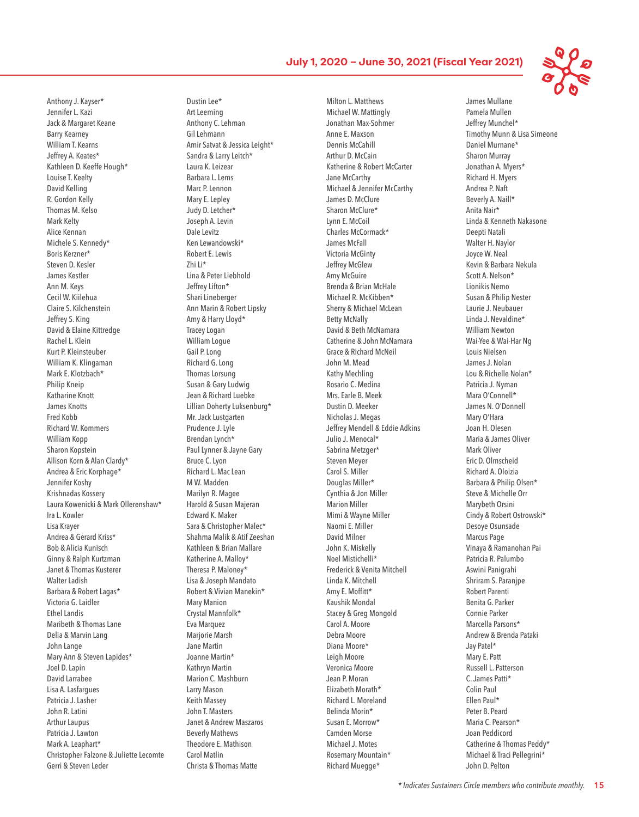James Mullane

Anthony J. Kayser\* Jennifer L. Kazi Jack & Margaret Keane Barry Kearney William T. Kearns Jeffrey A. Keates\* Kathleen D. Keeffe Hough\* Louise T. Keelty David Kelling R. Gordon Kelly Thomas M. Kelso Mark Kelty Alice Kennan Michele S. Kennedy\* Boris Kerzner\* Steven D. Kesler James Kestler Ann M. Keys Cecil W. Kiilehua Claire S. Kilchenstein Jeffrey S. King David & Elaine Kittredge Rachel L. Klein Kurt P. Kleinsteuber William K. Klingaman Mark E. Klotzbach\* Philip Kneip Katharine Knott James Knotts Fred Kobb Richard W. Kommers William Kopp Sharon Kopstein Allison Korn & Alan Clardy\* Andrea & Eric Korphage\* Jennifer Koshy Krishnadas Kossery Laura Kowenicki & Mark Ollerenshaw\* Ira L. Kowler Lisa Krayer Andrea & Gerard Kriss\* Bob & Alicia Kunisch Ginny & Ralph Kurtzman Janet & Thomas Kusterer Walter Ladish Barbara & Robert Lagas\* Victoria G. Laidler Ethel Landis Maribeth & Thomas Lane Delia & Marvin Lang John Lange Mary Ann & Steven Lapides\* Joel D. Lapin David Larrabee Lisa A. Lasfargues Patricia J. Lasher John R. Latini Arthur Laupus Patricia J. Lawton Mark A. Leaphart\* Christopher Falzone & Juliette Lecomte Gerri & Steven Leder

Dustin Lee\* Art Leeming Anthony C. Lehman Gil Lehmann Amir Satvat & Jessica Leight\* Sandra & Larry Leitch\* Laura K. Leizear Barbara L. Lems Marc P. Lennon Mary E. Lepley Judy D. Letcher\* Joseph A. Levin Dale Levitz Ken Lewandowski\* Robert E. Lewis Zhi Li\* Lina & Peter Liebhold Jeffrey Lifton\* Shari Lineberger Ann Marin & Robert Lipsky Amy & Harry Lloyd\* Tracey Logan William Logue Gail P. Long Richard G. Long Thomas Lorsung Susan & Gary Ludwig Jean & Richard Luebke Lillian Doherty Luksenburg\* Mr. Jack Lustgarten Prudence J. Lyle Brendan Lynch\* Paul Lynner & Jayne Gary Bruce C. Lyon Richard L. Mac Lean M W. Madden Marilyn R. Magee Harold & Susan Majeran Edward K. Maker Sara & Christopher Malec\* Shahma Malik & Atif Zeeshan Kathleen & Brian Mallare Katherine A. Malloy\* Theresa P. Maloney\* Lisa & Joseph Mandato Robert & Vivian Manekin\* Mary Manion Crystal Mannfolk\* Eva Marquez Marjorie Marsh Jane Martin Joanne Martin\* Kathryn Martin Marion C. Mashburn Larry Mason Keith Massey John T. Masters Janet & Andrew Maszaros Beverly Mathews Theodore E. Mathison Carol Matlin Christa & Thomas Matte

Milton L. Matthews Michael W. Mattingly Jonathan Max-Sohmer Anne E. Maxson Dennis McCahill Arthur D. McCain Katherine & Robert McCarter Jane McCarthy Michael & Jennifer McCarthy James D. McClure Sharon McClure\* Lynn E. McCoil Charles McCormack\* James McFall Victoria McGinty Jeffrey McGlew Amy McGuire Brenda & Brian McHale Michael R. McKibben\* Sherry & Michael McLean Betty McNally David & Beth McNamara Catherine & John McNamara Grace & Richard McNeil John M. Mead Kathy Mechling Rosario C. Medina Mrs. Earle B. Meek Dustin D. Meeker Nicholas J. Megas Jeffrey Mendell & Eddie Adkins Julio J. Menocal\* Sabrina Metzger\* Steven Meyer Carol S. Miller Douglas Miller\* Cynthia & Jon Miller Marion Miller Mimi & Wayne Miller Naomi E. Miller David Milner John K. Miskelly Noel Mistichelli\* Frederick & Venita Mitchell Linda K. Mitchell Amy E. Moffitt\* Kaushik Mondal Stacey & Greg Mongold Carol A. Moore Debra Moore Diana Moore\* Leigh Moore Veronica Moore Jean P. Moran Elizabeth Morath\* Richard L. Moreland Belinda Morin\* Susan E. Morrow\* Camden Morse Michael J. Motes Rosemary Mountain\* Richard Muegge\*

Pamela Mullen Jeffrey Munchel\* Timothy Munn & Lisa Simeone Daniel Murnane\* Sharon Murray Jonathan A. Myers\* Richard H. Myers Andrea P. Naft Beverly A. Naill\* Anita Nair\* Linda & Kenneth Nakasone Deepti Natali Walter H. Naylor Joyce W. Neal Kevin & Barbara Nekula Scott A. Nelson\* Lionikis Nemo Susan & Philip Nester Laurie J. Neubauer Linda J. Nevaldine\* William Newton Wai-Yee & Wai-Har Ng Louis Nielsen James J. Nolan Lou & Richelle Nolan\* Patricia J. Nyman Mara O'Connell\* James N. O'Donnell Mary O'Hara Joan H. Olesen Maria & James Oliver Mark Oliver Eric D. Olmscheid Richard A. Oloizia Barbara & Philip Olsen\* Steve & Michelle Orr Marybeth Orsini Cindy & Robert Ostrowski\* Desoye Osunsade Marcus Page Vinaya & Ramanohan Pai Patricia R. Palumbo Aswini Panigrahi Shriram S. Paranjpe Robert Parenti Benita G. Parker Connie Parker Marcella Parsons\* Andrew & Brenda Pataki Jay Patel\* Mary E. Patt Russell L. Patterson C. James Patti\* Colin Paul Ellen Paul\* Peter B. Peard Maria C. Pearson\* Joan Peddicord Catherine & Thomas Peddy\* Michael & Traci Pellegrini\* John D. Pelton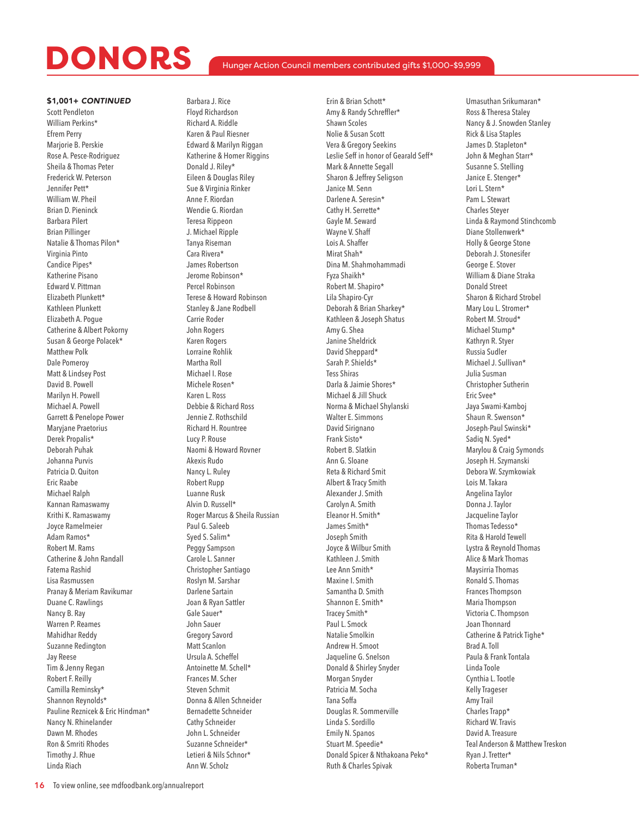### Hunger Action Council members contributed gifts \$1,000-\$9,999

### \$1,001+ *CONTINUED*

Scott Pendleton William Perkins\* Efrem Perry Marjorie B. Perskie Rose A. Pesce-Rodriguez Sheila & Thomas Peter Frederick W. Peterson Jennifer Pett\* William W. Pheil Brian D. Pieninck Barbara Pilert Brian Pillinger Natalie & Thomas Pilon\* Virginia Pinto Candice Pipes\* Katherine Pisano Edward V. Pittman Elizabeth Plunkett\* Kathleen Plunkett Elizabeth A. Pogue Catherine & Albert Pokorny Susan & George Polacek\* Matthew Polk Dale Pomeroy Matt & Lindsey Post David B. Powell Marilyn H. Powell Michael A. Powell Garrett & Penelope Power Maryjane Praetorius Derek Propalis\* Deborah Puhak Johanna Purvis Patricia D. Quiton Eric Raabe Michael Ralph Kannan Ramaswamy Krithi K. Ramaswamy Joyce Ramelmeier Adam Ramos\* Robert M. Rams Catherine & John Randall Fatema Rashid Lisa Rasmussen Pranay & Meriam Ravikumar Duane C. Rawlings Nancy B. Ray Warren P. Reames Mahidhar Reddy Suzanne Redington Jay Reese Tim & Jenny Regan Robert F. Reilly Camilla Reminsky\* Shannon Reynolds\* Pauline Reznicek & Eric Hindman\* Nancy N. Rhinelander Dawn M. Rhodes Ron & Smriti Rhodes Timothy J. Rhue Linda Riach

Barbara J. Rice Floyd Richardson Richard A. Riddle Karen & Paul Riesner Edward & Marilyn Riggan Katherine & Homer Riggins Donald J. Riley\* Eileen & Douglas Riley Sue & Virginia Rinker Anne F. Riordan Wendie G. Riordan Teresa Rippeon J. Michael Ripple Tanya Riseman Cara Rivera\* James Robertson Jerome Robinson\* Percel Robinson Terese & Howard Robinson Stanley & Jane Rodbell Carrie Roder John Rogers Karen Rogers Lorraine Rohlik Martha Roll Michael I. Rose Michele Rosen\* Karen L. Ross Debbie & Richard Ross Jennie Z. Rothschild Richard H. Rountree Lucy P. Rouse Naomi & Howard Rovner Akexis Rudo Nancy L. Ruley Robert Rupp Luanne Rusk Alvin D. Russell\* Roger Marcus & Sheila Russian Paul G. Saleeb Syed S. Salim\* Peggy Sampson Carole L. Sanner Christopher Santiago Roslyn M. Sarshar Darlene Sartain Joan & Ryan Sattler Gale Sauer\* John Sauer Gregory Savord Matt Scanlon Ursula A. Scheffel Antoinette M. Schell\* Frances M. Scher Steven Schmit Donna & Allen Schneider Bernadette Schneider Cathy Schneider John L. Schneider Suzanne Schneider\* Letieri & Nils Schnor\* Ann W. Scholz

Erin & Brian Schott\* Amy & Randy Schreffler\* Shawn Scoles Nolie & Susan Scott Vera & Gregory Seekins Leslie Seff in honor of Gearald Seff\* Mark & Annette Segall Sharon & Jeffrey Seligson Janice M. Senn Darlene A. Seresin\* Cathy H. Serrette\* Gayle M. Seward Wayne V. Shaff Lois A. Shaffer Mirat Shah\* Dina M. Shahmohammadi Fyza Shaikh\* Robert M. Shapiro\* Lila Shapiro-Cyr Deborah & Brian Sharkey\* Kathleen & Joseph Shatus Amy G. Shea Janine Sheldrick David Sheppard\* Sarah P. Shields\* Tess Shiras Darla & Jaimie Shores\* Michael & Jill Shuck Norma & Michael Shylanski Walter E. Simmons David Sirignano Frank Sisto\* Robert B. Slatkin Ann G. Sloane Reta & Richard Smit Albert & Tracy Smith Alexander J. Smith Carolyn A. Smith Eleanor H. Smith\* James Smith\* Joseph Smith Joyce & Wilbur Smith Kathleen J. Smith Lee Ann Smith\* Maxine I. Smith Samantha D. Smith Shannon E. Smith\* Tracey Smith\* Paul L. Smock Natalie Smolkin Andrew H. Smoot Jaqueline G. Snelson Donald & Shirley Snyder Morgan Snyder Patricia M. Socha Tana Soffa Douglas R. Sommerville Linda S. Sordillo Emily N. Spanos Stuart M. Speedie\* Donald Spicer & Nthakoana Peko\* Ruth & Charles Spivak

Umasuthan Srikumaran\* Ross & Theresa Staley Nancy & J. Snowden Stanley Rick & Lisa Staples James D. Stapleton\* John & Meghan Starr\* Susanne S. Stelling Janice E. Stenger\* Lori L. Stern\* Pam L. Stewart Charles Steyer Linda & Raymond Stinchcomb Diane Stollenwerk\* Holly & George Stone Deborah J. Stonesifer George E. Stover William & Diane Straka Donald Street Sharon & Richard Strobel Mary Lou L. Stromer\* Robert M. Stroud\* Michael Stump\* Kathryn R. Styer Russia Sudler Michael J. Sullivan\* Julia Susman Christopher Sutherin Eric Svee\* Jaya Swami-Kamboj Shaun R. Swenson\* Joseph-Paul Swinski\* Sadig N. Syed\* Marylou & Craig Symonds Joseph H. Szymanski Debora W. Szymkowiak Lois M. Takara Angelina Taylor Donna J. Taylor Jacqueline Taylor Thomas Tedesso\* Rita & Harold Tewell Lystra & Reynold Thomas Alice & Mark Thomas Maysirria Thomas Ronald S. Thomas Frances Thompson Maria Thompson Victoria C. Thompson Joan Thonnard Catherine & Patrick Tighe\* Brad A. Toll Paula & Frank Tontala Linda Toole Cynthia L. Tootle Kelly Trageser Amy Trail Charles Trapp\* Richard W. Travis David A. Treasure Teal Anderson & Matthew Treskon Ryan J. Tretter\* Roberta Truman\*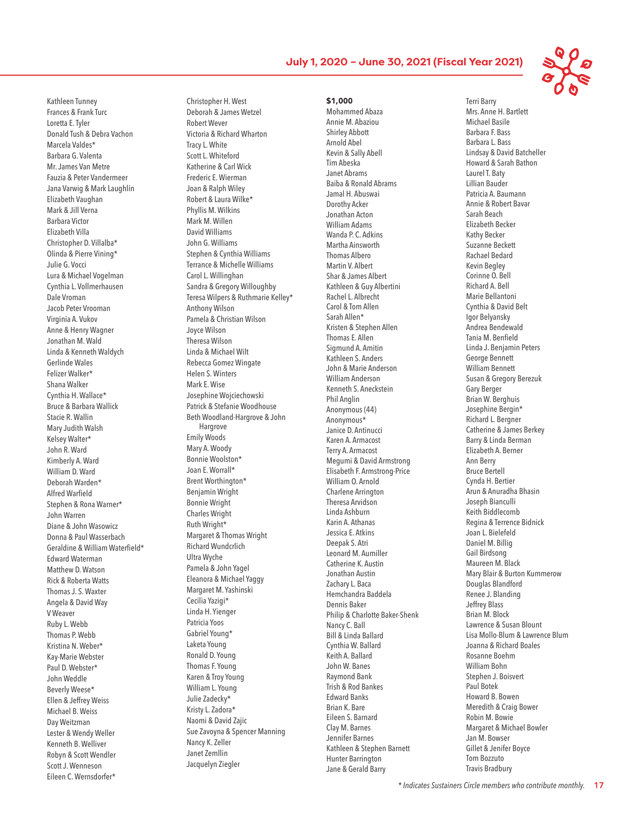\$1,000 Mohammed Abaza Annie M. Abaziou

Kathleen Tunney Frances & Frank Turc Loretta E. Tyler Donald Tush & Debra Vachon Marcela Valdes\* Barbara G. Valenta Mr. James Van Metre Fauzia & Peter Vandermeer Jana Varwig & Mark Laughlin Elizabeth Vaughan Mark & Jill Verna Barbara Victor Elizabeth Villa Christopher D. Villalba\* Olinda & Pierre Vining\* Julie G. Vocci Lura & Michael Vogelman Cynthia L. Vollmerhausen Dale Vroman Jacob Peter Vrooman Virginia A. Vukov Anne & Henry Wagner Jonathan M. Wald Linda & Kenneth Waldych Gerlinde Wales Felizer Walker\* Shana Walker Cynthia H. Wallace\* Bruce & Barbara Wallick Stacie R. Wallin Mary Judith Walsh Kelsey Walter\* John R. Ward Kimberly A. Ward William D. Ward Deborah Warden\* Alfred Warfield Stephen & Rona Warner\* John Warren Diane & John Wasowicz Donna & Paul Wasserbach Geraldine & William Waterfield\* Edward Waterman Matthew D. Watson Rick & Roberta Watts Thomas J. S. Waxter Angela & David Way V Weaver Ruby L. Webb Thomas P. Webb Kristina N. Weber\* Kay-Marie Webster Paul D. Webster\* John Weddle Beverly Weese\* Ellen & Jeffrey Weiss Michael B. Weiss Day Weitzman Lester & Wendy Weller Kenneth B. Welliver Robyn & Scott Wendler Scott J. Wenneson Eileen C. Wernsdorfer\*

Christopher H. West Deborah & James Wetzel Robert Wever Victoria & Richard Wharton Tracy L. White Scott L. Whiteford Katherine & Carl Wick Frederic E. Wierman Joan & Ralph Wiley Robert & Laura Wilke\* Phyllis M. Wilkins Mark M. Willen David Williams John G. Williams Stephen & Cynthia Williams Terrance & Michelle Williams Carol L. Willinghan Sandra & Gregory Willoughby Teresa Wilpers & Ruthmarie Kelley\* Anthony Wilson Pamela & Christian Wilson Joyce Wilson Theresa Wilson Linda & Michael Wilt Rebecca Gomez Wingate Helen S. Winters Mark E. Wise Josephine Wojciechowski Patrick & Stefanie Woodhouse Beth Woodland-Hargrove & John Hargrove Emily Woods Mary A. Woody Bonnie Woolston\* Joan E. Worrall\* Brent Worthington\* Benjamin Wright Bonnie Wright Charles Wright Ruth Wright\* Margaret & Thomas Wright Richard Wundcrlich Ultra Wyche Pamela & John Yagel Eleanora & Michael Yaggy Margaret M. Yashinski Cecilia Yazigi\* Linda H. Yienger Patricia Yoos Gabriel Young\* Laketa Young Ronald D. Young Thomas F. Young Karen & Troy Young William L. Young Julie Zadecky\* Kristy L. Zadora\* Naomi & David Zajic Sue Zavoyna & Spencer Manning Nancy K. Zeller Janet Zemllin Jacquelyn Ziegler

Shirley Abbott Arnold Abel Kevin & Sally Abell Tim Abeska Janet Abrams Baiba & Ronald Abrams Jamal H. Abuswai Dorothy Acker Jonathan Acton William Adams Wanda P. C. Adkins Martha Ainsworth Thomas Albero Martin V. Albert Shar & James Albert Kathleen & Guy Albertini Rachel L. Albrecht Carol & Tom Allen Sarah Allen\* Kristen & Stephen Allen Thomas E. Allen Sigmund A. Amitin Kathleen S. Anders John & Marie Anderson William Anderson Kenneth S. Aneckstein Phil Anglin Anonymous (44) Anonymous\* Janice D. Antinucci Karen A. Armacost Terry A. Armacost Megumi & David Armstrong Elisabeth F. Armstrong-Price William O. Arnold Charlene Arrington Theresa Arvidson Linda Ashburn Karin A. Athanas Jessica E. Atkins Deepak S. Atri Leonard M. Aumiller Catherine K. Austin Jonathan Austin Zachary L. Baca Hemchandra Baddela Dennis Baker Philip & Charlotte Baker-Shenk Nancy C. Ball Bill & Linda Ballard Cynthia W. Ballard Keith A. Ballard John W. Banes Raymond Bank Trish & Rod Bankes Edward Banks Brian K. Bare Eileen S. Barnard Clay M. Barnes Jennifer Barnes Kathleen & Stephen Barnett Hunter Barrington Jane & Gerald Barry



Terri Barry Mrs. Anne H. Bartlett Michael Basile Barbara F. Bass Barbara L. Bass Lindsay & David Batcheller Howard & Sarah Bathon Laurel T. Baty Lillian Bauder Patricia A. Baumann Annie & Robert Bavar Sarah Beach Elizabeth Becker Kathy Becker Suzanne Beckett Rachael Bedard Kevin Begley Corinne O. Bell Richard A. Bell Marie Bellantoni Cynthia & David Belt Igor Belyansky Andrea Bendewald Tania M. Benfield Linda J. Benjamin Peters George Bennett William Bennett Susan & Gregory Berezuk Gary Berger Brian W. Berghuis Josephine Bergin\* Richard L. Bergner Catherine & James Berkey Barry & Linda Berman Elizabeth A. Berner Ann Berry Bruce Bertell Cynda H. Bertier Arun & Anuradha Bhasin Joseph Bianculli Keith Biddlecomb Regina & Terrence Bidnick Joan L. Bielefeld Daniel M. Billig Gail Birdsong Maureen M. Black Mary Blair & Burton Kummerow Douglas Blandford Renee J. Blanding Jeffrey Blass Brian M. Block Lawrence & Susan Blount Lisa Mollo-Blum & Lawrence Blum Joanna & Richard Boales Rosanne Boehm William Bohn Stephen J. Boisvert Paul Botek Howard B. Bowen Meredith & Craig Bower Robin M. Bowie Margaret & Michael Bowler Jan M. Bowser Gillet & Jenifer Boyce Tom Bozzuto Travis Bradbury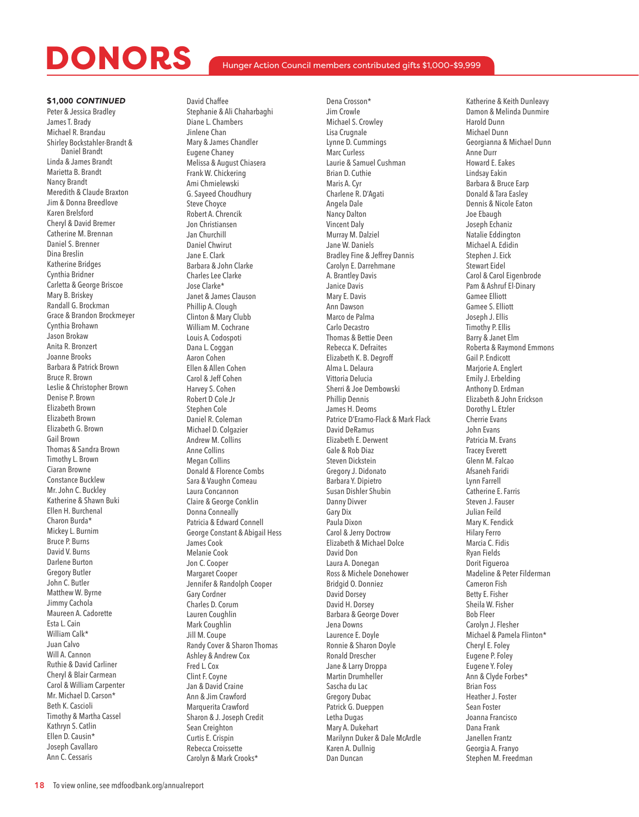### Hunger Action Council members contributed gifts \$1,000-\$9,999

\$1,000 *CONTINUED* Peter & Jessica Bradley James T. Brady Michael R. Brandau Shirley Bockstahler-Brandt & Daniel Brandt Linda & James Brandt Marietta B. Brandt Nancy Brandt Meredith & Claude Braxton Jim & Donna Breedlove Karen Brelsford Cheryl & David Bremer Catherine M. Brennan Daniel S. Brenner Dina Breslin Katherine Bridges Cynthia Bridner Carletta & George Briscoe Mary B. Briskey Randall G. Brockman Grace & Brandon Brockmeyer Cynthia Brohawn Jason Brokaw Anita R. Bronzert Joanne Brooks Barbara & Patrick Brown Bruce R. Brown Leslie & Christopher Brown Denise P. Brown Elizabeth Brown Elizabeth Brown Elizabeth G. Brown Gail Brown Thomas & Sandra Brown Timothy L. Brown Ciaran Browne Constance Bucklew Mr. John C. Buckley Katherine & Shawn Buki Ellen H. Burchenal Charon Burda\* Mickey L. Burnim Bruce P. Burns David V. Burns Darlene Burton Gregory Butler John C. Butler Matthew W. Byrne Jimmy Cachola Maureen A. Cadorette Esta L. Cain William Calk\* Juan Calvo Will A. Cannon Ruthie & David Carliner Cheryl & Blair Carmean Carol & William Carpenter Mr. Michael D. Carson\* Beth K. Cascioli Timothy & Martha Cassel Kathryn S. Catlin Ellen D. Causin\* Joseph Cavallaro Ann C. Cessaris

David Chaffee Stephanie & Ali Chaharbaghi Diane L. Chambers Jinlene Chan Mary & James Chandler Eugene Chaney Melissa & August Chiasera Frank W. Chickering Ami Chmielewski G. Sayeed Choudhury Steve Choyce Robert A. Chrencik Jon Christiansen Jan Churchill Daniel Chwirut Jane E. Clark Barbara & John Clarke Charles Lee Clarke Jose Clarke\* Janet & James Clauson Phillip A. Clough Clinton & Mary Clubb William M. Cochrane Louis A. Codospoti Dana L. Coggan Aaron Cohen Ellen & Allen Cohen Carol & Jeff Cohen Harvey S. Cohen Robert D Cole Jr Stephen Cole Daniel R. Coleman Michael D. Colgazier Andrew M. Collins Anne Collins Megan Collins Donald & Florence Combs Sara & Vaughn Comeau Laura Concannon Claire & George Conklin Donna Conneally Patricia & Edward Connell George Constant & Abigail Hess James Cook Melanie Cook Jon C. Cooper Margaret Cooper Jennifer & Randolph Cooper Gary Cordner Charles D. Corum Lauren Coughlin Mark Coughlin Jill M. Coupe Randy Cover & Sharon Thomas Ashley & Andrew Cox Fred L. Cox Clint F. Coyne Jan & David Craine Ann & Jim Crawford Marquerita Crawford Sharon & J. Joseph Credit Sean Creighton Curtis E. Crispin Rebecca Croissette Carolyn & Mark Crooks\*

Dena Crosson\* Jim Crowle Michael S. Crowley Lisa Crugnale Lynne D. Cummings Marc Curless Laurie & Samuel Cushman Brian D. Cuthie Maris A. Cyr Charlene R. D'Agati Angela Dale Nancy Dalton Vincent Daly Murray M. Dalziel Jane W. Daniels Bradley Fine & Jeffrey Dannis Carolyn E. Darrehmane A. Brantley Davis Janice Davis Mary E. Davis Ann Dawson Marco de Palma Carlo Decastro Thomas & Bettie Deen Rebecca K. Defraites Elizabeth K. B. Degroff Alma L. Delaura Vittoria Delucia Sherri & Joe Dembowski Phillip Dennis James H. Deoms Patrice D'Eramo-Flack & Mark Flack David DeRamus Elizabeth E. Derwent Gale & Rob Diaz Steven Dickstein Gregory J. Didonato Barbara Y. Dipietro Susan Dishler Shubin Danny Divver Gary Dix Paula Dixon Carol & Jerry Doctrow Elizabeth & Michael Dolce David Don Laura A. Donegan Ross & Michele Donehower Bridgid O. Donniez David Dorsey David H. Dorsey Barbara & George Dover Jena Downs Laurence E. Doyle Ronnie & Sharon Doyle Ronald Drescher Jane & Larry Droppa Martin Drumheller Sascha du Lac Gregory Dubac Patrick G. Dueppen Letha Dugas Mary A. Dukehart Marilynn Duker & Dale McArdle Karen A. Dullnig Dan Duncan

Katherine & Keith Dunleavy Damon & Melinda Dunmire Harold Dunn Michael Dunn Georgianna & Michael Dunn Anne Durr Howard E. Eakes Lindsay Eakin Barbara & Bruce Earp Donald & Tara Easley Dennis & Nicole Eaton Joe Ebaugh Joseph Echaniz Natalie Eddington Michael A. Edidin Stephen J. Eick Stewart Eidel Carol & Carol Eigenbrode Pam & Ashruf El-Dinary Gamee Elliott Gamee S. Elliott Joseph J. Ellis Timothy P. Ellis Barry & Janet Elm Roberta & Raymond Emmons Gail P. Endicott Marjorie A. Englert Emily J. Erbelding Anthony D. Erdman Elizabeth & John Erickson Dorothy L. Etzler Cherrie Evans John Evans Patricia M. Evans Tracey Everett Glenn M. Falcao Afsaneh Faridi Lynn Farrell Catherine E. Farris Steven J. Fauser Julian Feild Mary K. Fendick Hilary Ferro Marcia C. Fidis Ryan Fields Dorit Figueroa Madeline & Peter Filderman Cameron Fish Betty E. Fisher Sheila W. Fisher Bob Fleer Carolyn J. Flesher Michael & Pamela Flinton\* Cheryl E. Foley Eugene P. Foley Eugene Y. Foley Ann & Clyde Forbes\* Brian Foss Heather J. Foster Sean Foster Joanna Francisco Dana Frank Janellen Frantz Georgia A. Franyo Stephen M. Freedman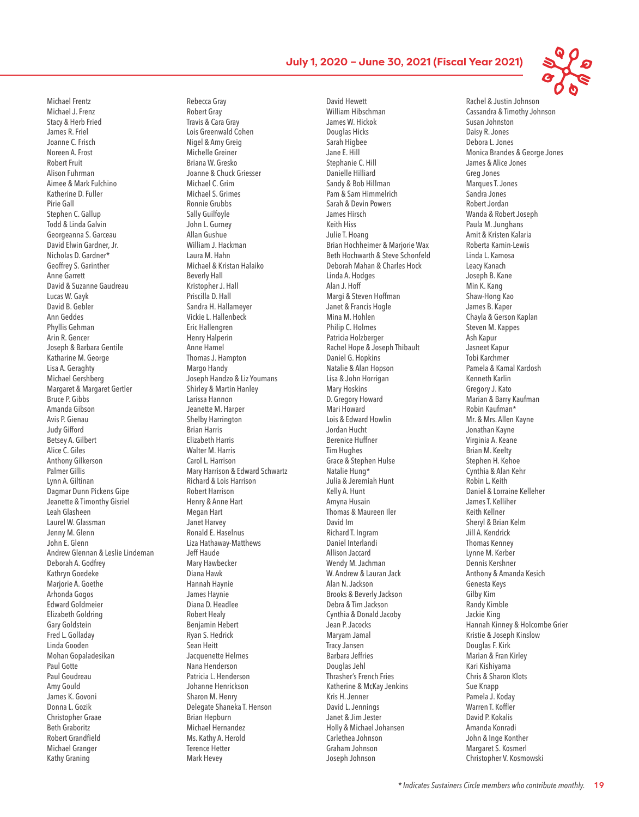Michael Frentz Michael J. Frenz Stacy & Herb Fried James R. Friel Joanne C. Frisch Noreen A. Frost Robert Fruit Alison Fuhrman Aimee & Mark Fulchino Katherine D. Fuller Pirie Gall Stephen C. Gallup Todd & Linda Galvin Georgeanna S. Garceau David Elwin Gardner, Jr. Nicholas D. Gardner\* Geoffrey S. Garinther Anne Garrett David & Suzanne Gaudreau Lucas W. Gayk David B. Gebler Ann Geddes Phyllis Gehman Arin R. Gencer Joseph & Barbara Gentile Katharine M. George Lisa A. Geraghty Michael Gershberg Margaret & Margaret Gertler Bruce P. Gibbs Amanda Gibson Avis P. Gienau Judy Gifford Betsey A. Gilbert Alice C. Giles Anthony Gilkerson Palmer Gillis Lynn A. Giltinan Dagmar Dunn Pickens Gipe Jeanette & Timonthy Gisriel Leah Glasheen Laurel W. Glassman Jenny M. Glenn John E. Glenn Andrew Glennan & Leslie Lindeman Deborah A. Godfrey Kathryn Goedeke Mariorie A. Goethe Arhonda Gogos Edward Goldmeier Elizabeth Goldring Gary Goldstein Fred L. Golladay Linda Gooden Mohan Gopaladesikan Paul Gotte Paul Goudreau Amy Gould James K. Govoni Donna L. Gozik Christopher Graae Beth Graboritz Robert Grandfield Michael Granger Kathy Graning

Rebecca Gray Robert Gray Travis & Cara Gray Lois Greenwald Cohen Nigel & Amy Greig Michelle Greiner Briana W. Gresko Joanne & Chuck Griesser Michael C. Grim Michael S. Grimes Ronnie Grubbs Sally Guilfoyle John L. Gurney Allan Gushue William J. Hackman Laura M. Hahn Michael & Kristan Halaiko Beverly Hall Kristopher J. Hall Priscilla D. Hall Sandra H. Hallameyer Vickie L. Hallenbeck Eric Hallengren Henry Halperin Anne Hamel Thomas J. Hampton Margo Handy Joseph Handzo & Liz Youmans Shirley & Martin Hanley Larissa Hannon Jeanette M. Harper Shelby Harrington Brian Harris Elizabeth Harris Walter M. Harris Carol L. Harrison Mary Harrison & Edward Schwartz Richard & Lois Harrison Robert Harrison Henry & Anne Hart Megan Hart Janet Harvey Ronald E. Haselnus Liza Hathaway-Matthews Jeff Haude Mary Hawbecker Diana Hawk Hannah Haynie James Haynie Diana D. Headlee Robert Healy Benjamin Hebert Ryan S. Hedrick Sean Heitt Jacquenette Helmes Nana Henderson Patricia L. Henderson Johanne Henrickson Sharon M. Henry Delegate Shaneka T. Henson Brian Hepburn Michael Hernandez Ms. Kathy A. Herold Terence Hetter Mark Hevey

David Hewett William Hibschman James W. Hickok Douglas Hicks Sarah Higbee Jane E. Hill Stephanie C. Hill Danielle Hilliard Sandy & Bob Hillman Pam & Sam Himmelrich Sarah & Devin Powers James Hirsch Keith Hiss Julie T. Hoang Brian Hochheimer & Marjorie Wax Beth Hochwarth & Steve Schonfeld Deborah Mahan & Charles Hock Linda A. Hodges Alan J. Hoff Margi & Steven Hoffman Janet & Francis Hogle Mina M. Hohlen Philip C. Holmes Patricia Holzberger Rachel Hope & Joseph Thibault Daniel G. Hopkins Natalie & Alan Hopson Lisa & John Horrigan Mary Hoskins D. Gregory Howard Mari Howard Lois & Edward Howlin Jordan Hucht Berenice Huffner Tim Hughes Grace & Stephen Hulse Natalie Hung\* Julia & Jeremiah Hunt Kelly A. Hunt Amyna Husain Thomas & Maureen Iler David Im Richard T. Ingram Daniel Interlandi Allison Jaccard Wendy M. Jachman W. Andrew & Lauran Jack Alan N. Jackson Brooks & Beverly Jackson Debra & Tim Jackson Cynthia & Donald Jacoby Jean P. Jacocks Maryam Jamal Tracy Jansen Barbara Jeffries Douglas Jehl Thrasher's French Fries Katherine & McKay Jenkins Kris H. Jenner David L. Jennings Janet & Jim Jester Holly & Michael Johansen Carlethea Johnson Graham Johnson Joseph Johnson

Rachel & Justin Johnson Cassandra & Timothy Johnson Susan Johnston Daisy R. Jones Debora L. Jones Monica Brandes & George Jones James & Alice Jones Greg Jones Marques T. Jones Sandra Jones Robert Jordan Wanda & Robert Joseph Paula M. Junghans Amit & Kristen Kalaria Roberta Kamin-Lewis Linda L. Kamosa Leacy Kanach Joseph B. Kane Min K. Kang Shaw-Hong Kao James B. Kaper Chayla & Gerson Kaplan Steven M. Kappes Ash Kapur Jasneet Kapur Tobi Karchmer Pamela & Kamal Kardosh Kenneth Karlin Gregory J. Kato Marian & Barry Kaufman Robin Kaufman\* Mr. & Mrs. Allen Kayne Jonathan Kayne Virginia A. Keane Brian M. Keelty Stephen H. Kehoe Cynthia & Alan Kehr Robin L. Keith Daniel & Lorraine Kelleher James T. Kelliher Keith Kellner Sheryl & Brian Kelm Jill A. Kendrick Thomas Kenney Lynne M. Kerber Dennis Kershner Anthony & Amanda Kesich Genesta Keys Gilby Kim Randy Kimble Jackie King Hannah Kinney & Holcombe Grier Kristie & Joseph Kinslow Douglas F. Kirk Marian & Fran Kirley Kari Kishiyama Chris & Sharon Klots Sue Knapp Pamela J. Koday Warren T. Koffler David P. Kokalis Amanda Konradi John & Inge Konther Margaret S. Kosmerl Christopher V. Kosmowski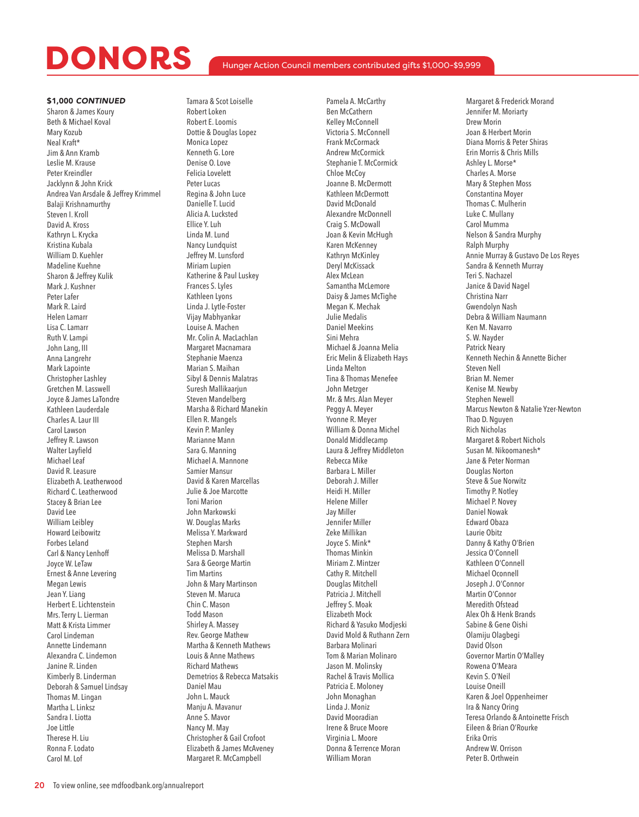### Hunger Action Council members contributed gifts \$1,000-\$9,999

### \$1,000 *CONTINUED*

Sharon & James Koury Beth & Michael Koval Mary Kozub Neal Kraft\* Jim & Ann Kramb Leslie M. Krause Peter Kreindler Jacklynn & John Krick Andrea Van Arsdale & Jeffrey Krimmel Balaji Krishnamurthy Steven I. Kroll David A. Kross Kathryn L. Krycka Kristina Kubala William D. Kuehler Madeline Kuehne Sharon & Jeffrey Kulik Mark J. Kushner Peter Lafer Mark R. Laird Helen Lamarr Lisa C. Lamarr Ruth V. Lampi John Lang, III Anna Langrehr Mark Lapointe Christopher Lashley Gretchen M. Lasswell Joyce & James LaTondre Kathleen Lauderdale Charles A. Laur III Carol Lawson Jeffrey R. Lawson Walter Layfield Michael Leaf David R. Leasure Elizabeth A. Leatherwood Richard C. Leatherwood Stacey & Brian Lee David Lee William Leibley Howard Leibowitz Forbes Leland Carl & Nancy Lenhoff Joyce W. LeTaw Ernest & Anne Levering Megan Lewis Jean Y. Liang Herbert E. Lichtenstein Mrs. Terry L. Lierman Matt & Krista Limmer Carol Lindeman Annette Lindemann Alexandra C. Lindemon Janine R. Linden Kimberly B. Linderman Deborah & Samuel Lindsay Thomas M. Lingan Martha L. Linksz Sandra I. Liotta Joe Little Therese H. Liu Ronna F. Lodato Carol M. Lof

Tamara & Scot Loiselle Robert Loken Robert E. Loomis Dottie & Douglas Lopez Monica Lopez Kenneth G. Lore Denise O. Love Felicia Lovelett Peter Lucas Regina & John Luce Danielle T. Lucid Alicia A. Lucksted Ellice Y. Luh Linda M. Lund Nancy Lundquist Jeffrey M. Lunsford Miriam Lupien Katherine & Paul Luskey Frances S. Lyles Kathleen Lyons Linda J. Lytle-Foster Vijay Mabhyankar Louise A. Machen Mr. Colin A. MacLachlan Margaret Macnamara Stephanie Maenza Marian S. Maihan Sibyl & Dennis Malatras Suresh Mallikaarjun Steven Mandelberg Marsha & Richard Manekin Ellen R. Mangels Kevin P. Manley Marianne Mann Sara G. Manning Michael A. Mannone Samier Mansur David & Karen Marcellas Julie & Joe Marcotte Toni Marion John Markowski W. Douglas Marks Melissa Y. Markward Stephen Marsh Melissa D. Marshall Sara & George Martin Tim Martins John & Mary Martinson Steven M. Maruca Chin C. Mason Todd Mason Shirley A. Massey Rev. George Mathew Martha & Kenneth Mathews Louis & Anne Mathews Richard Mathews Demetrios & Rebecca Matsakis Daniel Mau John L. Mauck Manju A. Mavanur Anne S. Mavor Nancy M. May Christopher & Gail Crofoot Elizabeth & James McAveney Margaret R. McCampbell

Pamela A. McCarthy Ben McCathern Kelley McConnell Victoria S. McConnell Frank McCormack Andrew McCormick Stephanie T. McCormick Chloe McCoy Joanne B. McDermott Kathleen McDermott David McDonald Alexandre McDonnell Craig S. McDowall Joan & Kevin McHugh Karen McKenney Kathryn McKinley Deryl McKissack Alex McLean Samantha McLemore Daisy & James McTighe Megan K. Mechak Julie Medalis Daniel Meekins Sini Mehra Michael & Joanna Melia Eric Melin & Elizabeth Hays Linda Melton Tina & Thomas Menefee John Metzger Mr. & Mrs. Alan Meyer Peggy A. Meyer Yvonne R. Meyer William & Donna Michel Donald Middlecamp Laura & Jeffrey Middleton Rebecca Mike Barbara L. Miller Deborah J. Miller Heidi H. Miller Helene Miller Jay Miller Jennifer Miller Zeke Millikan Joyce S. Mink\* Thomas Minkin Miriam Z. Mintzer Cathy R. Mitchell Douglas Mitchell Patricia J. Mitchell Jeffrey S. Moak Elizabeth Mock Richard & Yasuko Modjeski David Mold & Ruthann Zern Barbara Molinari Tom & Marian Molinaro Jason M. Molinsky Rachel & Travis Mollica Patricia E. Moloney John Monaghan Linda J. Moniz David Mooradian Irene & Bruce Moore Virginia L. Moore Donna & Terrence Moran William Moran

Margaret & Frederick Morand Jennifer M. Moriarty Drew Morin Joan & Herbert Morin Diana Morris & Peter Shiras Erin Morris & Chris Mills Ashley L. Morse\* Charles A. Morse Mary & Stephen Moss Constantina Moyer Thomas C. Mulherin Luke C. Mullany Carol Mumma Nelson & Sandra Murphy Ralph Murphy Annie Murray & Gustavo De Los Reyes Sandra & Kenneth Murray Teri S. Nachazel Janice & David Nagel Christina Narr Gwendolyn Nash Debra & William Naumann Ken M. Navarro S. W. Nayder Patrick Neary Kenneth Nechin & Annette Bicher Steven Nell Brian M. Nemer Kenise M. Newby Stephen Newell Marcus Newton & Natalie Yzer-Newton Thao D. Nguyen Rich Nicholas Margaret & Robert Nichols Susan M. Nikoomanesh\* Jane & Peter Norman Douglas Norton Steve & Sue Norwitz Timothy P. Notley Michael P. Novey Daniel Nowak Edward Obaza Laurie Obitz Danny & Kathy O'Brien Jessica O'Connell Kathleen O'Connell Michael Oconnell Joseph J. O'Connor Martin O'Connor Meredith Ofstead Alex Oh & Henk Brands Sabine & Gene Oishi Olamiju Olagbegi David Olson Governor Martin O'Malley Rowena O'Meara Kevin S. O'Neil Louise Oneill Karen & Joel Oppenheimer Ira & Nancy Oring Teresa Orlando & Antoinette Frisch Eileen & Brian O'Rourke Erika Orris Andrew W. Orrison Peter B. Orthwein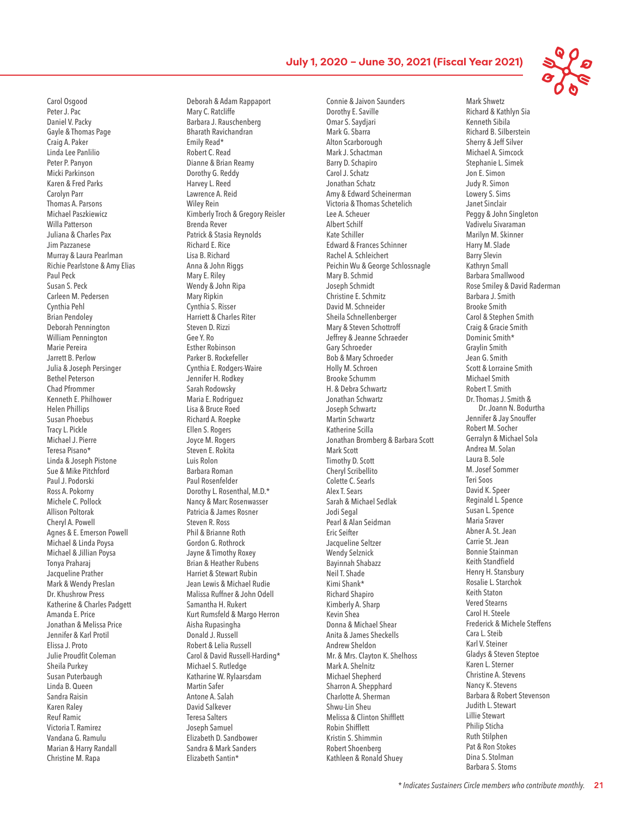Carol Osgood Peter J. Pac Daniel V. Packy Gayle & Thomas Page Craig A. Paker Linda Lee Panlilio Peter P. Panyon Micki Parkinson Karen & Fred Parks Carolyn Parr Thomas A. Parsons Michael Paszkiewicz Willa Patterson Juliana & Charles Pax Jim Pazzanese Murray & Laura Pearlman Richie Pearlstone & Amy Elias Paul Peck Susan S. Peck Carleen M. Pedersen Cynthia Pehl Brian Pendoley Deborah Pennington William Pennington Marie Pereira Jarrett B. Perlow Julia & Joseph Persinger Bethel Peterson Chad Pfrommer Kenneth E. Philhower Helen Phillips Susan Phoebus Tracy L. Pickle Michael J. Pierre Teresa Pisano\* Linda & Joseph Pistone Sue & Mike Pitchford Paul J. Podorski Ross A. Pokorny Michele C. Pollock Allison Poltorak Cheryl A. Powell Agnes & E. Emerson Powell Michael & Linda Poysa Michael & Jillian Poysa Tonya Praharaj Jacqueline Prather Mark & Wendy Preslan Dr. Khushrow Press Katherine & Charles Padgett Amanda E. Price Jonathan & Melissa Price Jennifer & Karl Protil Elissa J. Proto Julie Proudfit Coleman Sheila Purkey Susan Puterbaugh Linda B. Queen Sandra Raisin Karen Raley Reuf Ramic Victoria T. Ramirez Vandana G. Ramulu Marian & Harry Randall Christine M. Rapa

Deborah & Adam Rappaport Mary C. Ratcliffe Barbara J. Rauschenberg Bharath Ravichandran Emily Read\* Robert C. Read Dianne & Brian Reamy Dorothy G. Reddy Harvey L. Reed Lawrence A. Reid Wiley Rein Kimberly Troch & Gregory Reisler Brenda Rever Patrick & Stasia Reynolds Richard E. Rice Lisa B. Richard Anna & John Riggs Mary E. Riley Wendy & John Ripa Mary Ripkin Cynthia S. Risser Harriett & Charles Riter Steven D. Rizzi Gee Y. Ro Esther Robinson Parker B. Rockefeller Cynthia E. Rodgers-Waire Jennifer H. Rodkey Sarah Rodowsky Maria E. Rodriguez Lisa & Bruce Roed Richard A. Roepke Ellen S. Rogers Joyce M. Rogers Steven E. Rokita Luis Rolon Barbara Roman Paul Rosenfelder Dorothy L. Rosenthal, M.D.\* Nancy & Marc Rosenwasser Patricia & James Rosner Steven R. Ross Phil & Brianne Roth Gordon G. Rothrock Jayne & Timothy Roxey Brian & Heather Rubens Harriet & Stewart Rubin Jean Lewis & Michael Rudie Malissa Ruffner & John Odell Samantha H. Rukert Kurt Rumsfeld & Margo Herron Aisha Rupasingha Donald J. Russell Robert & Lelia Russell Carol & David Russell-Harding\* Michael S. Rutledge Katharine W. Rylaarsdam Martin Safer Antone A. Salah David Salkever Teresa Salters Joseph Samuel Elizabeth D. Sandbower Sandra & Mark Sanders Elizabeth Santin\*

Connie & Jaivon Saunders Dorothy E. Saville Omar S. Saydjari Mark G. Sbarra Alton Scarborough Mark J. Schactman Barry D. Schapiro Carol J. Schatz Jonathan Schatz Amy & Edward Scheinerman Victoria & Thomas Schetelich Lee A. Scheuer Albert Schilf Kate Schiller Edward & Frances Schinner Rachel A. Schleichert Peichin Wu & George Schlossnagle Mary B. Schmid Joseph Schmidt Christine E. Schmitz David M. Schneider Sheila Schnellenberger Mary & Steven Schottroff Jeffrey & Jeanne Schraeder Gary Schroeder Bob & Mary Schroeder Holly M. Schroen Brooke Schumm H. & Debra Schwartz Jonathan Schwartz Joseph Schwartz Martin Schwartz Katherine Scilla Jonathan Bromberg & Barbara Scott Mark Scott Timothy D. Scott Cheryl Scribellito Colette C. Searls Alex T. Sears Sarah & Michael Sedlak Jodi Segal Pearl & Alan Seidman Eric Seifter Jacqueline Seltzer Wendy Selznick Bayinnah Shabazz Neil T. Shade Kimi Shank\* Richard Shapiro Kimberly A. Sharp Kevin Shea Donna & Michael Shear Anita & James Sheckells Andrew Sheldon Mr. & Mrs. Clayton K. Shelhoss Mark A. Shelnitz Michael Shepherd Sharron A. Shepphard Charlotte A. Sherman Shwu-Lin Sheu Melissa & Clinton Shifflett Robin Shifflett Kristin S. Shimmin Robert Shoenberg Kathleen & Ronald Shuey

Mark Shwetz Richard & Kathlyn Sia Kenneth Sibila Richard B. Silberstein Sherry & Jeff Silver Michael A. Simcock Stephanie L. Simek Jon E. Simon Judy R. Simon Lowery S. Sims Janet Sinclair Peggy & John Singleton Vadivelu Sivaraman Marilyn M. Skinner Harry M. Slade Barry Slevin Kathryn Small Barbara Smallwood Rose Smiley & David Raderman Barbara J. Smith Brooke Smith Carol & Stephen Smith Craig & Gracie Smith Dominic Smith\* Graylin Smith Jean G. Smith Scott & Lorraine Smith Michael Smith Robert T. Smith Dr. Thomas J. Smith & Dr. Joann N. Bodurtha Jennifer & Jay Snouffer Robert M. Socher Gerralyn & Michael Sola Andrea M. Solan Laura B. Sole M. Josef Sommer Teri Soos David K. Speer Reginald L. Spence Susan L. Spence Maria Sraver Abner A. St. Jean Carrie St. Jean Bonnie Stainman Keith Standfield Henry H. Stansbury Rosalie L. Starchok Keith Staton Vered Stearns Carol H. Steele Frederick & Michele Steffens Cara L. Steib Karl V. Steiner Gladys & Steven Steptoe Karen L. Sterner Christine A. Stevens Nancy K. Stevens Barbara & Robert Stevenson Judith L. Stewart Lillie Stewart Philip Sticha Ruth Stilphen Pat & Ron Stokes Dina S. Stolman Barbara S. Stoms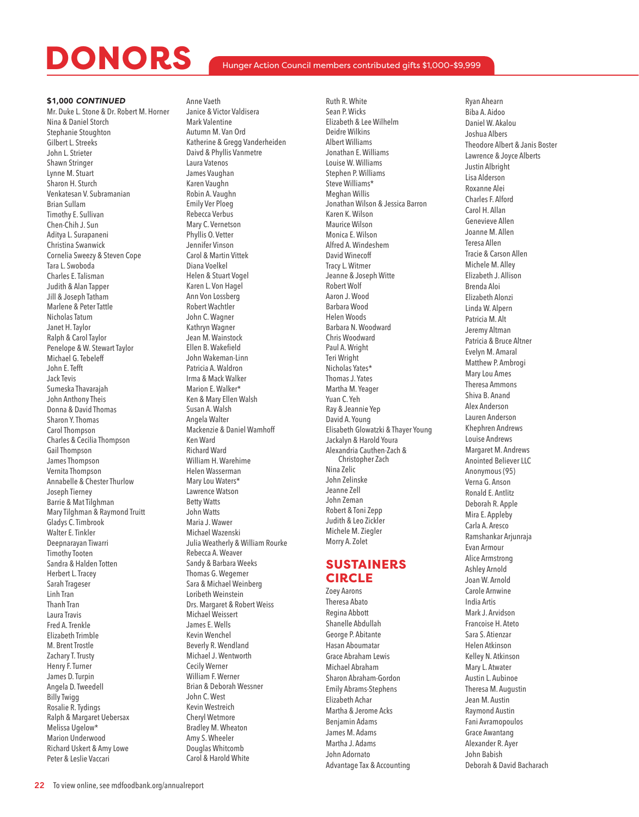### Hunger Action Council members contributed gifts \$1,000-\$9,999

#### \$1,000 *CONTINUED*

Mr. Duke L. Stone & Dr. Robert M. Horner Nina & Daniel Storch Stephanie Stoughton Gilbert L. Streeks John L. Strieter Shawn Stringer Lynne M. Stuart Sharon H. Sturch Venkatesan V. Subramanian Brian Sullam Timothy E. Sullivan Chen-Chih J. Sun Aditya L. Surapaneni Christina Swanwick Cornelia Sweezy & Steven Cope Tara L. Swoboda Charles E. Talisman Judith & Alan Tapper Jill & Joseph Tatham Marlene & Peter Tattle Nicholas Tatum Janet H. Taylor Ralph & Carol Taylor Penelope & W. Stewart Taylor Michael G. Tebeleff John E. Tefft Jack Tevis Sumeska Thavarajah John Anthony Theis Donna & David Thomas Sharon Y. Thomas Carol Thompson Charles & Cecilia Thompson Gail Thompson James Thompson Vernita Thompson Annabelle & Chester Thurlow Joseph Tierney Barrie & Mat Tilghman Mary Tilghman & Raymond Truitt Gladys C. Timbrook Walter E. Tinkler Deepnarayan Tiwarri Timothy Tooten Sandra & Halden Totten Herbert L. Tracey Sarah Trageser Linh Tran Thanh Tran Laura Travis Fred A. Trenkle Elizabeth Trimble M. Brent Trostle Zachary T. Trusty Henry F. Turner James D. Turpin Angela D. Tweedell Billy Twigg Rosalie R. Tydings Ralph & Margaret Uebersax Melissa Ugelow\* Marion Underwood Richard Uskert & Amy Lowe Peter & Leslie Vaccari

Anne Vaeth Janice & Victor Valdisera Mark Valentine Autumn M. Van Ord Katherine & Gregg Vanderheiden Daivd & Phyllis Vanmetre Laura Vatenos James Vaughan Karen Vaughn Robin A. Vaughn Emily Ver Ploeg Rebecca Verbus Mary C. Vernetson Phyllis O. Vetter Jennifer Vinson Carol & Martin Vittek Diana Voelkel Helen & Stuart Vogel Karen L. Von Hagel Ann Von Lossberg Robert Wachtler John C. Wagner Kathryn Wagner Jean M. Wainstock Ellen B. Wakefield John Wakeman-Linn Patricia A. Waldron Irma & Mack Walker Marion E. Walker\* Ken & Mary Ellen Walsh Susan A. Walsh Angela Walter Mackenzie & Daniel Wamhoff Ken Ward Richard Ward William H. Warehime Helen Wasserman Mary Lou Waters\* Lawrence Watson Betty Watts John Watts Maria J. Wawer Michael Wazenski Julia Weatherly & William Rourke Rebecca A. Weaver Sandy & Barbara Weeks Thomas G. Wegemer Sara & Michael Weinberg Loribeth Weinstein Drs. Margaret & Robert Weiss Michael Weissert James E. Wells Kevin Wenchel Beverly R. Wendland Michael J. Wentworth Cecily Werner William F. Werner Brian & Deborah Wessner John C. West Kevin Westreich Cheryl Wetmore Bradley M. Wheaton Amy S. Wheeler

Douglas Whitcomb Carol & Harold White

Ruth R. White Sean P. Wicks Elizabeth & Lee Wilhelm Deidre Wilkins Albert Williams Jonathan E. Williams Louise W. Williams Stephen P. Williams Steve Williams\* Meghan Willis Jonathan Wilson & Jessica Barron Karen K. Wilson Maurice Wilson Monica E. Wilson Alfred A. Windeshem David Winecoff Tracy L. Witmer Jeanne & Joseph Witte Robert Wolf Aaron J. Wood Barbara Wood Helen Woods Barbara N. Woodward Chris Woodward Paul A. Wright Teri Wright Nicholas Yates\* Thomas J. Yates Martha M. Yeager Yuan C. Yeh Ray & Jeannie Yep David A. Young Elisabeth Glowatzki & Thayer Young Jackalyn & Harold Youra Alexandria Cauthen-Zach & Christopher Zach Nina Zelic John Zelinske Jeanne Zell John Zeman Robert & Toni Zepp Judith & Leo Zickler Michele M. Ziegler Morry A. Zolet

## SUSTAINERS CIRCLE

Zoey Aarons Theresa Abato Regina Abbott Shanelle Abdullah George P. Abitante Hasan Aboumatar Grace Abraham Lewis Michael Abraham Sharon Abraham-Gordon Emily Abrams-Stephens Elizabeth Achar Martha & Jerome Acks Benjamin Adams James M. Adams Martha J. Adams John Adornato Advantage Tax & Accounting

Ryan Ahearn Biba A. Aidoo Daniel W. Akalou Joshua Albers Theodore Albert & Janis Boster Lawrence & Joyce Alberts Justin Albright Lisa Alderson Roxanne Alei Charles F. Alford Carol H. Allan Genevieve Allen Joanne M. Allen Teresa Allen Tracie & Carson Allen Michele M. Alley Elizabeth J. Allison Brenda Aloi Elizabeth Alonzi Linda W. Alpern Patricia M. Alt Jeremy Altman Patricia & Bruce Altner Evelyn M. Amaral Matthew P. Ambrogi Mary Lou Ames Theresa Ammons Shiva B. Anand Alex Anderson Lauren Anderson Khephren Andrews Louise Andrews Margaret M. Andrews Anointed Believer LLC Anonymous (95) Verna G. Anson Ronald E. Antlitz Deborah R. Apple Mira E. Appleby Carla A. Aresco Ramshankar Arjunraja Evan Armour Alice Armstrong Ashley Arnold Joan W. Arnold Carole Arnwine India Artis Mark J. Arvidson Francoise H. Ateto Sara S. Atienzar Helen Atkinson Kelley N. Atkinson Mary L. Atwater Austin L. Aubinoe Theresa M. Augustin Jean M. Austin Raymond Austin Fani Avramopoulos Grace Awantang Alexander R. Ayer John Babish Deborah & David Bacharach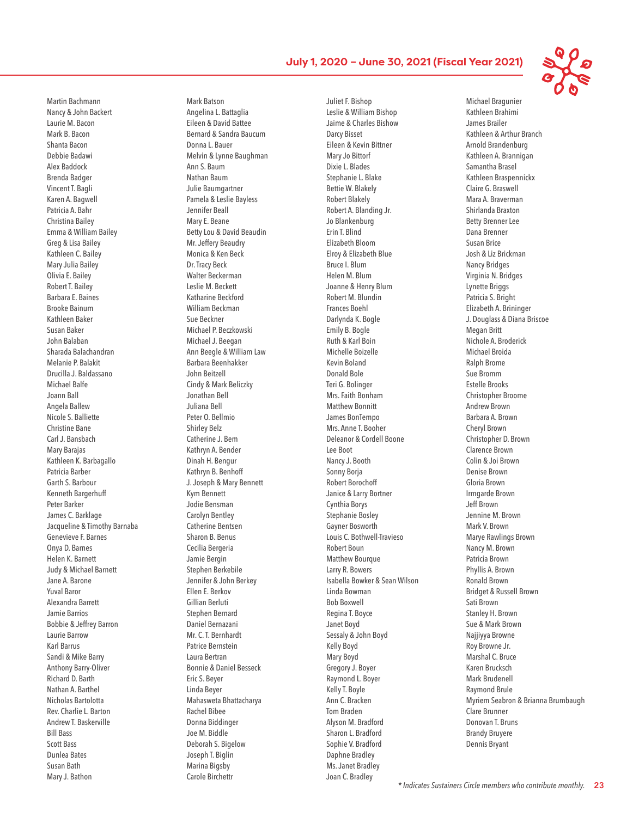Michael Bragunier

Martin Bachmann Nancy & John Backert Laurie M. Bacon Mark B. Bacon Shanta Bacon Debbie Badawi Alex Baddock Brenda Badger Vincent T. Bagli Karen A. Bagwell Patricia A. Bahr Christina Bailey Emma & William Bailey Greg & Lisa Bailey Kathleen C. Bailey Mary Julia Bailey Olivia E. Bailey Robert T. Bailey Barbara E. Baines Brooke Bainum Kathleen Baker Susan Baker John Balaban Sharada Balachandran Melanie P. Balakit Drucilla J. Baldassano Michael Balfe Joann Ball Angela Ballew Nicole S. Balliette Christine Bane Carl J. Bansbach Mary Barajas Kathleen K. Barbagallo Patricia Barber Garth S. Barbour Kenneth Bargerhuff Peter Barker James C. Barklage Jacqueline & Timothy Barnaba Genevieve F. Barnes Onya D. Barnes Helen K. Barnett Judy & Michael Barnett Jane A. Barone Yuval Baror Alexandra Barrett Jamie Barrios Bobbie & Jeffrey Barron Laurie Barrow Karl Barrus Sandi & Mike Barry Anthony Barry-Oliver Richard D. Barth Nathan A. Barthel Nicholas Bartolotta Rev. Charlie L. Barton Andrew T. Baskerville Bill Bass Scott Bass Dunlea Bates Susan Bath Mary J. Bathon

Mark Batson Angelina L. Battaglia Eileen & David Battee Bernard & Sandra Baucum Donna L. Bauer Melvin & Lynne Baughman Ann S. Baum Nathan Baum Julie Baumgartner Pamela & Leslie Bayless Jennifer Beall Mary E. Beane Betty Lou & David Beaudin Mr. Jeffery Beaudry Monica & Ken Beck Dr. Tracy Beck Walter Beckerman Leslie M. Beckett Katharine Beckford William Beckman Sue Beckner Michael P. Beczkowski Michael J. Beegan Ann Beegle & William Law Barbara Beenhakker John Beitzell Cindy & Mark Beliczky Jonathan Bell Juliana Bell Peter O. Bellmio Shirley Belz Catherine J. Bem Kathryn A. Bender Dinah H. Bengur Kathryn B. Benhoff J. Joseph & Mary Bennett Kym Bennett Jodie Bensman Carolyn Bentley Catherine Bentsen Sharon B. Benus Cecilia Bergeria Jamie Bergin Stephen Berkebile Jennifer & John Berkey Ellen E. Berkov Gillian Berluti Stephen Bernard Daniel Bernazani Mr. C. T. Bernhardt Patrice Bernstein Laura Bertran Bonnie & Daniel Besseck Eric S. Beyer Linda Beyer Mahasweta Bhattacharya Rachel Bibee Donna Biddinger Joe M. Biddle Deborah S. Bigelow Joseph T. Biglin Marina Bigsby Carole Birchettr

Juliet F. Bishop Leslie & William Bishop Jaime & Charles Bishow Darcy Bisset Eileen & Kevin Bittner Mary Jo Bittorf Dixie L. Blades Stephanie L. Blake Bettie W. Blakely Robert Blakely Robert A. Blanding Jr. Jo Blankenburg Erin T. Blind Elizabeth Bloom Elroy & Elizabeth Blue Bruce I. Blum Helen M. Blum Joanne & Henry Blum Robert M. Blundin Frances Boehl Darlynda K. Bogle Emily B. Bogle Ruth & Karl Boin Michelle Boizelle Kevin Boland Donald Bole Teri G. Bolinger Mrs. Faith Bonham Matthew Bonnitt James BonTempo Mrs. Anne T. Booher Deleanor & Cordell Boone Lee Boot Nancy J. Booth Sonny Borja Robert Borochoff Janice & Larry Bortner Cynthia Borys Stephanie Bosley Gayner Bosworth Louis C. Bothwell-Travieso Robert Boun Matthew Bourque Larry R. Bowers Isabella Bowker & Sean Wilson Linda Bowman Bob Boxwell Regina T. Boyce Janet Boyd Sessaly & John Boyd Kelly Boyd Mary Boyd Gregory J. Boyer Raymond L. Boyer Kelly T. Boyle Ann C. Bracken Tom Braden Alyson M. Bradford Sharon L. Bradford Sophie V. Bradford Daphne Bradley Ms. Janet Bradley Joan C. Bradley

Kathleen Brahimi James Brailer Kathleen & Arthur Branch Arnold Brandenburg Kathleen A. Brannigan Samantha Brasel Kathleen Braspennickx Claire G. Braswell Mara A. Braverman Shirlanda Braxton Betty Brenner Lee Dana Brenner Susan Brice Josh & Liz Brickman Nancy Bridges Virginia N. Bridges Lynette Briggs Patricia S. Bright Elizabeth A. Brininger J. Douglass & Diana Briscoe Megan Britt Nichole A. Broderick Michael Broida Ralph Brome Sue Bromm Estelle Brooks Christopher Broome Andrew Brown Barbara A. Brown Cheryl Brown Christopher D. Brown Clarence Brown Colin & Joi Brown Denise Brown Gloria Brown Irmgarde Brown Jeff Brown Jennine M. Brown Mark V. Brown Marye Rawlings Brown Nancy M. Brown Patricia Brown Phyllis A. Brown Ronald Brown Bridget & Russell Brown Sati Brown Stanley H. Brown Sue & Mark Brown Najjiyya Browne Roy Browne Jr. Marshal C. Bruce Karen Brucksch Mark Brudenell Raymond Brule Myriem Seabron & Brianna Brumbaugh Clare Brunner Donovan T. Bruns Brandy Bruyere Dennis Bryant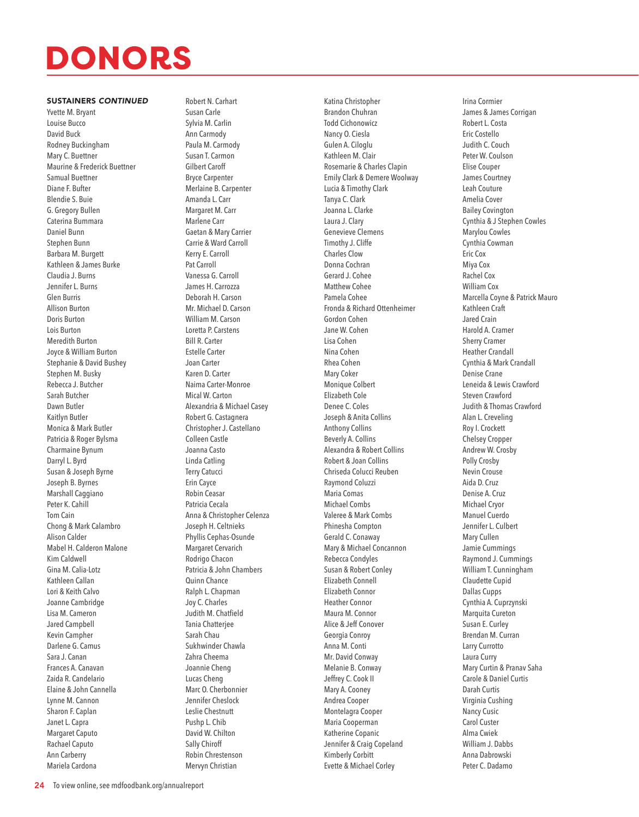#### SUSTAINERS *CONTINUED*

Yvette M. Bryant Louise Bucco David Buck Rodney Buckingham Mary C. Buettner Maurine & Frederick Buettner Samual Buettner Diane F. Bufter Blendie S. Buie G. Gregory Bullen Caterina Bummara Daniel Bunn Stephen Bunn Barbara M. Burgett Kathleen & James Burke Claudia J. Burns Jennifer L. Burns Glen Burris Allison Burton Doris Burton Lois Burton Meredith Burton Joyce & William Burton Stephanie & David Bushey Stephen M. Busky Rebecca J. Butcher Sarah Butcher Dawn Butler Kaitlyn Butler Monica & Mark Butler Patricia & Roger Bylsma Charmaine Bynum Darryl L. Byrd Susan & Joseph Byrne Joseph B. Byrnes Marshall Caggiano Peter K. Cahill Tom Cain Chong & Mark Calambro Alison Calder Mabel H. Calderon Malone Kim Caldwell Gina M. Calia-Lotz Kathleen Callan Lori & Keith Calvo Joanne Cambridge Lisa M. Cameron Jared Campbell Kevin Campher Darlene G. Camus Sara J. Canan Frances A. Canavan Zaida R. Candelario Elaine & John Cannella Lynne M. Cannon Sharon F. Caplan Janet L. Capra Margaret Caputo Rachael Caputo Ann Carberry Mariela Cardona

Robert N. Carhart Susan Carle Sylvia M. Carlin Ann Carmody Paula M. Carmody Susan T. Carmon Gilbert Caroff Bryce Carpenter Merlaine B. Carpenter Amanda L. Carr Margaret M. Carr Marlene Carr Gaetan & Mary Carrier Carrie & Ward Carroll Kerry E. Carroll Pat Carroll Vanessa G. Carroll James H. Carrozza Deborah H. Carson Mr. Michael D. Carson William M. Carson Loretta P. Carstens Bill R. Carter Estelle Carter Joan Carter Karen D. Carter Naima Carter-Monroe Mical W. Carton Alexandria & Michael Casey Robert G. Castagnera Christopher J. Castellano Colleen Castle Joanna Casto Linda Catling Terry Catucci Erin Cayce Robin Ceasar Patricia Cecala Anna & Christopher Celenza Joseph H. Celtnieks Phyllis Cephas-Osunde Margaret Cervarich Rodrigo Chacon Patricia & John Chambers Quinn Chance Ralph L. Chapman Joy C. Charles Judith M. Chatfield Tania Chatterjee Sarah Chau Sukhwinder Chawla Zahra Cheema Joannie Cheng Lucas Cheng Marc O. Cherbonnier Jennifer Cheslock Leslie Chestnutt Pushp L. Chib David W. Chilton Sally Chiroff Robin Chrestenson Mervyn Christian

Katina Christopher Brandon Chuhran Todd Cichonowicz Nancy O. Ciesla Gulen A. Ciloglu Kathleen M. Clair Rosemarie & Charles Clapin Emily Clark & Demere Woolway Lucia & Timothy Clark Tanya C. Clark Joanna L. Clarke Laura J. Clary Genevieve Clemens Timothy J. Cliffe Charles Clow Donna Cochran Gerard J. Cohee Matthew Cohee Pamela Cohee Fronda & Richard Ottenheimer Gordon Cohen Jane W. Cohen Lisa Cohen Nina Cohen Rhea Cohen Mary Coker Monique Colbert Elizabeth Cole Denee C. Coles Joseph & Anita Collins Anthony Collins Beverly A. Collins Alexandra & Robert Collins Robert & Joan Collins Chriseda Colucci Reuben Raymond Coluzzi Maria Comas Michael Combs Valeree & Mark Combs Phinesha Compton Gerald C. Conaway Mary & Michael Concannon Rebecca Condyles Susan & Robert Conley Elizabeth Connell Elizabeth Connor Heather Connor Maura M. Connor Alice & Jeff Conover Georgia Conroy Anna M. Conti Mr. David Conway Melanie B. Conway Jeffrey C. Cook II Mary A. Cooney Andrea Cooper Montelagra Cooper Maria Cooperman Katherine Copanic Jennifer & Craig Copeland Kimberly Corbitt

Evette & Michael Corley

Irina Cormier James & James Corrigan Robert L. Costa Eric Costello Judith C. Couch Peter W. Coulson Elise Couper James Courtney Leah Couture Amelia Cover Bailey Covington Cynthia & J Stephen Cowles Marylou Cowles Cynthia Cowman Eric Cox Miya Cox Rachel Cox William Cox Marcella Coyne & Patrick Mauro Kathleen Craft Jared Crain Harold A. Cramer Sherry Cramer Heather Crandall Cynthia & Mark Crandall Denise Crane Leneida & Lewis Crawford Steven Crawford Judith & Thomas Crawford Alan L. Creveling Roy I. Crockett Chelsey Cropper Andrew W. Crosby Polly Crosby Nevin Crouse Aida D. Cruz Denise A. Cruz Michael Cryor Manuel Cuerdo Jennifer L. Culbert Mary Cullen Jamie Cummings Raymond J. Cummings William T. Cunningham Claudette Cupid Dallas Cupps Cynthia A. Cuprzynski Marquita Cureton Susan E. Curley Brendan M. Curran Larry Currotto Laura Curry Mary Curtin & Pranav Saha Carole & Daniel Curtis Darah Curtis Virginia Cushing Nancy Cusic Carol Custer Alma Cwiek William J. Dabbs Anna Dabrowski Peter C. Dadamo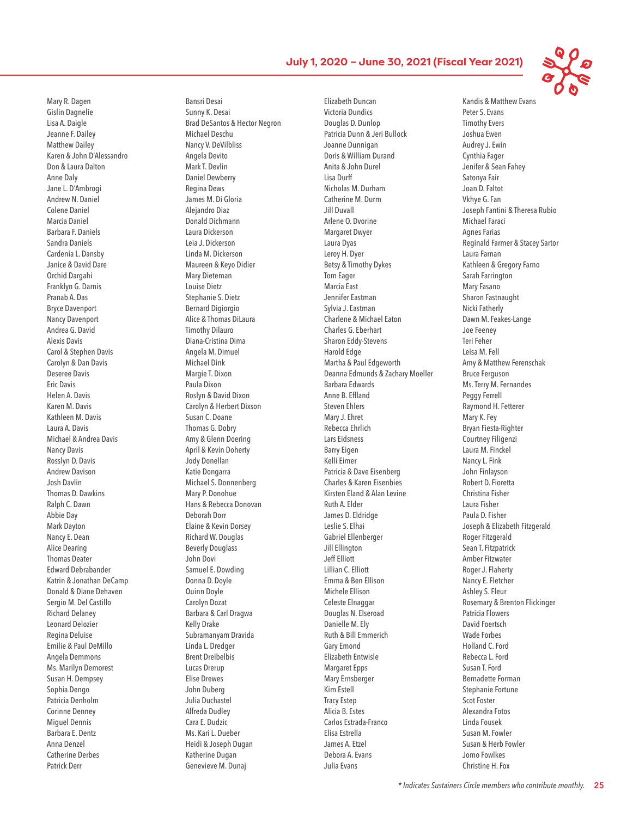Mary R. Dagen Gislin Dagnelie Lisa A. Daigle Jeanne F. Dailey Matthew Dailey Karen & John D'Alessandro Don & Laura Dalton Anne Daly Jane L. D'Ambrogi Andrew N. Daniel Colene Daniel Marcia Daniel Barbara F. Daniels Sandra Daniels Cardenia L. Dansby Janice & David Dare Orchid Dargahi Franklyn G. Darnis Pranab A. Das Bryce Davenport Nancy Davenport Andrea G. David Alexis Davis Carol & Stephen Davis Carolyn & Dan Davis Deseree Davis Eric Davis Helen A. Davis Karen M. Davis Kathleen M. Davis Laura A. Davis Michael & Andrea Davis Nancy Davis Rosslyn D. Davis Andrew Davison Josh Davlin Thomas D. Dawkins Ralph C. Dawn Abbie Day Mark Dayton Nancy E. Dean Alice Dearing Thomas Deater Edward Debrabander Katrin & Jonathan DeCamp Donald & Diane Dehaven Sergio M. Del Castillo Richard Delaney Leonard Delozier Regina Deluise Emilie & Paul DeMillo Angela Demmons Ms. Marilyn Demorest Susan H. Dempsey Sophia Dengo Patricia Denholm Corinne Denney Miguel Dennis Barbara E. Dentz Anna Denzel Catherine Derbes Patrick Derr

Bansri Desai Sunny K. Desai Brad DeSantos & Hector Negron Michael Deschu Nancy V. DeVilbliss Angela Devito Mark T. Devlin Daniel Dewberry Regina Dews James M. Di Gloria Alejandro Diaz Donald Dichmann Laura Dickerson Leia J. Dickerson Linda M. Dickerson Maureen & Keyo Didier Mary Dieteman Louise Dietz Stephanie S. Dietz Bernard Digiorgio Alice & Thomas DiLaura Timothy Dilauro Diana-Cristina Dima Angela M. Dimuel Michael Dink Margie T. Dixon Paula Dixon Roslyn & David Dixon Carolyn & Herbert Dixson Susan C. Doane Thomas G. Dobry Amy & Glenn Doering April & Kevin Doherty Jody Donellan Katie Dongarra Michael S. Donnenberg Mary P. Donohue Hans & Rebecca Donovan Deborah Dorr Elaine & Kevin Dorsey Richard W. Douglas Beverly Douglass John Dovi Samuel E. Dowding Donna D. Doyle Quinn Doyle Carolyn Dozat Barbara & Carl Dragwa Kelly Drake Subramanyam Dravida Linda L. Dredger Brent Dreibelbis Lucas Drerup Elise Drewes John Duberg Julia Duchastel Alfreda Dudley Cara E. Dudzic Ms. Kari L. Dueber Heidi & Joseph Dugan Katherine Dugan Genevieve M. Dunaj

Elizabeth Duncan Victoria Dundics Douglas D. Dunlop Patricia Dunn & Jeri Bullock Joanne Dunnigan Doris & William Durand Anita & John Durel Lisa Durff Nicholas M. Durham Catherine M. Durm Jill Duvall Arlene O. Dvorine Margaret Dwyer Laura Dyas Leroy H. Dyer Betsy & Timothy Dykes Tom Eager Marcia East Jennifer Eastman Sylvia J. Eastman Charlene & Michael Eaton Charles G. Eberhart Sharon Eddy-Stevens Harold Edge Martha & Paul Edgeworth Deanna Edmunds & Zachary Moeller Barbara Edwards Anne B. Effland Steven Ehlers Mary J. Ehret Rebecca Ehrlich Lars Eidsness Barry Eigen Kelli Eimer Patricia & Dave Eisenberg Charles & Karen Eisenbies Kirsten Eland & Alan Levine Ruth A. Elder James D. Eldridge Leslie S. Elhai Gabriel Ellenberger Jill Ellington Jeff Elliott Lillian C. Elliott Emma & Ben Ellison Michele Ellison Celeste Elnaggar Douglas N. Elseroad Danielle M. Ely Ruth & Bill Emmerich Gary Emond Elizabeth Entwisle Margaret Epps Mary Ernsberger Kim Estell Tracy Estep Alicia B. Estes Carlos Estrada-Franco Elisa Estrella James A. Etzel Debora A. Evans Julia Evans

Kandis & Matthew Evans Peter S. Evans Timothy Evers Joshua Ewen Audrey J. Ewin Cynthia Fager Jenifer & Sean Fahey Satonya Fair Joan D. Faltot Vkhye G. Fan Joseph Fantini & Theresa Rubio Michael Faraci Agnes Farias Reginald Farmer & Stacey Sartor Laura Farnan Kathleen & Gregory Farno Sarah Farrington Mary Fasano Sharon Fastnaught Nicki Fatherly Dawn M. Feakes-Lange Joe Feeney Teri Feher Leisa M. Fell Amy & Matthew Ferenschak Bruce Ferguson Ms. Terry M. Fernandes Peggy Ferrell Raymond H. Fetterer Mary K. Fey Bryan Fiesta-Righter Courtney Filigenzi Laura M. Finckel Nancy L. Fink John Finlayson Robert D. Fioretta Christina Fisher Laura Fisher Paula D. Fisher Joseph & Elizabeth Fitzgerald Roger Fitzgerald Sean T. Fitzpatrick Amber Fitzwater Roger J. Flaherty Nancy E. Fletcher Ashley S. Fleur Rosemary & Brenton Flickinger Patricia Flowers David Foertsch Wade Forbes Holland C. Ford Rebecca L. Ford Susan T. Ford Bernadette Forman Stephanie Fortune Scot Foster Alexandra Fotos Linda Fousek Susan M. Fowler Susan & Herb Fowler Jomo Fowlkes Christine H. Fox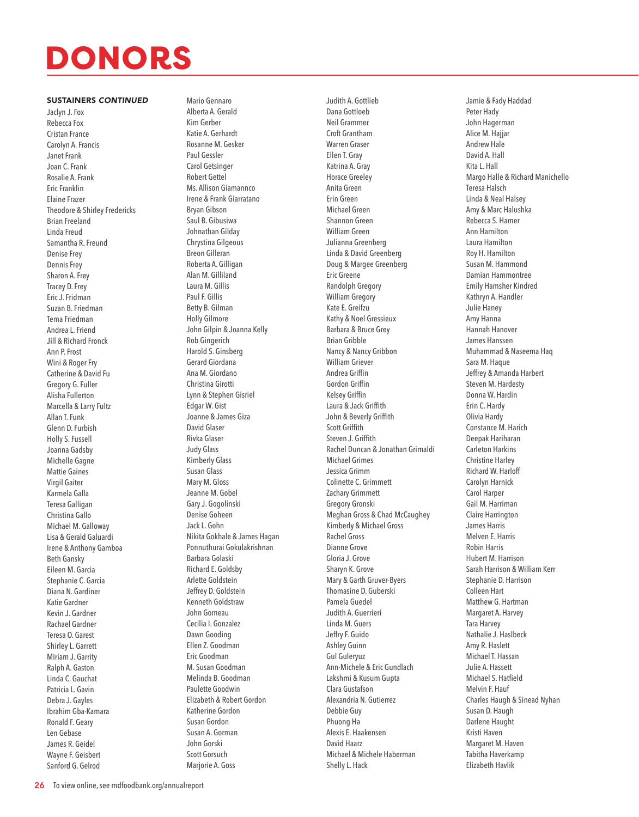#### SUSTAINERS *CONTINUED*

Jaclyn J. Fox Rebecca Fox Cristan France Carolyn A. Francis Janet Frank Joan C. Frank Rosalie A. Frank Eric Franklin Elaine Frazer Theodore & Shirley Fredericks Brian Freeland Linda Freud Samantha R. Freund Denise Frey Dennis Frey Sharon A. Frey Tracey D. Frey Eric J. Fridman Suzan B. Friedman Tema Friedman Andrea L. Friend Jill & Richard Fronck Ann P. Frost Wini & Roger Fry Catherine & David Fu Gregory G. Fuller Alisha Fullerton Marcella & Larry Fultz Allan T. Funk Glenn D. Furbish Holly S. Fussell Joanna Gadsby Michelle Gagne Mattie Gaines Virgil Gaiter Karmela Galla Teresa Galligan Christina Gallo Michael M. Galloway Lisa & Gerald Galuardi Irene & Anthony Gamboa Beth Gansky Eileen M. Garcia Stephanie C. Garcia Diana N. Gardiner Katie Gardner Kevin J. Gardner Rachael Gardner Teresa O. Garest Shirley L. Garrett Miriam J. Garrity Ralph A. Gaston Linda C. Gauchat Patricia L. Gavin Debra J. Gayles Ibrahim Gba-Kamara Ronald F. Geary Len Gebase James R. Geidel Wayne F. Geisbert Sanford G. Gelrod

Mario Gennaro Alberta A. Gerald Kim Gerber Katie A. Gerhardt Rosanne M. Gesker Paul Gessler Carol Getsinger Robert Gettel Ms. Allison Giamannco Irene & Frank Giarratano Bryan Gibson Saul B. Gibusiwa Johnathan Gilday Chrystina Gilgeous Breon Gilleran Roberta A. Gilligan Alan M. Gilliland Laura M. Gillis Paul F. Gillis Betty B. Gilman Holly Gilmore John Gilpin & Joanna Kelly Rob Gingerich Harold S. Ginsberg Gerard Giordana Ana M. Giordano Christina Girotti Lynn & Stephen Gisriel Edgar W. Gist Joanne & James Giza David Glaser Rivka Glaser Judy Glass Kimberly Glass Susan Glass Mary M. Gloss Jeanne M. Gobel Gary J. Gogolinski Denise Goheen Jack L. Gohn Nikita Gokhale & James Hagan Ponnuthurai Gokulakrishnan Barbara Golaski Richard E. Goldsby Arlette Goldstein Jeffrey D. Goldstein Kenneth Goldstraw John Gomeau Cecilia I. Gonzalez Dawn Gooding Ellen Z. Goodman Eric Goodman M. Susan Goodman Melinda B. Goodman Paulette Goodwin Elizabeth & Robert Gordon Katherine Gordon Susan Gordon Susan A. Gorman John Gorski Scott Gorsuch Marjorie A. Goss

Judith A. Gottlieb Dana Gottloeb Neil Grammer Croft Grantham Warren Graser Ellen T. Gray Katrina A. Gray Horace Greeley Anita Green Erin Green Michael Green Shannon Green William Green Julianna Greenberg Linda & David Greenberg Doug & Margee Greenberg Eric Greene Randolph Gregory William Gregory Kate E. Greifzu Kathy & Noel Gressieux Barbara & Bruce Grey Brian Gribble Nancy & Nancy Gribbon William Griever Andrea Griffin Gordon Griffin Kelsey Griffin Laura & Jack Griffith John & Beverly Griffith Scott Griffith Steven J. Griffith Rachel Duncan & Jonathan Grimaldi Michael Grimes Jessica Grimm Colinette C. Grimmett Zachary Grimmett Gregory Gronski Meghan Gross & Chad McCaughey Kimberly & Michael Gross Rachel Gross Dianne Grove Gloria J. Grove Sharyn K. Grove Mary & Garth Gruver-Byers Thomasine D. Guberski Pamela Guedel Judith A. Guerrieri Linda M. Guers Jeffry F. Guido Ashley Guinn Gul Guleryuz Ann-Michele & Eric Gundlach Lakshmi & Kusum Gupta Clara Gustafson Alexandria N. Gutierrez Debbie Guy Phuong Ha Alexis E. Haakensen David Haarz Michael & Michele Haberman Shelly L. Hack

Jamie & Fady Haddad Peter Hady John Hagerman Alice M. Hajjar Andrew Hale David A. Hall Kita L. Hall Margo Halle & Richard Manichello Teresa Halsch Linda & Neal Halsey Amy & Marc Halushka Rebecca S. Hamer Ann Hamilton Laura Hamilton Roy H. Hamilton Susan M. Hammond Damian Hammontree Emily Hamsher Kindred Kathryn A. Handler Julie Haney Amy Hanna Hannah Hanover James Hanssen Muhammad & Naseema Haq Sara M. Haque Jeffrey & Amanda Harbert Steven M. Hardesty Donna W. Hardin Erin C. Hardy Olivia Hardy Constance M. Harich Deepak Hariharan Carleton Harkins Christine Harley Richard W. Harloff Carolyn Harnick Carol Harper Gail M. Harriman Claire Harrington James Harris Melven E. Harris Robin Harris Hubert M. Harrison Sarah Harrison & William Kerr Stephanie D. Harrison Colleen Hart Matthew G. Hartman Margaret A. Harvey Tara Harvey Nathalie J. Haslbeck Amy R. Haslett Michael T. Hassan Julie A. Hassett Michael S. Hatfield Melvin F. Hauf Charles Haugh & Sinead Nyhan Susan D. Haugh Darlene Haught Kristi Haven Margaret M. Haven Tabitha Haverkamp Elizabeth Havlik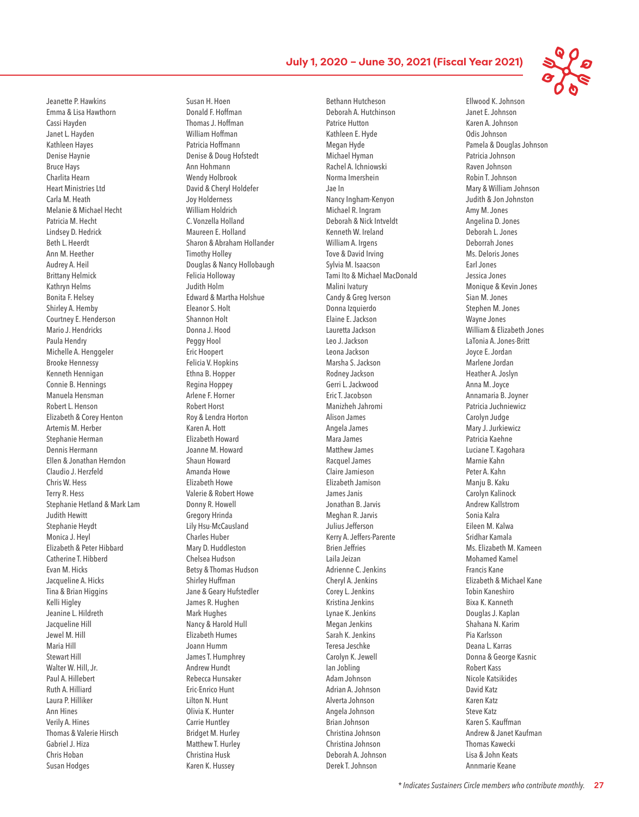Jeanette P. Hawkins Emma & Lisa Hawthorn Cassi Hayden Janet L. Hayden Kathleen Hayes Denise Haynie Bruce Hays Charlita Hearn Heart Ministries Ltd Carla M. Heath Melanie & Michael Hecht Patricia M. Hecht Lindsey D. Hedrick Beth L. Heerdt Ann M. Heether Audrey A. Heil Brittany Helmick Kathryn Helms Bonita F. Helsey Shirley A. Hemby Courtney E. Henderson Mario J. Hendricks Paula Hendry Michelle A. Henggeler Brooke Hennessy Kenneth Hennigan Connie B. Hennings Manuela Hensman Robert L. Henson Elizabeth & Corey Henton Artemis M. Herber Stephanie Herman Dennis Hermann Ellen & Jonathan Herndon Claudio J. Herzfeld Chris W. Hess Terry R. Hess Stephanie Hetland & Mark Lam Judith Hewitt Stephanie Heydt Monica J. Heyl Elizabeth & Peter Hibbard Catherine T. Hibberd Evan M. Hicks Jacqueline A. Hicks Tina & Brian Higgins Kelli Higley Jeanine L. Hildreth Jacqueline Hill Jewel M. Hill Maria Hill Stewart Hill Walter W. Hill, Jr. Paul A. Hillebert Ruth A. Hilliard Laura P. Hilliker Ann Hines Verily A. Hines Thomas & Valerie Hirsch Gabriel J. Hiza Chris Hoban Susan Hodges

Susan H. Hoen Donald F. Hoffman Thomas J. Hoffman William Hoffman Patricia Hoffmann Denise & Doug Hofstedt Ann Hohmann Wendy Holbrook David & Cheryl Holdefer Joy Holderness William Holdrich C. Vonzella Holland Maureen E. Holland Sharon & Abraham Hollander Timothy Holley Douglas & Nancy Hollobaugh Felicia Holloway Judith Holm Edward & Martha Holshue Eleanor S. Holt Shannon Holt Donna J. Hood Peggy Hool Eric Hoopert Felicia V. Hopkins Ethna B. Hopper Regina Hoppey Arlene F. Horner Robert Horst Roy & Lendra Horton Karen A. Hott Elizabeth Howard Joanne M. Howard Shaun Howard Amanda Howe Elizabeth Howe Valerie & Robert Howe Donny R. Howell Gregory Hrinda Lily Hsu-McCausland Charles Huber Mary D. Huddleston Chelsea Hudson Betsy & Thomas Hudson Shirley Huffman Jane & Geary Hufstedler James R. Hughen Mark Hughes Nancy & Harold Hull Elizabeth Humes Joann Humm James T. Humphrey Andrew Hundt Rebecca Hunsaker Eric-Enrico Hunt Lilton N. Hunt Olivia K. Hunter Carrie Huntley Bridget M. Hurley Matthew T. Hurley Christina Husk Karen K. Hussey

Bethann Hutcheson Deborah A. Hutchinson Patrice Hutton Kathleen E. Hyde Megan Hyde Michael Hyman Rachel A. Ichniowski Norma Imershein Jae In Nancy Ingham-Kenyon Michael R. Ingram Deborah & Nick Intveldt Kenneth W. Ireland William A. Irgens Tove & David Irving Sylvia M. Isaacson Tami Ito & Michael MacDonald Malini Ivatury Candy & Greg Iverson Donna Izquierdo Elaine E. Jackson Lauretta Jackson Leo J. Jackson Leona Jackson Marsha S. Jackson Rodney Jackson Gerri L. Jackwood Eric T. Jacobson Manizheh Jahromi Alison James Angela James Mara James Matthew James Racquel James Claire Jamieson Elizabeth Jamison James Janis Jonathan B. Jarvis Meghan R. Jarvis Julius Jefferson Kerry A. Jeffers-Parente Brien Jeffries Laila Jeizan Adrienne C. Jenkins Cheryl A. Jenkins Corey L. Jenkins Kristina Jenkins Lynae K. Jenkins Megan Jenkins Sarah K. Jenkins Teresa Jeschke Carolyn K. Jewell Ian Jobling Adam Johnson Adrian A. Johnson Alverta Johnson Angela Johnson Brian Johnson Christina Johnson Christina Johnson Deborah A. Johnson Derek T. Johnson

Ellwood K. Johnson Janet E. Johnson Karen A. Johnson Odis Johnson Pamela & Douglas Johnson Patricia Johnson Raven Johnson Robin T. Johnson Mary & William Johnson Judith & Jon Johnston Amy M. Jones Angelina D. Jones Deborah L. Jones Deborrah Jones Ms. Deloris Jones Earl Jones Jessica Jones Monique & Kevin Jones Sian M. Jones Stephen M. Jones Wayne Jones William & Elizabeth Jones LaTonia A. Jones-Britt Joyce E. Jordan Marlene Jordan Heather A. Joslyn Anna M. Joyce Annamaria B. Joyner Patricia Juchniewicz Carolyn Judge Mary J. Jurkiewicz Patricia Kaehne Luciane T. Kagohara Marnie Kahn Peter A. Kahn Manju B. Kaku Carolyn Kalinock Andrew Kallstrom Sonia Kalra Eileen M. Kalwa Sridhar Kamala Ms. Elizabeth M. Kameen Mohamed Kamel Francis Kane Elizabeth & Michael Kane Tobin Kaneshiro Bixa K. Kanneth Douglas J. Kaplan Shahana N. Karim Pia Karlsson Deana L. Karras Donna & George Kasnic Robert Kass Nicole Katsikides David Katz Karen Katz Steve Katz Karen S. Kauffman Andrew & Janet Kaufman Thomas Kawecki Lisa & John Keats Annmarie Keane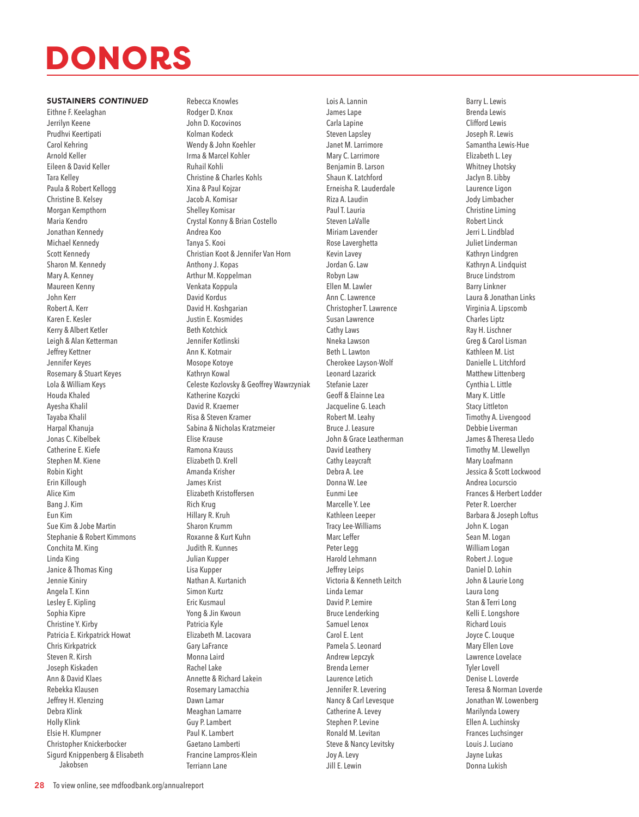#### SUSTAINERS *CONTINUED*

Eithne F. Keelaghan Jerrilyn Keene Prudhvi Keertipati Carol Kehring Arnold Keller Eileen & David Keller Tara Kelley Paula & Robert Kellogg Christine B. Kelsey Morgan Kempthorn Maria Kendro Jonathan Kennedy Michael Kennedy Scott Kennedy Sharon M. Kennedy Mary A. Kenney Maureen Kenny John Kerr Robert A. Kerr Karen E. Kesler Kerry & Albert Ketler Leigh & Alan Ketterman Jeffrey Kettner Jennifer Keyes Rosemary & Stuart Keyes Lola & William Keys Houda Khaled Ayesha Khalil Tayaba Khalil Harpal Khanuja Jonas C. Kibelbek Catherine E. Kiefe Stephen M. Kiene Robin Kight Erin Killough Alice Kim Bang J. Kim Eun Kim Sue Kim & Jobe Martin Stephanie & Robert Kimmons Conchita M. King Linda King Janice & Thomas King Jennie Kiniry Angela T. Kinn Lesley E. Kipling Sophia Kipre Christine Y. Kirby Patricia E. Kirkpatrick Howat Chris Kirkpatrick Steven R. Kirsh Joseph Kiskaden Ann & David Klaes Rebekka Klausen Jeffrey H. Klenzing Debra Klink Holly Klink Elsie H. Klumpner Christopher Knickerbocker Sigurd Knippenberg & Elisabeth Jakobsen

Rebecca Knowles Rodger D. Knox John D. Kocovinos Kolman Kodeck Wendy & John Koehler Irma & Marcel Kohler Ruhail Kohli Christine & Charles Kohls Xina & Paul Kojzar Jacob A. Komisar Shelley Komisar Crystal Konny & Brian Costello Andrea Koo Tanya S. Kooi Christian Koot & Jennifer Van Horn Anthony J. Kopas Arthur M. Koppelman Venkata Koppula David Kordus David H. Koshgarian Justin E. Kosmides Beth Kotchick Jennifer Kotlinski Ann K. Kotmair Mosope Kotoye Kathryn Kowal Celeste Kozlovsky & Geoffrey Wawrzyniak Katherine Kozycki David R. Kraemer Risa & Steven Kramer Sabina & Nicholas Kratzmeier Elise Krause Ramona Krauss Elizabeth D. Krell Amanda Krisher James Krist Elizabeth Kristoffersen Rich Krug Hillary R. Kruh Sharon Krumm Roxanne & Kurt Kuhn Judith R. Kunnes Julian Kupper Lisa Kupper Nathan A. Kurtanich Simon Kurtz Eric Kusmaul Yong & Jin Kwoun Patricia Kyle Elizabeth M. Lacovara Gary LaFrance Monna Laird Rachel Lake Annette & Richard Lakein Rosemary Lamacchia Dawn Lamar Meaghan Lamarre Guy P. Lambert Paul K. Lambert Gaetano Lamberti Francine Lampros-Klein

Lois A. Lannin James Lape Carla Lapine Steven Lapsley Janet M. Larrimore Mary C. Larrimore Benjamin B. Larson Shaun K. Latchford Erneisha R. Lauderdale Riza A. Laudin Paul T. Lauria Steven LaValle Miriam Lavender Rose Laverghetta Kevin Lavey Jordan G. Law Robyn Law Ellen M. Lawler Ann C. Lawrence Christopher T. Lawrence Susan Lawrence Cathy Laws Nneka Lawson Beth L. Lawton Cherokee Layson-Wolf Leonard Lazarick Stefanie Lazer Geoff & Elainne Lea Jacqueline G. Leach Robert M. Leahy Bruce J. Leasure John & Grace Leatherman David Leathery Cathy Leaycraft Debra A. Lee Donna W. Lee Eunmi Lee Marcelle Y. Lee Kathleen Leeper Tracy Lee-Williams Marc Leffer Peter Legg Harold Lehmann Jeffrey Leips Victoria & Kenneth Leitch Linda Lemar David P. Lemire Bruce Lenderking Samuel Lenox Carol E. Lent Pamela S. Leonard Andrew Lepczyk Brenda Lerner Laurence Letich Jennifer R. Levering Nancy & Carl Levesque Catherine A. Levey Stephen P. Levine Ronald M. Levitan Steve & Nancy Levitsky Joy A. Levy Jill E. Lewin

Barry L. Lewis Brenda Lewis Clifford Lewis Joseph R. Lewis Samantha Lewis-Hue Elizabeth L. Ley Whitney Lhotsky Jaclyn B. Libby Laurence Ligon Jody Limbacher Christine Liming Robert Linck Jerri L. Lindblad Juliet Linderman Kathryn Lindgren Kathryn A. Lindquist Bruce Lindstrom Barry Linkner Laura & Jonathan Links Virginia A. Lipscomb Charles Liptz Ray H. Lischner Greg & Carol Lisman Kathleen M. List Danielle L. Litchford Matthew Littenberg Cynthia L. Little Mary K. Little Stacy Littleton Timothy A. Livengood Debbie Liverman James & Theresa Lledo Timothy M. Llewellyn Mary Loafmann Jessica & Scott Lockwood Andrea Locurscio Frances & Herbert Lodder Peter R. Loercher Barbara & Joseph Loftus John K. Logan Sean M. Logan William Logan Robert J. Logue Daniel D. Lohin John & Laurie Long Laura Long Stan & Terri Long Kelli E. Longshore Richard Louis Joyce C. Louque Mary Ellen Love Lawrence Lovelace Tyler Lovell Denise L. Loverde Teresa & Norman Loverde Jonathan W. Lowenberg Marilynda Lowery Ellen A. Luchinsky Frances Luchsinger Louis J. Luciano Jayne Lukas Donna Lukish

Terriann Lane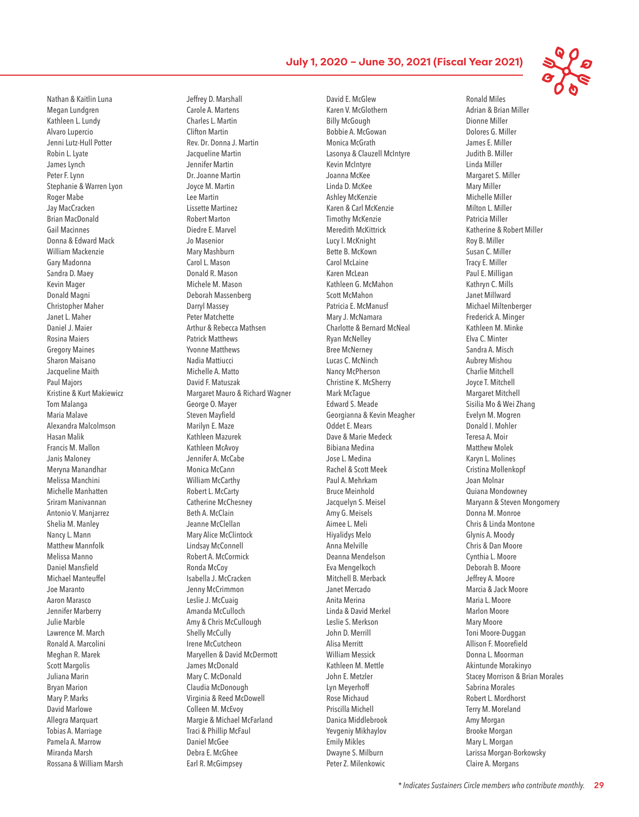Nathan & Kaitlin Luna Megan Lundgren Kathleen L. Lundy Alvaro Lupercio Jenni Lutz-Hull Potter Robin L. Lyate James Lynch Peter F. Lynn Stephanie & Warren Lyon Roger Mabe Jay MacCracken Brian MacDonald Gail Macinnes Donna & Edward Mack William Mackenzie Gary Madonna Sandra D. Maey Kevin Mager Donald Magni Christopher Maher Janet L. Maher Daniel J. Maier Rosina Maiers Gregory Maines Sharon Maisano Jacqueline Maith Paul Majors Kristine & Kurt Makiewicz Tom Malanga Maria Malave Alexandra Malcolmson Hasan Malik Francis M. Mallon Janis Maloney Meryna Manandhar Melissa Manchini Michelle Manhatten Sriram Manivannan Antonio V. Manjarrez Shelia M. Manley Nancy L. Mann Matthew Mannfolk Melissa Manno Daniel Mansfield Michael Manteuffel Joe Maranto Aaron Marasco Jennifer Marberry Julie Marble Lawrence M. March Ronald A. Marcolini Meghan R. Marek Scott Margolis Juliana Marin Bryan Marion Mary P. Marks David Marlowe Allegra Marquart Tobias A. Marriage Pamela A. Marrow Miranda Marsh Rossana & William Marsh

Jeffrey D. Marshall Carole A. Martens Charles L. Martin Clifton Martin Rev. Dr. Donna J. Martin Jacqueline Martin Jennifer Martin Dr. Joanne Martin Joyce M. Martin Lee Martin Lissette Martinez Robert Marton Diedre E. Marvel Jo Masenior Mary Mashburn Carol L. Mason Donald R. Mason Michele M. Mason Deborah Massenberg Darryl Massey Peter Matchette Arthur & Rebecca Mathsen Patrick Matthews Yvonne Matthews Nadia Mattiucci Michelle A. Matto David F. Matuszak Margaret Mauro & Richard Wagner George O. Mayer Steven Mayfield Marilyn E. Maze Kathleen Mazurek Kathleen McAvoy Jennifer A. McCabe Monica McCann William McCarthy Robert L. McCarty Catherine McChesney Beth A. McClain Jeanne McClellan Mary Alice McClintock Lindsay McConnell Robert A. McCormick Ronda McCoy Isabella J. McCracken Jenny McCrimmon Leslie J. McCuaig Amanda McCulloch Amy & Chris McCullough Shelly McCully Irene McCutcheon Maryellen & David McDermott James McDonald Mary C. McDonald Claudia McDonough Virginia & Reed McDowell Colleen M. McEvoy Margie & Michael McFarland Traci & Phillip McFaul Daniel McGee Debra E. McGhee Earl R. McGimpsey

David E. McGlew Karen V. McGlothern Billy McGough Bobbie A. McGowan Monica McGrath Lasonya & Clauzell McIntyre Kevin McIntyre Joanna McKee Linda D. McKee Ashley McKenzie Karen & Carl McKenzie Timothy McKenzie Meredith McKittrick Lucy I. McKnight Bette B. McKown Carol McLaine Karen McLean Kathleen G. McMahon Scott McMahon Patricia E. McManusf Mary J. McNamara Charlotte & Bernard McNeal Ryan McNelley Bree McNerney Lucas C. McNinch Nancy McPherson Christine K. McSherry Mark McTague Edward S. Meade Georgianna & Kevin Meagher Oddet E. Mears Dave & Marie Medeck Bibiana Medina Jose L. Medina Rachel & Scott Meek Paul A. Mehrkam Bruce Meinhold Jacquelyn S. Meisel Amy G. Meisels Aimee L. Meli Hiyalidys Melo Anna Melville Deanna Mendelson Eva Mengelkoch Mitchell B. Merback Janet Mercado Anita Merina Linda & David Merkel Leslie S. Merkson John D. Merrill Alisa Merritt William Messick Kathleen M. Mettle John E. Metzler Lyn Meyerhoff Rose Michaud Priscilla Michell Danica Middlebrook Yevgeniy Mikhaylov Emily Mikles Dwayne S. Milburn Peter Z. Milenkowic

Ronald Miles Adrian & Brian Miller Dionne Miller Dolores G. Miller James E. Miller Judith B. Miller Linda Miller Margaret S. Miller Mary Miller Michelle Miller Milton L. Miller Patricia Miller Katherine & Robert Miller Roy B. Miller Susan C. Miller Tracy E. Miller Paul E. Milligan Kathryn C. Mills Janet Millward Michael Miltenberger Frederick A. Minger Kathleen M. Minke Elva C. Minter Sandra A. Misch Aubrey Mishou Charlie Mitchell Joyce T. Mitchell Margaret Mitchell Sisilia Mo & Wei Zhang Evelyn M. Mogren Donald I. Mohler Teresa A. Moir Matthew Molek Karyn L. Molines Cristina Mollenkopf Joan Molnar Quiana Mondowney Maryann & Steven Mongomery Donna M. Monroe Chris & Linda Montone Glynis A. Moody Chris & Dan Moore Cynthia L. Moore Deborah B. Moore Jeffrey A. Moore Marcia & Jack Moore Maria L. Moore Marlon Moore Mary Moore Toni Moore-Duggan Allison F. Moorefield Donna L. Moorman Akintunde Morakinyo Stacey Morrison & Brian Morales Sabrina Morales Robert L. Mordhorst Terry M. Moreland Amy Morgan Brooke Morgan Mary L. Morgan Larissa Morgan-Borkowsky Claire A. Morgans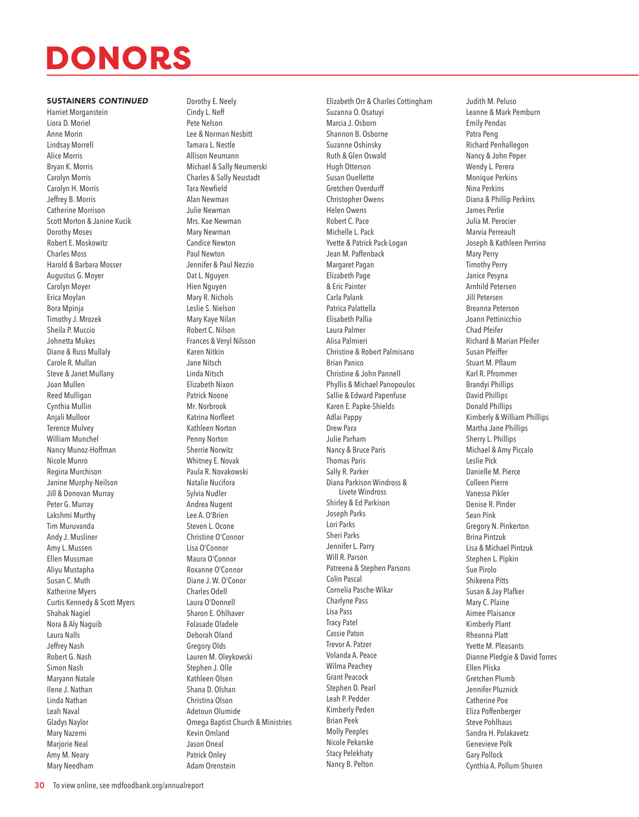#### SUSTAINERS *CONTINUED*

Harriet Morganstein Liora D. Moriel Anne Morin Lindsay Morrell Alice Morris Bryan K. Morris Carolyn Morris Carolyn H. Morris Jeffrey B. Morris Catherine Morrison Scott Morton & Janine Kucik Dorothy Moses Robert E. Moskowitz Charles Moss Harold & Barbara Mosser Augustus G. Moyer Carolyn Moyer Erica Moylan Bora Mpinja Timothy J. Mrozek Sheila P. Muccio Johnetta Mukes Diane & Russ Mullaly Carole R. Mullan Steve & Janet Mullany Joan Mullen Reed Mulligan Cynthia Mullin Anjali Mulloor Terence Mulvey William Munchel Nancy Munoz-Hoffman Nicole Munro Regina Murchison Janine Murphy-Neilson Jill & Donovan Murray Peter G. Murray Lakshmi Murthy Tim Muruvanda Andy J. Musliner Amy L. Mussen Ellen Mussman Aliyu Mustapha Susan C. Muth Katherine Myers Curtis Kennedy & Scott Myers Shahak Nagiel Nora & Aly Naguib Laura Nalls Jeffrey Nash Robert G. Nash Simon Nash Maryann Natale Ilene J. Nathan Linda Nathan Leah Naval Gladys Naylor Mary Nazemi Marjorie Neal Amy M. Neary Mary Needham

Dorothy E. Neely Cindy L. Neff Pete Nelson Lee & Norman Nesbitt Tamara L. Nestle Allison Neumann Michael & Sally Neumerski Charles & Sally Neustadt Tara Newfield Alan Newman Julie Newman Mrs. Kae Newman Mary Newman Candice Newton Paul Newton Jennifer & Paul Nezzio Dat L. Nguyen Hien Nguyen Mary R. Nichols Leslie S. Nielson Mary Kaye Nilan Robert C. Nilson Frances & Veryl Nilsson Karen Nitkin Jane Nitsch Linda Nitsch Elizabeth Nixon Patrick Noone Mr. Norbrook Katrina Norfleet Kathleen Norton Penny Norton Sherrie Norwitz Whitney E. Novak Paula R. Novakowski Natalie Nucifora Sylvia Nudler Andrea Nugent Lee A. O'Brien Steven L. Ocone Christine O'Connor Lisa O'Connor Maura O'Connor Roxanne O'Connor Diane J. W. O'Conor Charles Odell Laura O'Donnell Sharon E. Ohlhaver Folasade Oladele Deborah Oland Gregory Olds Lauren M. Oleykowski Stephen J. Olle Kathleen Olsen Shana D. Olshan Christina Olson Adetoun Olumide Omega Baptist Church & Ministries Kevin Omland Jason Oneal Patrick Onley Adam Orenstein

Elizabeth Orr & Charles Cottingham Suzanna O. Osatuyi Marcia J. Osborn Shannon B. Osborne Suzanne Oshinsky Ruth & Glen Oswald Hugh Otterson Susan Ouellette Gretchen Overdurff Christopher Owens Helen Owens Robert C. Pace Michelle L. Pack Yvette & Patrick Pack-Logan Jean M. Paffenback Margaret Pagan Elizabeth Page & Eric Painter Carla Palank Patrica Palattella Elisabeth Pallia Laura Palmer Alisa Palmieri Christine & Robert Palmisano Brian Panico Christine & John Pannell Phyllis & Michael Panopoulos Sallie & Edward Papenfuse Karen E. Papke-Shields Adlai Pappy Drew Para Julie Parham Nancy & Bruce Paris Thomas Paris Sally R. Parker Diana Parkison Windross & Livete Windross Shirley & Ed Parkison Joseph Parks Lori Parks Sheri Parks Jennifer L. Parry Will R. Parson Patreena & Stephen Parsons Colin Pascal Cornelia Pasche-Wikar Charlyne Pass Lisa Pass Tracy Patel Cassie Paton Trevor A. Patzer Volanda A. Peace Wilma Peachey Grant Peacock Stephen D. Pearl Leah P. Pedder Kimberly Peden Brian Peek Molly Peeples Nicole Pekarske Stacy Pelekhaty Nancy B. Pelton

Judith M. Peluso Leanne & Mark Pemburn Emily Pendas Patra Peng Richard Penhallegon Nancy & John Peper Wendy L. Perera Monique Perkins Nina Perkins Diana & Phillip Perkins James Perlie Julia M. Perocier Marvia Perreault Joseph & Kathleen Perrino Mary Perry Timothy Perry Janice Pesyna Arnhild Petersen Jill Petersen Breanna Peterson Joann Pettinicchio Chad Pfeifer Richard & Marian Pfeifer Susan Pfeiffer Stuart M. Pflaum Karl R. Pfrommer Brandyi Phillips David Phillips Donald Phillips Kimberly & William Phillips Martha Jane Phillips Sherry L. Phillips Michael & Amy Piccalo Leslie Pick Danielle M. Pierce Colleen Pierre Vanessa Pikler Denise R. Pinder Sean Pink Gregory N. Pinkerton Brina Pintzuk Lisa & Michael Pintzuk Stephen L. Pipkin Sue Pirolo Shikeena Pitts Susan & Jay Plafker Mary C. Plaine Aimee Plaisance Kimberly Plant Rheanna Platt Yvette M. Pleasants Dianne Pledgie & David Torres Ellen Pliska Gretchen Plumb Jennifer Pluznick Catherine Poe Eliza Poffenberger Steve Pohlhaus Sandra H. Polakavetz Genevieve Polk Gary Pollock Cynthia A. Pollum-Shuren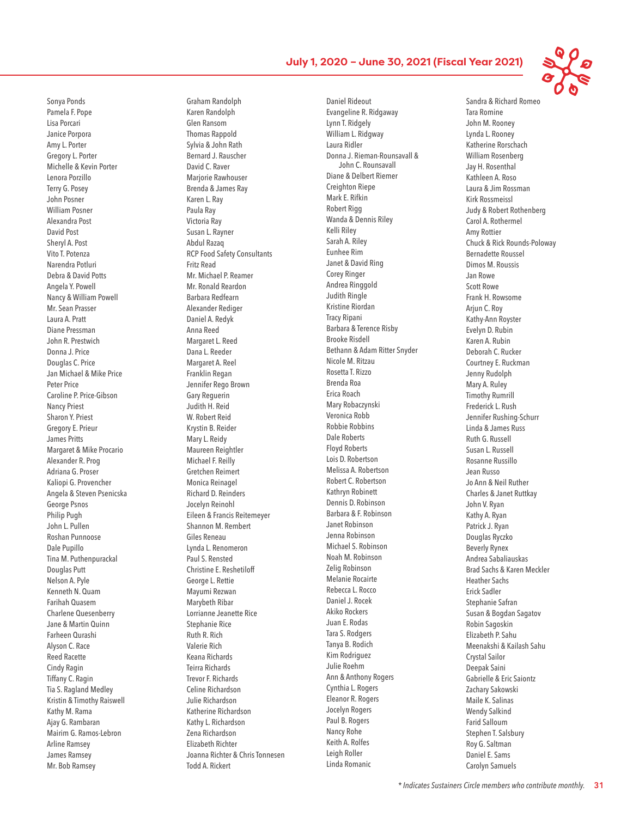Sonya Ponds Pamela F. Pope Lisa Porcari Janice Porpora Amy L. Porter Gregory L. Porter Michelle & Kevin Porter Lenora Porzillo Terry G. Posey John Posner William Posner Alexandra Post David Post Sheryl A. Post Vito T. Potenza Narendra Potluri Debra & David Potts Angela Y. Powell Nancy & William Powell Mr. Sean Prasser Laura A. Pratt Diane Pressman John R. Prestwich Donna J. Price Douglas C. Price Jan Michael & Mike Price Peter Price Caroline P. Price-Gibson Nancy Priest Sharon Y. Priest Gregory E. Prieur James Pritts Margaret & Mike Procario Alexander R. Prog Adriana G. Proser Kaliopi G. Provencher Angela & Steven Psenicska George Psnos Philip Pugh John L. Pullen Roshan Punnoose Dale Pupillo Tina M. Puthenpurackal Douglas Putt Nelson A. Pyle Kenneth N. Quam Farihah Quasem Charlene Quesenberry Jane & Martin Quinn Farheen Qurashi Alyson C. Race Reed Racette Cindy Ragin Tiffany C. Ragin Tia S. Ragland Medley Kristin & Timothy Raiswell Kathy M. Rama Ajay G. Rambaran Mairim G. Ramos-Lebron Arline Ramsey James Ramsey Mr. Bob Ramsey

Graham Randolph Karen Randolph Glen Ransom Thomas Rappold Sylvia & John Rath Bernard J. Rauscher David C. Raver Marjorie Rawhouser Brenda & James Ray Karen L. Ray Paula Ray Victoria Ray Susan L. Rayner Abdul Razaq RCP Food Safety Consultants Fritz Read Mr. Michael P. Reamer Mr. Ronald Reardon Barbara Redfearn Alexander Rediger Daniel A. Redyk Anna Reed Margaret L. Reed Dana L. Reeder Margaret A. Reel Franklin Regan Jennifer Rego Brown Gary Reguerin Judith H. Reid W. Robert Reid Krystin B. Reider Mary L. Reidy Maureen Reightler Michael F. Reilly Gretchen Reimert Monica Reinagel Richard D. Reinders Jocelyn Reinohl Eileen & Francis Reitemeyer Shannon M. Rembert Giles Reneau Lynda L. Renomeron Paul S. Rensted Christine E. Reshetiloff George L. Rettie Mayumi Rezwan Marybeth Ribar Lorrianne Jeanette Rice Stephanie Rice Ruth R. Rich Valerie Rich Keana Richards Teirra Richards Trevor F. Richards Celine Richardson Julie Richardson Katherine Richardson Kathy L. Richardson Zena Richardson Elizabeth Richter Joanna Richter & Chris Tonnesen Todd A. Rickert

Daniel Rideout Evangeline R. Ridgaway Lynn T. Ridgely William L. Ridgway Laura Ridler Donna J. Rieman-Rounsavall & John C. Rounsavall Diane & Delbert Riemer Creighton Riepe Mark E. Rifkin Robert Rigg Wanda & Dennis Riley Kelli Riley Sarah A. Riley Eunhee Rim Janet & David Ring Corey Ringer Andrea Ringgold Judith Ringle Kristine Riordan Tracy Ripani Barbara & Terence Risby Brooke Risdell Bethann & Adam Ritter Snyder Nicole M. Ritzau Rosetta T. Rizzo Brenda Roa Erica Roach Mary Robaczynski Veronica Robb Robbie Robbins Dale Roberts Floyd Roberts Lois D. Robertson Melissa A. Robertson Robert C. Robertson Kathryn Robinett Dennis D. Robinson Barbara & F. Robinson Janet Robinson Jenna Robinson Michael S. Robinson Noah M. Robinson Zelig Robinson Melanie Rocairte Rebecca L. Rocco Daniel J. Rocek Akiko Rockers Juan E. Rodas Tara S. Rodgers Tanya B. Rodich Kim Rodriguez Julie Roehm Ann & Anthony Rogers Cynthia L. Rogers Eleanor R. Rogers Jocelyn Rogers Paul B. Rogers Nancy Rohe Keith A. Rolfes Leigh Roller Linda Romanic

Sandra & Richard Romeo Tara Romine John M. Rooney Lynda L. Rooney Katherine Rorschach William Rosenberg Jay H. Rosenthal Kathleen A. Roso Laura & Jim Rossman Kirk Rossmeissl Judy & Robert Rothenberg Carol A. Rothermel Amy Rottier Chuck & Rick Rounds-Poloway Bernadette Roussel Dimos M. Roussis Jan Rowe Scott Rowe Frank H. Rowsome Arjun C. Roy Kathy-Ann Royster Evelyn D. Rubin Karen A. Rubin Deborah C. Rucker Courtney E. Ruckman Jenny Rudolph Mary A. Ruley Timothy Rumrill Frederick L. Rush Jennifer Rushing-Schurr Linda & James Russ Ruth G. Russell Susan L. Russell Rosanne Russillo Jean Russo Jo Ann & Neil Ruther Charles & Janet Ruttkay John V. Ryan Kathy A. Ryan Patrick J. Ryan Douglas Ryczko Beverly Rynex Andrea Sabaliauskas Brad Sachs & Karen Meckler Heather Sachs Erick Sadler Stephanie Safran Susan & Bogdan Sagatov Robin Sagoskin Elizabeth P. Sahu Meenakshi & Kailash Sahu Crystal Sailor Deepak Saini Gabrielle & Eric Saiontz Zachary Sakowski Maile K. Salinas Wendy Salkind Farid Salloum Stephen T. Salsbury Roy G. Saltman Daniel E. Sams Carolyn Samuels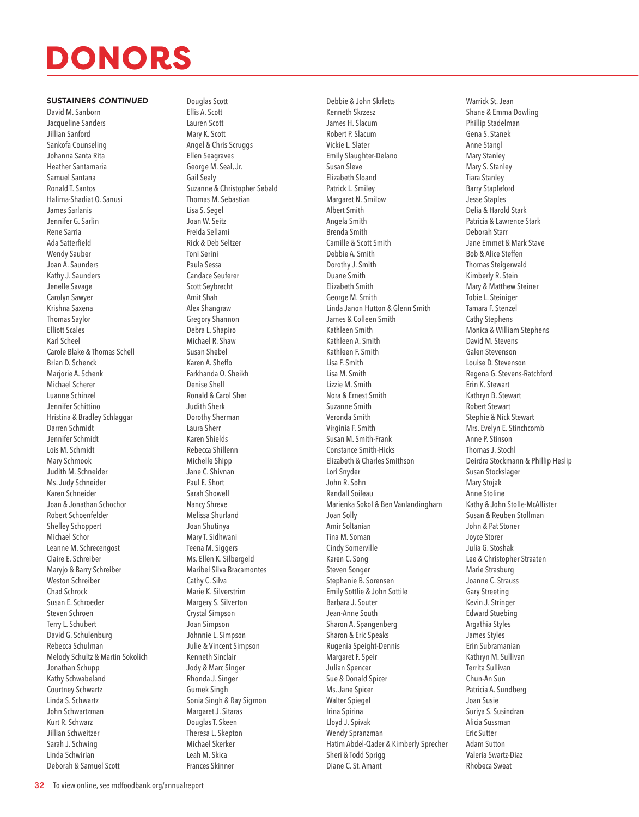#### SUSTAINERS *CONTINUED*

David M. Sanborn Jacqueline Sanders Jillian Sanford Sankofa Counseling Johanna Santa Rita Heather Santamaria Samuel Santana Ronald T. Santos Halima-Shadiat O. Sanusi James Sarlanis Jennifer G. Sarlin Rene Sarria Ada Satterfield Wendy Sauber Joan A. Saunders Kathy J. Saunders Jenelle Savage Carolyn Sawyer Krishna Saxena Thomas Saylor Elliott Scales Karl Scheel Carole Blake & Thomas Schell Brian D. Schenck Marjorie A. Schenk Michael Scherer Luanne Schinzel Jennifer Schittino Hristina & Bradley Schlaggar Darren Schmidt Jennifer Schmidt Lois M. Schmidt Mary Schmook Judith M. Schneider Ms. Judy Schneider Karen Schneider Joan & Jonathan Schochor Robert Schoenfelder Shelley Schoppert Michael Schor Leanne M. Schrecengost Claire E. Schreiber Maryjo & Barry Schreiber Weston Schreiber Chad Schrock Susan E. Schroeder Steven Schroen Terry L. Schubert David G. Schulenburg Rebecca Schulman Melody Schultz & Martin Sokolich Jonathan Schupp Kathy Schwabeland Courtney Schwartz Linda S. Schwartz John Schwartzman Kurt R. Schwarz Jillian Schweitzer Sarah J. Schwing Linda Schwirian Deborah & Samuel Scott

Douglas Scott Ellis A. Scott Lauren Scott Mary K. Scott Angel & Chris Scruggs Ellen Seagraves George M. Seal, Jr. Gail Sealy Suzanne & Christopher Sebald Thomas M. Sebastian Lisa S. Segel Joan W. Seitz Freida Sellami Rick & Deb Seltzer Toni Serini Paula Sessa Candace Seuferer Scott Seybrecht Amit Shah Alex Shangraw Gregory Shannon Debra L. Shapiro Michael R. Shaw Susan Shebel Karen A. Sheffo Farkhanda Q. Sheikh Denise Shell Ronald & Carol Sher Judith Sherk Dorothy Sherman Laura Sherr Karen Shields Rebecca Shillenn Michelle Shipp Jane C. Shivnan Paul E. Short Sarah Showell Nancy Shreve Melissa Shurland Joan Shutinya Mary T. Sidhwani Teena M. Siggers Ms. Ellen K. Silbergeld Maribel Silva Bracamontes Cathy C. Silva Marie K. Silverstrim Margery S. Silverton Crystal Simpson Joan Simpson Johnnie L. Simpson Julie & Vincent Simpson Kenneth Sinclair Jody & Marc Singer Rhonda J. Singer Gurnek Singh Sonia Singh & Ray Sigmon Margaret J. Sitaras Douglas T. Skeen Theresa L. Skepton Michael Skerker Leah M. Skica Frances Skinner

Debbie & John Skrletts Kenneth Skrzesz James H. Slacum Robert P. Slacum Vickie L. Slater Emily Slaughter-Delano Susan Sleve Elizabeth Sloand Patrick L. Smiley Margaret N. Smilow Albert Smith Angela Smith Brenda Smith Camille & Scott Smith Debbie A. Smith Dorothy J. Smith Duane Smith Elizabeth Smith George M. Smith Linda Janon Hutton & Glenn Smith James & Colleen Smith Kathleen Smith Kathleen A. Smith Kathleen F. Smith Lisa F. Smith Lisa M. Smith Lizzie M. Smith Nora & Ernest Smith Suzanne Smith Veronda Smith Virginia F. Smith Susan M. Smith-Frank Constance Smith-Hicks Elizabeth & Charles Smithson Lori Snyder John R. Sohn Randall Soileau Marienka Sokol & Ben Vanlandingham Joan Solly Amir Soltanian Tina M. Soman Cindy Somerville Karen C. Song Steven Songer Stephanie B. Sorensen Emily Sottlie & John Sottile Barbara J. Souter Jean-Anne South Sharon A. Spangenberg Sharon & Eric Speaks Rugenia Speight-Dennis Margaret F. Speir Julian Spencer Sue & Donald Spicer Ms. Jane Spicer Walter Spiegel Irina Spirina Lloyd J. Spivak Wendy Spranzman Hatim Abdel-Qader & Kimberly Sprecher Sheri & Todd Sprigg Diane C. St. Amant

Warrick St. Jean Shane & Emma Dowling Phillip Stadelman Gena S. Stanek Anne Stangl Mary Stanley Mary S. Stanley Tiara Stanley Barry Stapleford Jesse Staples Delia & Harold Stark Patricia & Lawrence Stark Deborah Starr Jane Emmet & Mark Stave Bob & Alice Steffen Thomas Steigerwald Kimberly R. Stein Mary & Matthew Steiner Tobie L. Steiniger Tamara F. Stenzel Cathy Stephens Monica & William Stephens David M. Stevens Galen Stevenson Louise D. Stevenson Regena G. Stevens-Ratchford Erin K. Stewart Kathryn B. Stewart Robert Stewart Stephie & Nick Stewart Mrs. Evelyn E. Stinchcomb Anne P. Stinson Thomas J. Stochl Deirdra Stockmann & Phillip Heslip Susan Stockslager Mary Stojak Anne Stoline Kathy & John Stolle-McAllister Susan & Reuben Stollman John & Pat Stoner Joyce Storer Julia G. Stoshak Lee & Christopher Straaten Marie Strasburg Joanne C. Strauss Gary Streeting Kevin J. Stringer Edward Stuebing Argathia Styles James Styles Erin Subramanian Kathryn M. Sullivan Territa Sullivan Chun-An Sun Patricia A. Sundberg Joan Susie Suriya S. Susindran Alicia Sussman Eric Sutter Adam Sutton Valeria Swartz-Diaz Rhobeca Sweat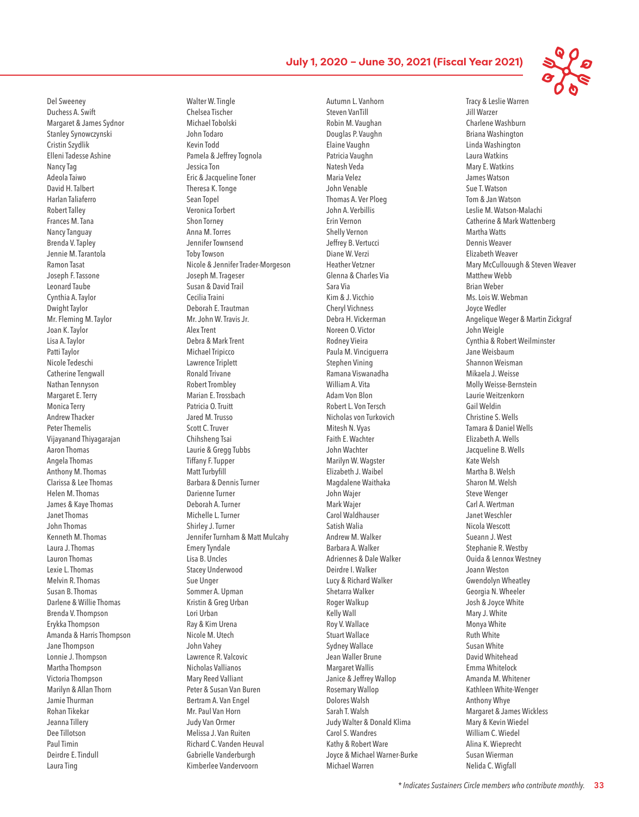Del Sweeney Duchess A. Swift Margaret & James Sydnor Stanley Synowczynski Cristin Szydlik Elleni Tadesse Ashine Nancy Tag Adeola Taiwo David H. Talbert Harlan Taliaferro Robert Talley Frances M. Tana Nancy Tanguay Brenda V. Tapley Jennie M. Tarantola Ramon Tasat Joseph F. Tassone Leonard Taube Cynthia A. Taylor Dwight Taylor Mr. Fleming M. Taylor Joan K. Taylor Lisa A. Taylor Patti Taylor Nicole Tedeschi Catherine Tengwall Nathan Tennyson Margaret E. Terry Monica Terry Andrew Thacker Peter Themelis Vijayanand Thiyagarajan Aaron Thomas Angela Thomas Anthony M. Thomas Clarissa & Lee Thomas Helen M. Thomas James & Kaye Thomas Janet Thomas John Thomas Kenneth M. Thomas Laura J. Thomas Lauron Thomas Lexie L. Thomas Melvin R. Thomas Susan B. Thomas Darlene & Willie Thomas Brenda V. Thompson Erykka Thompson Amanda & Harris Thompson Jane Thompson Lonnie J. Thompson Martha Thompson Victoria Thompson Marilyn & Allan Thorn Jamie Thurman Rohan Tikekar Jeanna Tillery Dee Tillotson Paul Timin Deirdre E. Tindull Laura Ting

Walter W. Tingle Chelsea Tischer Michael Tobolski John Todaro Kevin Todd Pamela & Jeffrey Tognola Jessica Ton Eric & Jacqueline Toner Theresa K. Tonge Sean Topel Veronica Torbert Shon Torney Anna M. Torres Jennifer Townsend Toby Towson Nicole & Jennifer Trader-Morgeson Joseph M. Trageser Susan & David Trail Cecilia Traini Deborah E. Trautman Mr. John W. Travis Jr. Alex Trent Debra & Mark Trent Michael Tripicco Lawrence Triplett Ronald Trivane Robert Trombley Marian E. Trossbach Patricia O. Truitt Jared M. Trusso Scott C. Truver Chihsheng Tsai Laurie & Gregg Tubbs Tiffany F. Tupper Matt Turbyfill Barbara & Dennis Turner Darienne Turner Deborah A. Turner Michelle L. Turner Shirley J. Turner Jennifer Turnham & Matt Mulcahy Emery Tyndale Lisa B. Uncles Stacey Underwood Sue Unger Sommer A. Upman Kristin & Greg Urban Lori Urban Ray & Kim Urena Nicole M. Utech John Vahey Lawrence R. Valcovic Nicholas Vallianos Mary Reed Valliant Peter & Susan Van Buren Bertram A. Van Engel Mr. Paul Van Horn Judy Van Ormer Melissa J. Van Ruiten Richard C. Vanden Heuval Gabrielle Vanderburgh Kimberlee Vandervoorn

Autumn L. Vanhorn Steven VanTill Robin M. Vaughan Douglas P. Vaughn Elaine Vaughn Patricia Vaughn Natesh Veda Maria Velez John Venable Thomas A. Ver Ploeg John A. Verbillis Erin Vernon Shelly Vernon Jeffrey B. Vertucci Diane W. Verzi Heather Vetzner Glenna & Charles Via Sara Via Kim & J. Vicchio Cheryl Vichness Debra H. Vickerman Noreen O. Victor Rodney Vieira Paula M. Vinciguerra Stephen Vining Ramana Viswanadha William A. Vita Adam Von Blon Robert L. Von Tersch Nicholas von Turkovich Mitesh N. Vyas Faith E. Wachter John Wachter Marilyn W. Wagster Elizabeth J. Waibel Magdalene Waithaka John Wajer Mark Wajer Carol Waldhauser Satish Walia Andrew M. Walker Barbara A. Walker Adriennes & Dale Walker Deirdre I. Walker Lucy & Richard Walker Shetarra Walker Roger Walkup Kelly Wall Roy V. Wallace Stuart Wallace Sydney Wallace Jean Waller Brune Margaret Wallis Janice & Jeffrey Wallop Rosemary Wallop Dolores Walsh Sarah T. Walsh Judy Walter & Donald Klima Carol S. Wandres Kathy & Robert Ware Joyce & Michael Warner-Burke Michael Warren

Tracy & Leslie Warren Jill Warzer Charlene Washburn Briana Washington Linda Washington Laura Watkins Mary E. Watkins James Watson Sue T. Watson Tom & Jan Watson Leslie M. Watson-Malachi Catherine & Mark Wattenberg Martha Watts Dennis Weaver Elizabeth Weaver Mary McCullouugh & Steven Weaver Matthew Webb Brian Weber Ms. Lois W. Webman Joyce Wedler Angelique Weger & Martin Zickgraf John Weigle Cynthia & Robert Weilminster Jane Weisbaum Shannon Weisman Mikaela J. Weisse Molly Weisse-Bernstein Laurie Weitzenkorn Gail Weldin Christine S. Wells Tamara & Daniel Wells Elizabeth A. Wells Jacqueline B. Wells Kate Welsh Martha B. Welsh Sharon M. Welsh Steve Wenger Carl A. Wertman Janet Weschler Nicola Wescott Sueann J. West Stephanie R. Westby Ouida & Lennox Westney Joann Weston Gwendolyn Wheatley Georgia N. Wheeler Josh & Joyce White Mary J. White Monya White Ruth White Susan White David Whitehead Emma Whitelock Amanda M. Whitener Kathleen White-Wenger Anthony Whye Margaret & James Wickless Mary & Kevin Wiedel William C. Wiedel Alina K. Wieprecht Susan Wierman Nelida C. Wigfall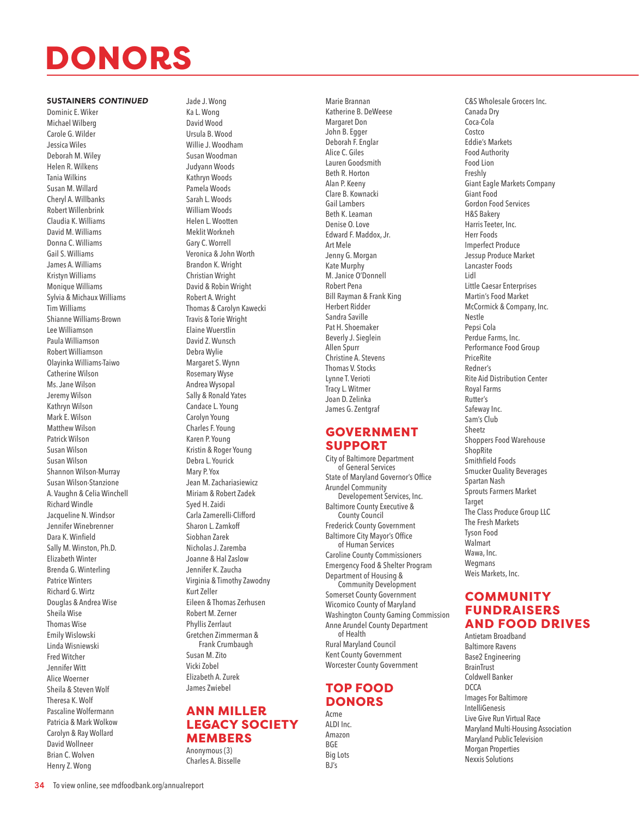#### SUSTAINERS *CONTINUED*

Dominic E. Wiker Michael Wilberg Carole G. Wilder Jessica Wiles Deborah M. Wiley Helen R. Wilkens Tania Wilkins Susan M. Willard Cheryl A. Willbanks Robert Willenbrink Claudia K. Williams David M. Williams Donna C. Williams Gail S. Williams James A. Williams Kristyn Williams Monique Williams Sylvia & Michaux Williams Tim Williams Shianne Williams-Brown Lee Williamson Paula Williamson Robert Williamson Olayinka Williams-Taiwo Catherine Wilson Ms. Jane Wilson Jeremy Wilson Kathryn Wilson Mark E. Wilson Matthew Wilson Patrick Wilson Susan Wilson Susan Wilson Shannon Wilson-Murray Susan Wilson-Stanzione A. Vaughn & Celia Winchell Richard Windle Jacqueline N. Windsor Jennifer Winebrenner Dara K. Winfield Sally M. Winston, Ph.D. Elizabeth Winter Brenda G. Winterling Patrice Winters Richard G. Wirtz Douglas & Andrea Wise Sheila Wise Thomas Wise Emily Wislowski Linda Wisniewski Fred Witcher Jennifer Witt Alice Woerner Sheila & Steven Wolf Theresa K. Wolf Pascaline Wolfermann Patricia & Mark Wolkow Carolyn & Ray Wollard David Wollneer Brian C. Wolven Henry Z. Wong

Jade J. Wong Ka L. Wong David Wood Ursula B. Wood Willie J. Woodham Susan Woodman Judyann Woods Kathryn Woods Pamela Woods Sarah L. Woods William Woods Helen L. Wootten Meklit Workneh Gary C. Worrell Veronica & John Worth Brandon K. Wright Christian Wright David & Robin Wright Robert A. Wright Thomas & Carolyn Kawecki Travis & Torie Wright Elaine Wuerstlin David Z. Wunsch Debra Wylie Margaret S. Wynn Rosemary Wyse Andrea Wysopal Sally & Ronald Yates Candace L. Young Carolyn Young Charles F. Young Karen P. Young Kristin & Roger Young Debra L. Yourick Mary P. Yox Jean M. Zachariasiewicz Miriam & Robert Zadek Syed H. Zaidi Carla Zamerelli-Clifford Sharon L. Zamkoff Siobhan Zarek Nicholas J. Zaremba Joanne & Hal Zaslow Jennifer K. Zaucha Virginia & Timothy Zawodny Kurt Zeller Eileen & Thomas Zerhusen Robert M. Zerner Phyllis Zerrlaut Gretchen Zimmerman & Frank Crumbaugh Susan M. Zito Vicki Zobel Elizabeth A. Zurek James Zwiebel

## ANN MILLER LEGACY SOCIETY **MEMBERS**

Anonymous (3) Charles A. Bisselle Marie Brannan Katherine B. DeWeese Margaret Don John B. Egger Deborah F. Englar Alice C. Giles Lauren Goodsmith Beth R. Horton Alan P. Keeny Clare B. Kownacki Gail Lambers Beth K. Leaman Denise O. Love Edward F. Maddox, Jr. Art Mele Jenny G. Morgan Kate Murphy M. Janice O'Donnell Robert Pena Bill Rayman & Frank King Herbert Ridder Sandra Saville Pat H. Shoemaker Beverly J. Sieglein Allen Spurr Christine A. Stevens Thomas V. Stocks Lynne T. Verioti Tracy L. Witmer Joan D. Zelinka James G. Zentgraf

## GOVERNMENT SUPPORT

City of Baltimore Department of General Services State of Maryland Governor's Office Arundel Community Developement Services, Inc. Baltimore County Executive & County Council Frederick County Government Baltimore City Mayor's Office of Human Services Caroline County Commissioners Emergency Food & Shelter Program Department of Housing & Community Development Somerset County Government Wicomico County of Maryland Washington County Gaming Commission Anne Arundel County Department of Health Rural Maryland Council Kent County Government Worcester County Government

## TOP FOOD **DONORS**

Acme ALDI Inc. Amazon BGE Big Lots BJ's

C&S Wholesale Grocers Inc. Canada Dry Coca-Cola Costco Eddie's Markets Food Authority Food Lion Freshly Giant Eagle Markets Company Giant Food Gordon Food Services H&S Bakery Harris Teeter, Inc. Herr Foods Imperfect Produce Jessup Produce Market Lancaster Foods Lidl Little Caesar Enterprises Martin's Food Market McCormick & Company, Inc. Nestle Pepsi Cola Perdue Farms, Inc. Performance Food Group PriceRite Redner's Rite Aid Distribution Center Royal Farms Rutter's Safeway Inc. Sam's Club Sheetz Shoppers Food Warehouse **ShopRite** Smithfield Foods Smucker Quality Beverages Spartan Nash Sprouts Farmers Market Target The Class Produce Group LLC The Fresh Markets Tyson Food Walmart Wawa, Inc. Wegmans Weis Markets, Inc.

## **COMMUNITY** FUNDRAISERS AND FOOD DRIVES Antietam Broadband

Baltimore Ravens Base2 Engineering **BrainTrust** Coldwell Banker DCCA Images For Baltimore IntelliGenesis Live Give Run Virtual Race Maryland Multi-Housing Association Maryland Public Television Morgan Properties Nexxis Solutions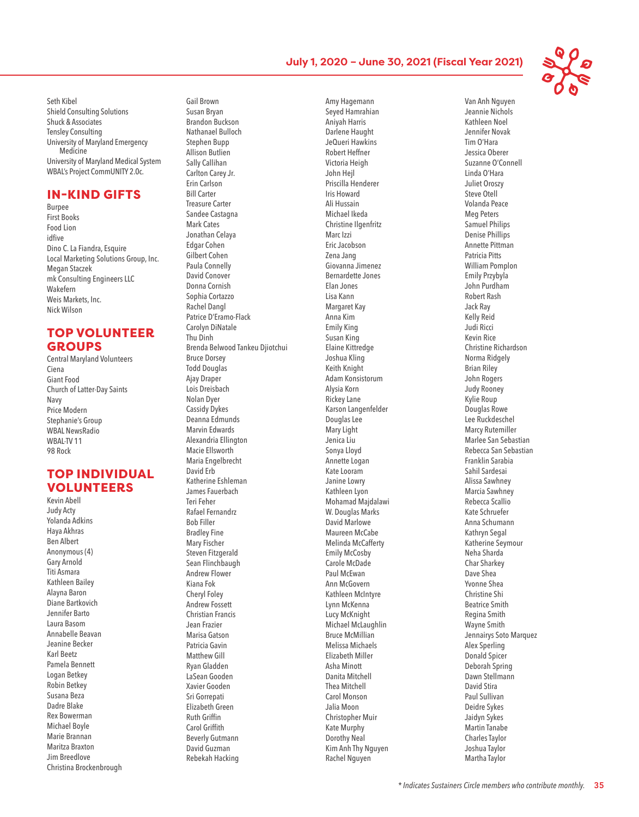

Seth Kibel Shield Consulting Solutions Shuck & Associates Tensley Consulting University of Maryland Emergency Medicine University of Maryland Medical System WBAL's Project CommUNITY 2.0c.

## IN-KIND GIFTS

Burpee First Books Food Lion idfive Dino C. La Fiandra, Esquire Local Marketing Solutions Group, Inc. Megan Staczek mk Consulting Engineers LLC Wakefern Weis Markets, Inc. Nick Wilson

## TOP VOLUNTEER GROUPS

Central Maryland Volunteers Ciena Giant Food Church of Latter-Day Saints Navy Price Modern Stephanie's Group WBAL NewsRadio WBAL-TV 11 98 Rock

## TOP INDIVIDUAL VOLUNTEERS Kevin Abell

Judy Acty Yolanda Adkins Haya Akhras Ben Albert Anonymous (4) Gary Arnold Titi Asmara Kathleen Bailey Alayna Baron Diane Bartkovich Jennifer Barto Laura Basom Annabelle Beavan Jeanine Becker Karl Beetz Pamela Bennett Logan Betkey Robin Betkey Susana Beza Dadre Blake Rex Bowerman Michael Boyle Marie Brannan Maritza Braxton Jim Breedlove Christina Brockenbrough Gail Brown Susan Bryan Brandon Buckson Nathanael Bulloch Stephen Bupp Allison Butlien Sally Callihan Carlton Carey Jr. Erin Carlson Bill Carter Treasure Carter Sandee Castagna Mark Cates Jonathan Celaya Edgar Cohen Gilbert Cohen Paula Connelly David Conover Donna Cornish Sophia Cortazzo Rachel Dangl Patrice D'Eramo-Flack Carolyn DiNatale Thu Dinh Brenda Belwood Tankeu Djiotchui Bruce Dorsey Todd Douglas Ajay Draper Lois Dreisbach Nolan Dyer Cassidy Dykes Deanna Edmunds Marvin Edwards Alexandria Ellington Macie Ellsworth Maria Engelbrecht David Erb Katherine Eshleman James Fauerbach Teri Feher Rafael Fernandrz Bob Filler Bradley Fine Mary Fischer Steven Fitzgerald Sean Flinchbaugh Andrew Flower Kiana Fok Cheryl Foley Andrew Fossett Christian Francis Jean Frazier Marisa Gatson Patricia Gavin Matthew Gill Ryan Gladden LaSean Gooden Xavier Gooden Sri Gorrepati Elizabeth Green Ruth Griffin Carol Griffith Beverly Gutmann David Guzman Rebekah Hacking

Amy Hagemann Seyed Hamrahian Aniyah Harris Darlene Haught JeQueri Hawkins Robert Heffner Victoria Heigh John Hejl Priscilla Henderer Iris Howard Ali Hussain Michael Ikeda Christine Ilgenfritz Marc Izzi Eric Jacobson Zena Jang Giovanna Jimenez Bernardette Jones Elan Jones Lisa Kann Margaret Kay Anna Kim Emily King Susan King Elaine Kittredge Joshua Kling Keith Knight Adam Konsistorum Alysia Korn Rickey Lane Karson Langenfelder Douglas Lee Mary Light Jenica Liu Sonya Lloyd Annette Logan Kate Looram Janine Lowry Kathleen Lyon Mohamad Majdalawi W. Douglas Marks David Marlowe Maureen McCabe Melinda McCafferty Emily McCosby Carole McDade Paul McEwan Ann McGovern Kathleen McIntyre Lynn McKenna Lucy McKnight Michael McLaughlin Bruce McMillian Melissa Michaels Elizabeth Miller Asha Minott Danita Mitchell Thea Mitchell Carol Monson Jalia Moon Christopher Muir Kate Murphy Dorothy Neal Kim Anh Thy Nguyen Rachel Nguyen

Van Anh Nguyen Jeannie Nichols Kathleen Noel Jennifer Novak Tim O'Hara Jessica Oberer Suzanne O'Connell Linda O'Hara Juliet Oroszy Steve Otell Volanda Peace Meg Peters Samuel Philips Denise Phillips Annette Pittman Patricia Pitts William Pomplon Emily Przybyla John Purdham Robert Rash Jack Ray Kelly Reid Judi Ricci Kevin Rice Christine Richardson Norma Ridgely Brian Riley John Rogers Judy Rooney Kylie Roup Douglas Rowe Lee Ruckdeschel Marcy Rutemiller Marlee San Sebastian Rebecca San Sebastian Franklin Sarabia Sahil Sardesai Alissa Sawhney Marcia Sawhney Rebecca Scallio Kate Schruefer Anna Schumann Kathryn Segal Katherine Seymour Neha Sharda Char Sharkey Dave Shea Yvonne Shea Christine Shi Beatrice Smith Regina Smith Wayne Smith Jennairys Soto Marquez Alex Sperling Donald Spicer Deborah Spring Dawn Stellmann David Stira Paul Sullivan Deidre Sykes Jaidyn Sykes Martin Tanabe Charles Taylor Joshua Taylor Martha Taylor